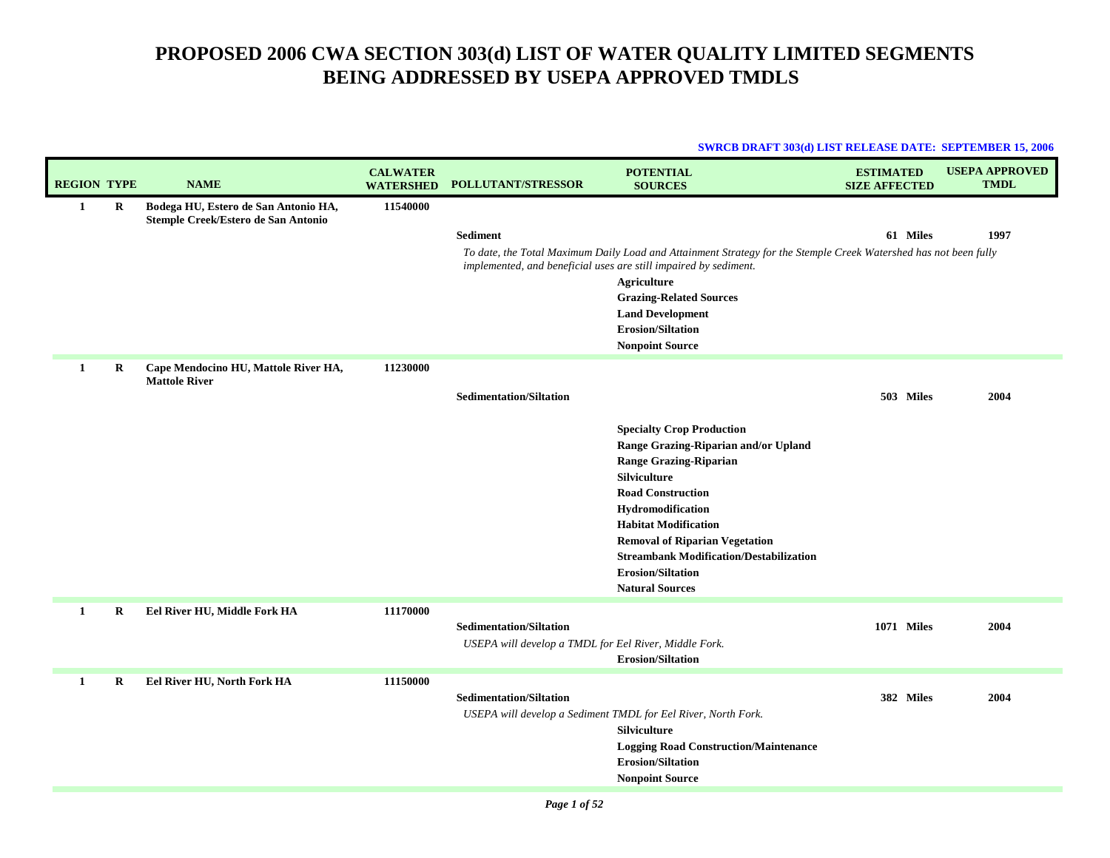| <b>SWRCB DRAFT 303(d) LIST RELEASE DATE: SEPTEMBER 15, 2006</b> |  |  |
|-----------------------------------------------------------------|--|--|
|                                                                 |  |  |

| <b>REGION TYPE</b> |         | <b>NAME</b>                                                                 | <b>CALWATER</b><br><b>WATERSHED</b> | <b>POLLUTANT/STRESSOR</b>                                                               | <b>POTENTIAL</b><br><b>SOURCES</b>                                                                                                                                                                                                                                                                                                                         | <b>ESTIMATED</b><br><b>SIZE AFFECTED</b> | <b>USEPA APPROVED</b><br><b>TMDL</b> |
|--------------------|---------|-----------------------------------------------------------------------------|-------------------------------------|-----------------------------------------------------------------------------------------|------------------------------------------------------------------------------------------------------------------------------------------------------------------------------------------------------------------------------------------------------------------------------------------------------------------------------------------------------------|------------------------------------------|--------------------------------------|
| 1                  | R       | Bodega HU, Estero de San Antonio HA,<br>Stemple Creek/Estero de San Antonio | 11540000                            | <b>Sediment</b>                                                                         | To date, the Total Maximum Daily Load and Attainment Strategy for the Stemple Creek Watershed has not been fully<br>implemented, and beneficial uses are still impaired by sediment.<br>Agriculture<br><b>Grazing-Related Sources</b><br><b>Land Development</b><br><b>Erosion/Siltation</b><br><b>Nonpoint Source</b>                                     | 61 Miles                                 | 1997                                 |
| 1                  | R       | Cape Mendocino HU, Mattole River HA,<br><b>Mattole River</b>                | 11230000                            | <b>Sedimentation/Siltation</b>                                                          | <b>Specialty Crop Production</b><br>Range Grazing-Riparian and/or Upland<br><b>Range Grazing-Riparian</b><br>Silviculture<br><b>Road Construction</b><br>Hydromodification<br><b>Habitat Modification</b><br><b>Removal of Riparian Vegetation</b><br><b>Streambank Modification/Destabilization</b><br><b>Erosion/Siltation</b><br><b>Natural Sources</b> | 503 Miles                                | 2004                                 |
| 1                  | $\bf R$ | Eel River HU, Middle Fork HA                                                | 11170000                            | <b>Sedimentation/Siltation</b><br>USEPA will develop a TMDL for Eel River, Middle Fork. | <b>Erosion/Siltation</b>                                                                                                                                                                                                                                                                                                                                   | <b>1071 Miles</b>                        | 2004                                 |
| 1                  | R       | Eel River HU, North Fork HA                                                 | 11150000                            | <b>Sedimentation/Siltation</b>                                                          | USEPA will develop a Sediment TMDL for Eel River, North Fork.<br>Silviculture<br><b>Logging Road Construction/Maintenance</b><br><b>Erosion/Siltation</b><br><b>Nonpoint Source</b>                                                                                                                                                                        | 382 Miles                                | 2004                                 |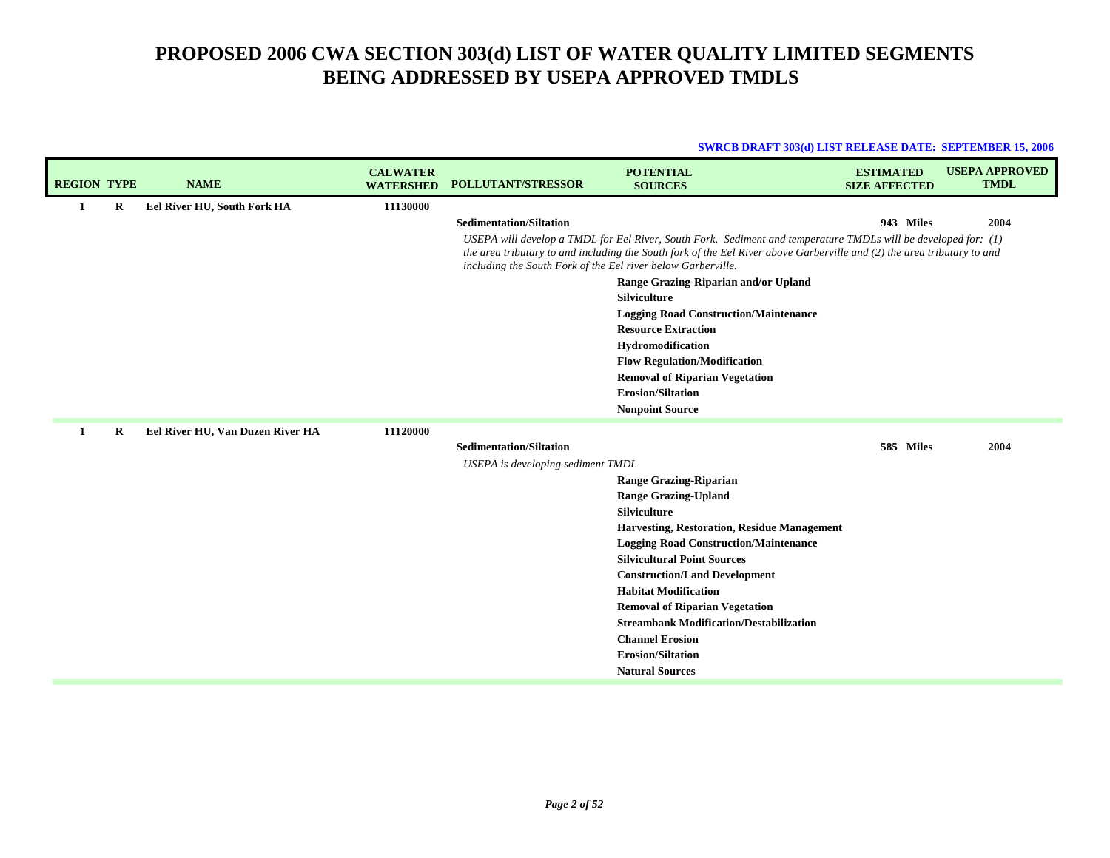| <b>SWRCB DRAFT 303(d) LIST RELEASE DATE: SEPTEMBER 15, 2006</b> |  |
|-----------------------------------------------------------------|--|
|                                                                 |  |

| <b>REGION TYPE</b> |         | <b>NAME</b>                      | <b>CALWATER</b><br><b>WATERSHED</b> | <b>POLLUTANT/STRESSOR</b>                                    | <b>POTENTIAL</b><br><b>SOURCES</b>                                                                                                                                                                                                        | <b>ESTIMATED</b><br><b>SIZE AFFECTED</b> | <b>USEPA APPROVED</b><br><b>TMDL</b> |
|--------------------|---------|----------------------------------|-------------------------------------|--------------------------------------------------------------|-------------------------------------------------------------------------------------------------------------------------------------------------------------------------------------------------------------------------------------------|------------------------------------------|--------------------------------------|
| 1                  | R       | Eel River HU, South Fork HA      | 11130000                            |                                                              |                                                                                                                                                                                                                                           |                                          |                                      |
|                    |         |                                  |                                     | <b>Sedimentation/Siltation</b>                               |                                                                                                                                                                                                                                           | 943 Miles                                | 2004                                 |
|                    |         |                                  |                                     | including the South Fork of the Eel river below Garberville. | USEPA will develop a TMDL for Eel River, South Fork. Sediment and temperature TMDLs will be developed for: (1)<br>the area tributary to and including the South fork of the Eel River above Garberville and (2) the area tributary to and |                                          |                                      |
|                    |         |                                  |                                     |                                                              | Range Grazing-Riparian and/or Upland                                                                                                                                                                                                      |                                          |                                      |
|                    |         |                                  |                                     |                                                              | Silviculture                                                                                                                                                                                                                              |                                          |                                      |
|                    |         |                                  |                                     |                                                              | <b>Logging Road Construction/Maintenance</b><br><b>Resource Extraction</b>                                                                                                                                                                |                                          |                                      |
|                    |         |                                  |                                     |                                                              | Hydromodification                                                                                                                                                                                                                         |                                          |                                      |
|                    |         |                                  |                                     |                                                              | <b>Flow Regulation/Modification</b>                                                                                                                                                                                                       |                                          |                                      |
|                    |         |                                  |                                     |                                                              | <b>Removal of Riparian Vegetation</b>                                                                                                                                                                                                     |                                          |                                      |
|                    |         |                                  |                                     |                                                              | <b>Erosion/Siltation</b>                                                                                                                                                                                                                  |                                          |                                      |
|                    |         |                                  |                                     |                                                              | <b>Nonpoint Source</b>                                                                                                                                                                                                                    |                                          |                                      |
|                    | $\bf R$ | Eel River HU, Van Duzen River HA | 11120000                            |                                                              |                                                                                                                                                                                                                                           |                                          |                                      |
|                    |         |                                  |                                     | <b>Sedimentation/Siltation</b>                               |                                                                                                                                                                                                                                           | 585 Miles                                | 2004                                 |
|                    |         |                                  |                                     | USEPA is developing sediment TMDL                            |                                                                                                                                                                                                                                           |                                          |                                      |
|                    |         |                                  |                                     |                                                              | <b>Range Grazing-Riparian</b>                                                                                                                                                                                                             |                                          |                                      |
|                    |         |                                  |                                     |                                                              | <b>Range Grazing-Upland</b><br>Silviculture                                                                                                                                                                                               |                                          |                                      |
|                    |         |                                  |                                     |                                                              | <b>Harvesting, Restoration, Residue Management</b>                                                                                                                                                                                        |                                          |                                      |
|                    |         |                                  |                                     |                                                              | <b>Logging Road Construction/Maintenance</b>                                                                                                                                                                                              |                                          |                                      |
|                    |         |                                  |                                     |                                                              | <b>Silvicultural Point Sources</b>                                                                                                                                                                                                        |                                          |                                      |
|                    |         |                                  |                                     |                                                              | <b>Construction/Land Development</b>                                                                                                                                                                                                      |                                          |                                      |
|                    |         |                                  |                                     |                                                              | <b>Habitat Modification</b>                                                                                                                                                                                                               |                                          |                                      |
|                    |         |                                  |                                     |                                                              | <b>Removal of Riparian Vegetation</b>                                                                                                                                                                                                     |                                          |                                      |
|                    |         |                                  |                                     |                                                              | <b>Streambank Modification/Destabilization</b>                                                                                                                                                                                            |                                          |                                      |
|                    |         |                                  |                                     |                                                              | <b>Channel Erosion</b>                                                                                                                                                                                                                    |                                          |                                      |
|                    |         |                                  |                                     |                                                              | <b>Erosion/Siltation</b><br><b>Natural Sources</b>                                                                                                                                                                                        |                                          |                                      |
|                    |         |                                  |                                     |                                                              |                                                                                                                                                                                                                                           |                                          |                                      |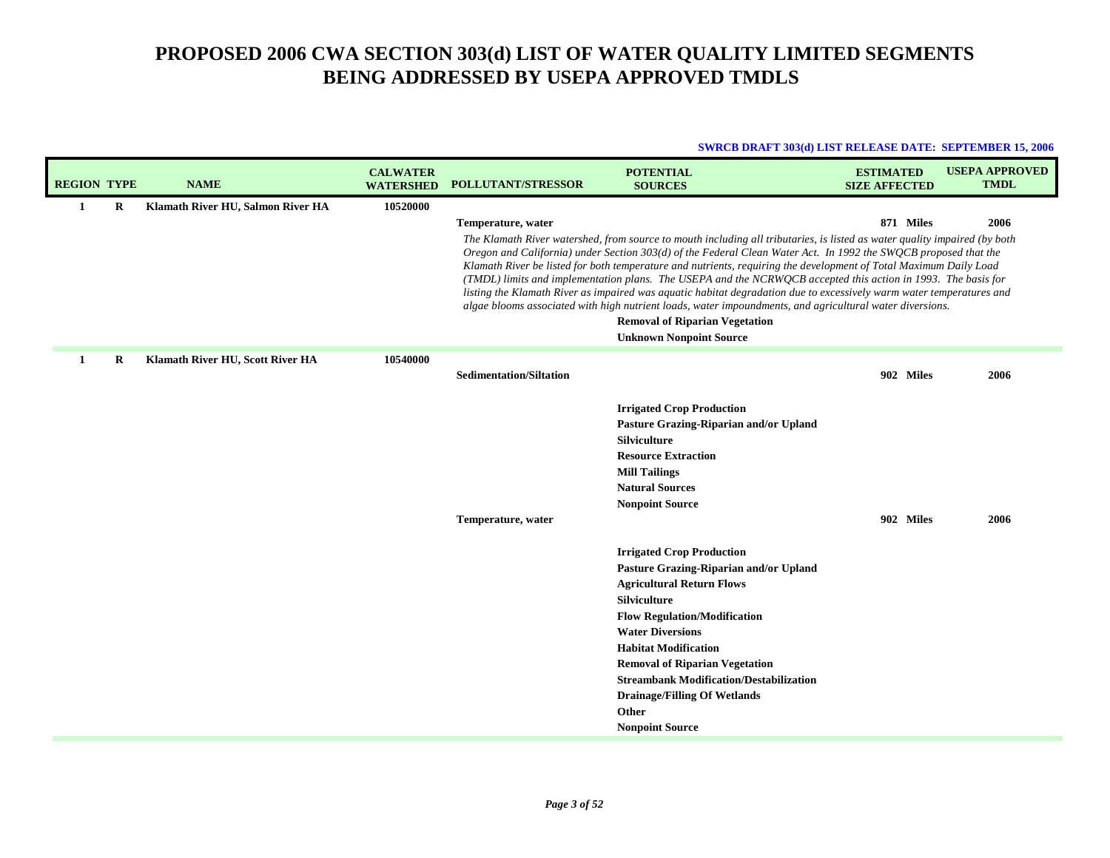| <b>REGION TYPE</b> | <b>NAME</b>                       | <b>CALWATER</b><br><b>WATERSHED</b> | <b>POLLUTANT/STRESSOR</b>                            | <b>POTENTIAL</b><br><b>SOURCES</b>                                                                                                                                                                                                                                                                                                                                                                                                                                                                                                                                                                                                                                                                                                                                                                | <b>ESTIMATED</b><br><b>SIZE AFFECTED</b> | <b>USEPA APPROVED</b><br><b>TMDL</b> |
|--------------------|-----------------------------------|-------------------------------------|------------------------------------------------------|---------------------------------------------------------------------------------------------------------------------------------------------------------------------------------------------------------------------------------------------------------------------------------------------------------------------------------------------------------------------------------------------------------------------------------------------------------------------------------------------------------------------------------------------------------------------------------------------------------------------------------------------------------------------------------------------------------------------------------------------------------------------------------------------------|------------------------------------------|--------------------------------------|
| R<br>1             | Klamath River HU, Salmon River HA | 10520000                            | Temperature, water                                   | The Klamath River watershed, from source to mouth including all tributaries, is listed as water quality impaired (by both<br>Oregon and California) under Section 303(d) of the Federal Clean Water Act. In 1992 the SWQCB proposed that the<br>Klamath River be listed for both temperature and nutrients, requiring the development of Total Maximum Daily Load<br>(TMDL) limits and implementation plans. The USEPA and the NCRWQCB accepted this action in 1993. The basis for<br>listing the Klamath River as impaired was aquatic habitat degradation due to excessively warm water temperatures and<br>algae blooms associated with high nutrient loads, water impoundments, and agricultural water diversions.<br><b>Removal of Riparian Vegetation</b><br><b>Unknown Nonpoint Source</b> | 871 Miles                                | 2006                                 |
| R<br>1             | Klamath River HU, Scott River HA  | 10540000                            | <b>Sedimentation/Siltation</b><br>Temperature, water | <b>Irrigated Crop Production</b><br>Pasture Grazing-Riparian and/or Upland<br><b>Silviculture</b><br><b>Resource Extraction</b><br><b>Mill Tailings</b><br><b>Natural Sources</b><br><b>Nonpoint Source</b><br><b>Irrigated Crop Production</b><br>Pasture Grazing-Riparian and/or Upland<br><b>Agricultural Return Flows</b><br>Silviculture<br><b>Flow Regulation/Modification</b><br><b>Water Diversions</b><br><b>Habitat Modification</b><br><b>Removal of Riparian Vegetation</b><br><b>Streambank Modification/Destabilization</b><br><b>Drainage/Filling Of Wetlands</b>                                                                                                                                                                                                                  | 902 Miles<br>902 Miles                   | 2006<br>2006                         |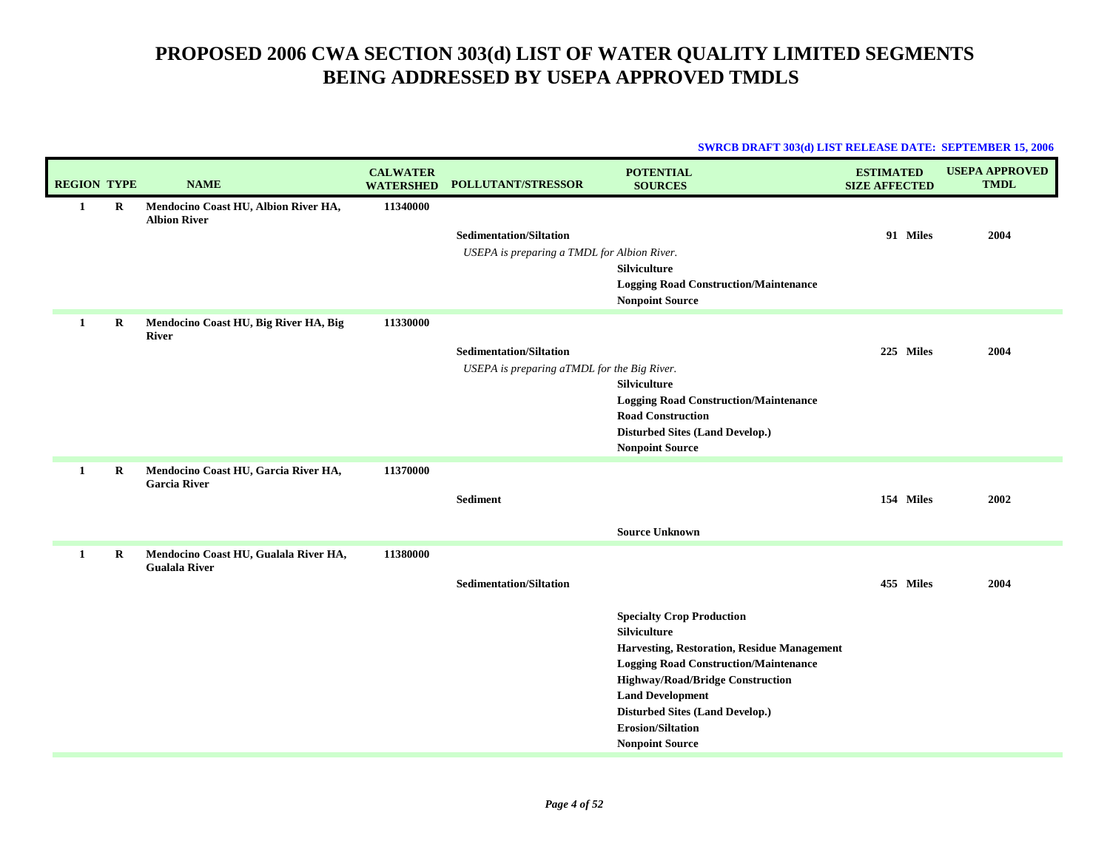| <b>REGION TYPE</b> |             | <b>NAME</b>                                                 | <b>CALWATER</b><br><b>WATERSHED</b> | POLLUTANT/STRESSOR                          | <b>POTENTIAL</b><br><b>SOURCES</b>                                                      | <b>ESTIMATED</b><br><b>SIZE AFFECTED</b> | <b>USEPA APPROVED</b><br><b>TMDL</b> |
|--------------------|-------------|-------------------------------------------------------------|-------------------------------------|---------------------------------------------|-----------------------------------------------------------------------------------------|------------------------------------------|--------------------------------------|
| $\mathbf{1}$       | $\mathbf R$ | Mendocino Coast HU, Albion River HA,<br><b>Albion River</b> | 11340000                            |                                             |                                                                                         |                                          |                                      |
|                    |             |                                                             |                                     | <b>Sedimentation/Siltation</b>              |                                                                                         | 91 Miles                                 | 2004                                 |
|                    |             |                                                             |                                     | USEPA is preparing a TMDL for Albion River. |                                                                                         |                                          |                                      |
|                    |             |                                                             |                                     |                                             | <b>Silviculture</b>                                                                     |                                          |                                      |
|                    |             |                                                             |                                     |                                             | <b>Logging Road Construction/Maintenance</b><br><b>Nonpoint Source</b>                  |                                          |                                      |
| 1                  | $\bf R$     | Mendocino Coast HU, Big River HA, Big<br><b>River</b>       | 11330000                            |                                             |                                                                                         |                                          |                                      |
|                    |             |                                                             |                                     | <b>Sedimentation/Siltation</b>              |                                                                                         | 225 Miles                                | 2004                                 |
|                    |             |                                                             |                                     | USEPA is preparing aTMDL for the Big River. |                                                                                         |                                          |                                      |
|                    |             |                                                             |                                     |                                             | Silviculture                                                                            |                                          |                                      |
|                    |             |                                                             |                                     |                                             | <b>Logging Road Construction/Maintenance</b><br><b>Road Construction</b>                |                                          |                                      |
|                    |             |                                                             |                                     |                                             | <b>Disturbed Sites (Land Develop.)</b>                                                  |                                          |                                      |
|                    |             |                                                             |                                     |                                             | <b>Nonpoint Source</b>                                                                  |                                          |                                      |
| 1                  | $\bf{R}$    | Mendocino Coast HU, Garcia River HA,<br><b>Garcia River</b> | 11370000                            |                                             |                                                                                         |                                          |                                      |
|                    |             |                                                             |                                     | <b>Sediment</b>                             |                                                                                         | 154 Miles                                | 2002                                 |
|                    |             |                                                             |                                     |                                             | <b>Source Unknown</b>                                                                   |                                          |                                      |
| 1                  | $\bf R$     | Mendocino Coast HU, Gualala River HA,                       | 11380000                            |                                             |                                                                                         |                                          |                                      |
|                    |             | <b>Gualala River</b>                                        |                                     |                                             |                                                                                         |                                          |                                      |
|                    |             |                                                             |                                     | <b>Sedimentation/Siltation</b>              |                                                                                         | 455 Miles                                | 2004                                 |
|                    |             |                                                             |                                     |                                             | <b>Specialty Crop Production</b>                                                        |                                          |                                      |
|                    |             |                                                             |                                     |                                             | Silviculture                                                                            |                                          |                                      |
|                    |             |                                                             |                                     |                                             | Harvesting, Restoration, Residue Management                                             |                                          |                                      |
|                    |             |                                                             |                                     |                                             | <b>Logging Road Construction/Maintenance</b><br><b>Highway/Road/Bridge Construction</b> |                                          |                                      |
|                    |             |                                                             |                                     |                                             | <b>Land Development</b>                                                                 |                                          |                                      |
|                    |             |                                                             |                                     |                                             | <b>Disturbed Sites (Land Develop.)</b>                                                  |                                          |                                      |
|                    |             |                                                             |                                     |                                             | <b>Erosion/Siltation</b>                                                                |                                          |                                      |
|                    |             |                                                             |                                     |                                             | <b>Nonpoint Source</b>                                                                  |                                          |                                      |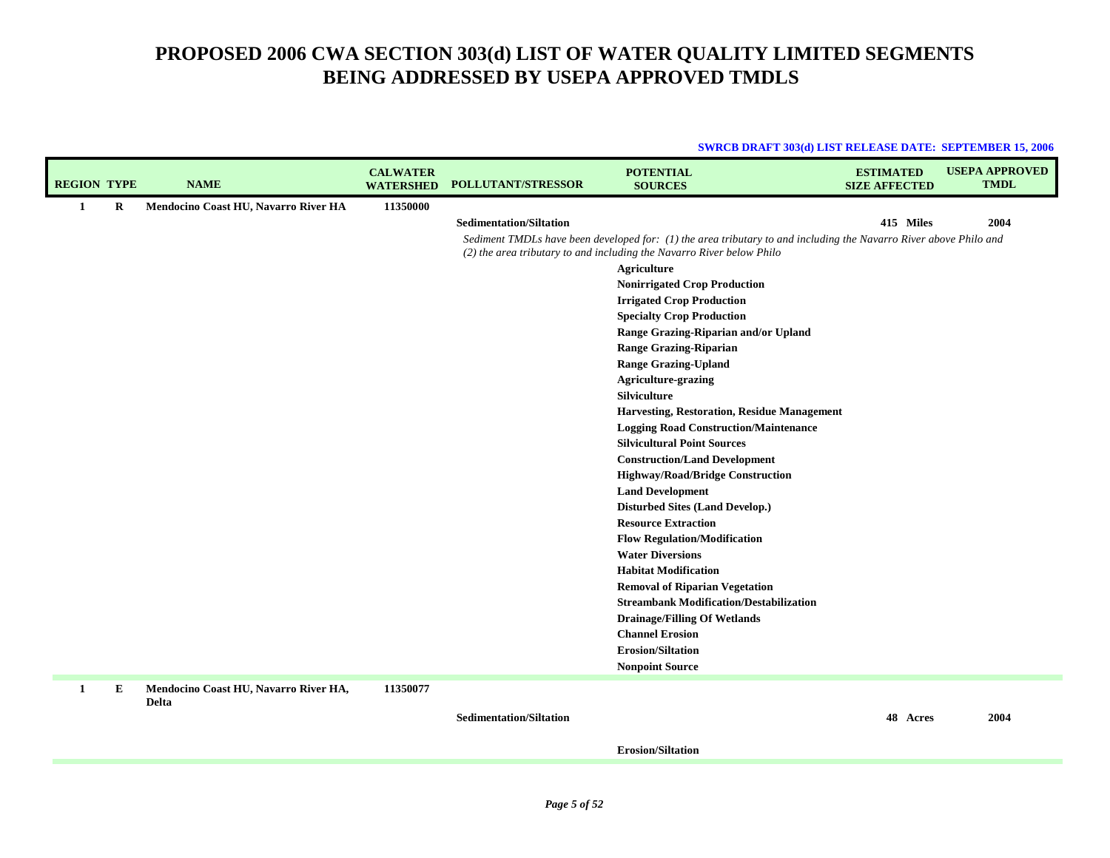| <b>SWRCB DRAFT 303(d) LIST RELEASE DATE: SEPTEMBER 15, 2006</b> |  |
|-----------------------------------------------------------------|--|
|                                                                 |  |

| <b>REGION TYPE</b> |         | <b>NAME</b>                           | <b>CALWATER</b><br><b>WATERSHED</b> | <b>POLLUTANT/STRESSOR</b>      | <b>POTENTIAL</b><br><b>SOURCES</b>                                                                                | <b>ESTIMATED</b><br><b>SIZE AFFECTED</b> | <b>USEPA APPROVED</b><br><b>TMDL</b> |
|--------------------|---------|---------------------------------------|-------------------------------------|--------------------------------|-------------------------------------------------------------------------------------------------------------------|------------------------------------------|--------------------------------------|
| $\mathbf{1}$       | $\bf R$ | Mendocino Coast HU, Navarro River HA  | 11350000                            |                                |                                                                                                                   |                                          |                                      |
|                    |         |                                       |                                     | <b>Sedimentation/Siltation</b> |                                                                                                                   | 415 Miles                                | 2004                                 |
|                    |         |                                       |                                     |                                | Sediment TMDLs have been developed for: (1) the area tributary to and including the Navarro River above Philo and |                                          |                                      |
|                    |         |                                       |                                     |                                | (2) the area tributary to and including the Navarro River below Philo                                             |                                          |                                      |
|                    |         |                                       |                                     |                                | Agriculture                                                                                                       |                                          |                                      |
|                    |         |                                       |                                     |                                | <b>Nonirrigated Crop Production</b>                                                                               |                                          |                                      |
|                    |         |                                       |                                     |                                | <b>Irrigated Crop Production</b>                                                                                  |                                          |                                      |
|                    |         |                                       |                                     |                                | <b>Specialty Crop Production</b>                                                                                  |                                          |                                      |
|                    |         |                                       |                                     |                                | Range Grazing-Riparian and/or Upland                                                                              |                                          |                                      |
|                    |         |                                       |                                     |                                | <b>Range Grazing-Riparian</b>                                                                                     |                                          |                                      |
|                    |         |                                       |                                     |                                | <b>Range Grazing-Upland</b>                                                                                       |                                          |                                      |
|                    |         |                                       |                                     |                                | <b>Agriculture-grazing</b>                                                                                        |                                          |                                      |
|                    |         |                                       |                                     |                                | <b>Silviculture</b>                                                                                               |                                          |                                      |
|                    |         |                                       |                                     |                                | Harvesting, Restoration, Residue Management<br><b>Logging Road Construction/Maintenance</b>                       |                                          |                                      |
|                    |         |                                       |                                     |                                | <b>Silvicultural Point Sources</b>                                                                                |                                          |                                      |
|                    |         |                                       |                                     |                                | <b>Construction/Land Development</b>                                                                              |                                          |                                      |
|                    |         |                                       |                                     |                                | <b>Highway/Road/Bridge Construction</b>                                                                           |                                          |                                      |
|                    |         |                                       |                                     |                                | <b>Land Development</b>                                                                                           |                                          |                                      |
|                    |         |                                       |                                     |                                | <b>Disturbed Sites (Land Develop.)</b>                                                                            |                                          |                                      |
|                    |         |                                       |                                     |                                | <b>Resource Extraction</b>                                                                                        |                                          |                                      |
|                    |         |                                       |                                     |                                | <b>Flow Regulation/Modification</b>                                                                               |                                          |                                      |
|                    |         |                                       |                                     |                                | <b>Water Diversions</b>                                                                                           |                                          |                                      |
|                    |         |                                       |                                     |                                | <b>Habitat Modification</b>                                                                                       |                                          |                                      |
|                    |         |                                       |                                     |                                | <b>Removal of Riparian Vegetation</b>                                                                             |                                          |                                      |
|                    |         |                                       |                                     |                                | <b>Streambank Modification/Destabilization</b>                                                                    |                                          |                                      |
|                    |         |                                       |                                     |                                | <b>Drainage/Filling Of Wetlands</b>                                                                               |                                          |                                      |
|                    |         |                                       |                                     |                                | <b>Channel Erosion</b>                                                                                            |                                          |                                      |
|                    |         |                                       |                                     |                                | <b>Erosion/Siltation</b>                                                                                          |                                          |                                      |
|                    |         |                                       |                                     |                                | <b>Nonpoint Source</b>                                                                                            |                                          |                                      |
| 1                  | Е       | Mendocino Coast HU, Navarro River HA, | 11350077                            |                                |                                                                                                                   |                                          |                                      |
|                    |         | <b>Delta</b>                          |                                     | $\alpha$ is a set to $\alpha$  |                                                                                                                   | $40 \pm 1$                               | 0.004                                |

**Sedimentation/Siltation**

**48 Acres 2004**

**Erosion/Siltation**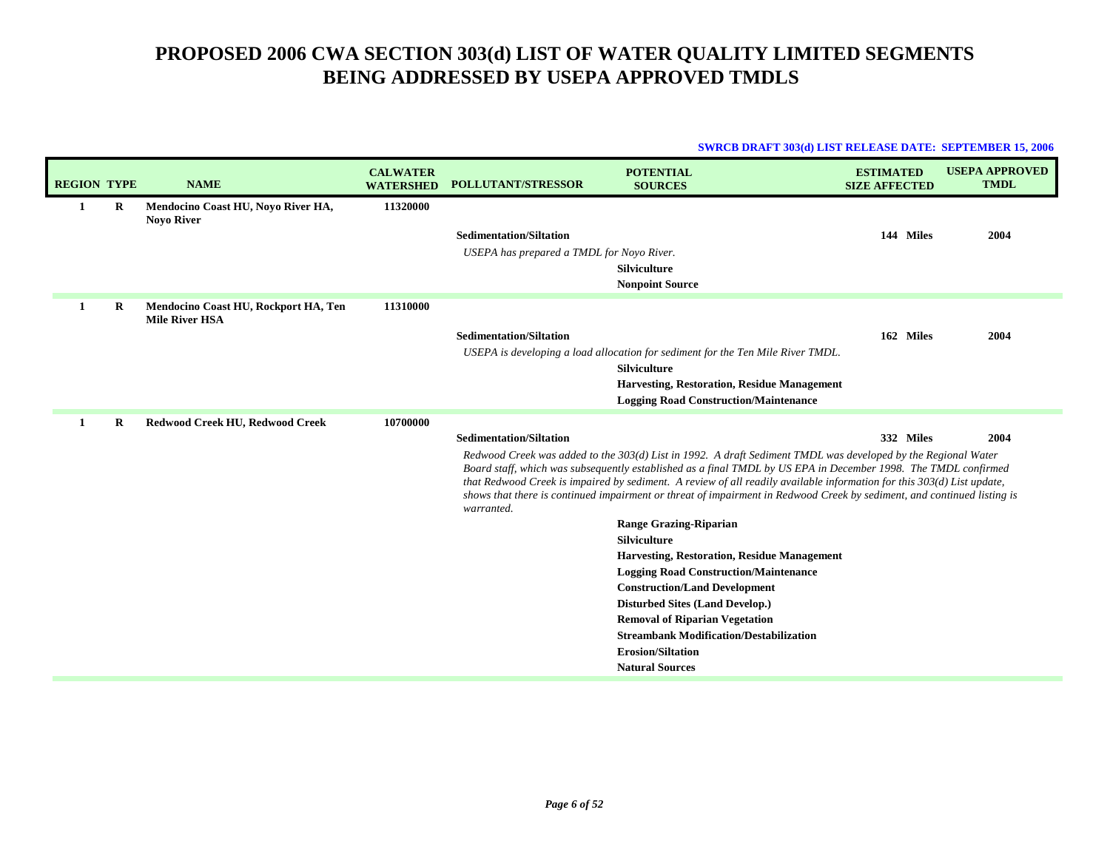| <b>REGION TYPE</b> |   | <b>NAME</b>                                                   | <b>CALWATER</b><br><b>WATERSHED</b> | <b>POLLUTANT/STRESSOR</b>                                                                                                                                                                                                                                                                                                                                                                                                                                                                          | <b>POTENTIAL</b><br><b>SOURCES</b>                                              | <b>ESTIMATED</b><br><b>SIZE AFFECTED</b> | <b>USEPA APPROVED</b><br><b>TMDL</b> |
|--------------------|---|---------------------------------------------------------------|-------------------------------------|----------------------------------------------------------------------------------------------------------------------------------------------------------------------------------------------------------------------------------------------------------------------------------------------------------------------------------------------------------------------------------------------------------------------------------------------------------------------------------------------------|---------------------------------------------------------------------------------|------------------------------------------|--------------------------------------|
| 1                  | R | Mendocino Coast HU, Noyo River HA,<br><b>Noyo River</b>       | 11320000                            |                                                                                                                                                                                                                                                                                                                                                                                                                                                                                                    |                                                                                 |                                          |                                      |
|                    |   |                                                               |                                     | <b>Sedimentation/Siltation</b>                                                                                                                                                                                                                                                                                                                                                                                                                                                                     |                                                                                 | 144 Miles                                | 2004                                 |
|                    |   |                                                               |                                     | USEPA has prepared a TMDL for Noyo River.                                                                                                                                                                                                                                                                                                                                                                                                                                                          |                                                                                 |                                          |                                      |
|                    |   |                                                               |                                     |                                                                                                                                                                                                                                                                                                                                                                                                                                                                                                    | <b>Silviculture</b>                                                             |                                          |                                      |
|                    |   |                                                               |                                     |                                                                                                                                                                                                                                                                                                                                                                                                                                                                                                    | <b>Nonpoint Source</b>                                                          |                                          |                                      |
| 1                  | R | Mendocino Coast HU, Rockport HA, Ten<br><b>Mile River HSA</b> | 11310000                            |                                                                                                                                                                                                                                                                                                                                                                                                                                                                                                    |                                                                                 |                                          |                                      |
|                    |   |                                                               |                                     | <b>Sedimentation/Siltation</b>                                                                                                                                                                                                                                                                                                                                                                                                                                                                     |                                                                                 | 162 Miles                                | 2004                                 |
|                    |   |                                                               |                                     |                                                                                                                                                                                                                                                                                                                                                                                                                                                                                                    | USEPA is developing a load allocation for sediment for the Ten Mile River TMDL. |                                          |                                      |
|                    |   |                                                               |                                     |                                                                                                                                                                                                                                                                                                                                                                                                                                                                                                    | <b>Silviculture</b>                                                             |                                          |                                      |
|                    |   |                                                               |                                     |                                                                                                                                                                                                                                                                                                                                                                                                                                                                                                    | <b>Harvesting, Restoration, Residue Management</b>                              |                                          |                                      |
|                    |   |                                                               |                                     |                                                                                                                                                                                                                                                                                                                                                                                                                                                                                                    | <b>Logging Road Construction/Maintenance</b>                                    |                                          |                                      |
| -1                 | R | Redwood Creek HU, Redwood Creek                               | 10700000                            |                                                                                                                                                                                                                                                                                                                                                                                                                                                                                                    |                                                                                 |                                          |                                      |
|                    |   |                                                               |                                     | <b>Sedimentation/Siltation</b>                                                                                                                                                                                                                                                                                                                                                                                                                                                                     |                                                                                 | 332 Miles                                | 2004                                 |
|                    |   |                                                               |                                     | Redwood Creek was added to the 303(d) List in 1992. A draft Sediment TMDL was developed by the Regional Water<br>Board staff, which was subsequently established as a final TMDL by US EPA in December 1998. The TMDL confirmed<br>that Redwood Creek is impaired by sediment. A review of all readily available information for this 303(d) List update,<br>shows that there is continued impairment or threat of impairment in Redwood Creek by sediment, and continued listing is<br>warranted. |                                                                                 |                                          |                                      |
|                    |   |                                                               |                                     |                                                                                                                                                                                                                                                                                                                                                                                                                                                                                                    | <b>Range Grazing-Riparian</b>                                                   |                                          |                                      |
|                    |   |                                                               |                                     |                                                                                                                                                                                                                                                                                                                                                                                                                                                                                                    | <b>Silviculture</b>                                                             |                                          |                                      |
|                    |   |                                                               |                                     |                                                                                                                                                                                                                                                                                                                                                                                                                                                                                                    | <b>Harvesting, Restoration, Residue Management</b>                              |                                          |                                      |
|                    |   |                                                               |                                     |                                                                                                                                                                                                                                                                                                                                                                                                                                                                                                    | <b>Logging Road Construction/Maintenance</b>                                    |                                          |                                      |
|                    |   |                                                               |                                     |                                                                                                                                                                                                                                                                                                                                                                                                                                                                                                    | <b>Construction/Land Development</b>                                            |                                          |                                      |
|                    |   |                                                               |                                     |                                                                                                                                                                                                                                                                                                                                                                                                                                                                                                    | <b>Disturbed Sites (Land Develop.)</b><br><b>Removal of Riparian Vegetation</b> |                                          |                                      |
|                    |   |                                                               |                                     |                                                                                                                                                                                                                                                                                                                                                                                                                                                                                                    | <b>Streambank Modification/Destabilization</b>                                  |                                          |                                      |
|                    |   |                                                               |                                     |                                                                                                                                                                                                                                                                                                                                                                                                                                                                                                    | <b>Erosion/Siltation</b>                                                        |                                          |                                      |
|                    |   |                                                               |                                     |                                                                                                                                                                                                                                                                                                                                                                                                                                                                                                    | <b>Natural Sources</b>                                                          |                                          |                                      |
|                    |   |                                                               |                                     |                                                                                                                                                                                                                                                                                                                                                                                                                                                                                                    |                                                                                 |                                          |                                      |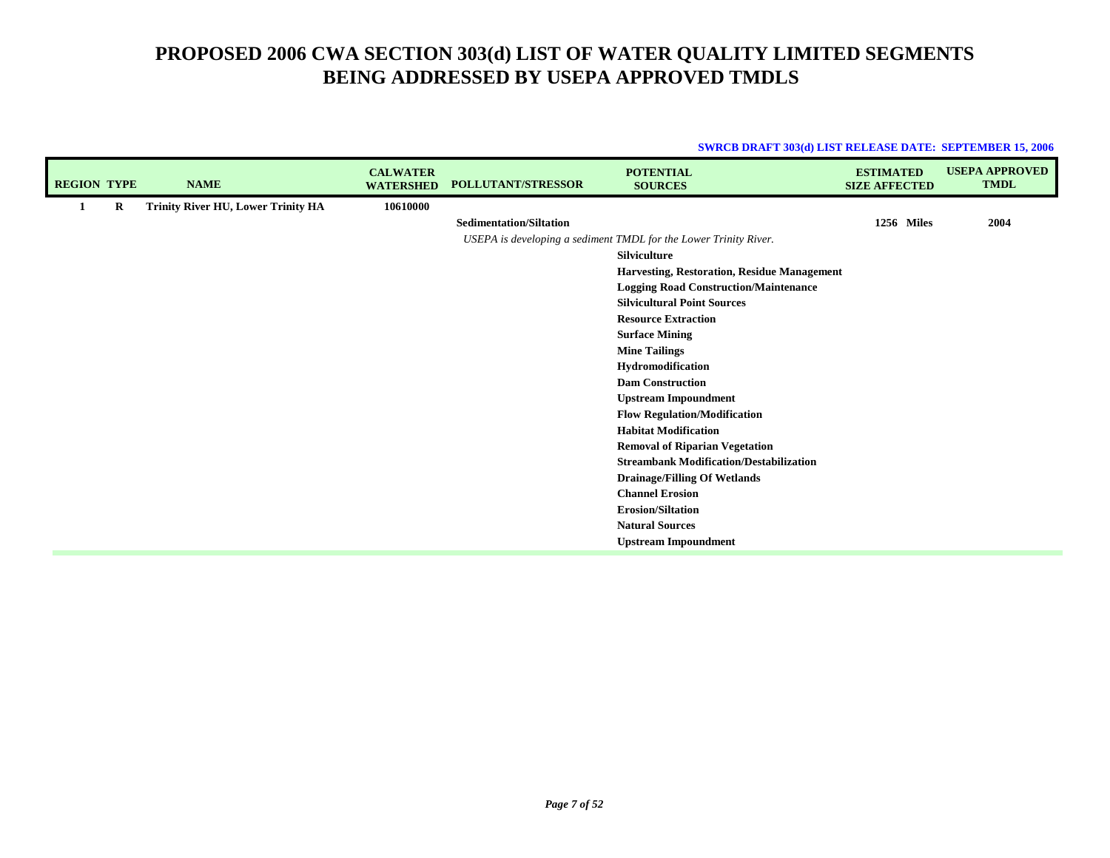| <b>REGION TYPE</b> |   | <b>NAME</b>                               | <b>CALWATER</b><br><b>WATERSHED</b> | <b>POLLUTANT/STRESSOR</b>      | <b>POTENTIAL</b><br><b>SOURCES</b>                               | <b>ESTIMATED</b><br><b>SIZE AFFECTED</b> | <b>USEPA APPROVED</b><br><b>TMDL</b> |
|--------------------|---|-------------------------------------------|-------------------------------------|--------------------------------|------------------------------------------------------------------|------------------------------------------|--------------------------------------|
| $\mathbf{1}$       | R | <b>Trinity River HU, Lower Trinity HA</b> | 10610000                            |                                |                                                                  |                                          |                                      |
|                    |   |                                           |                                     | <b>Sedimentation/Siltation</b> |                                                                  | 1256 Miles                               | 2004                                 |
|                    |   |                                           |                                     |                                | USEPA is developing a sediment TMDL for the Lower Trinity River. |                                          |                                      |
|                    |   |                                           |                                     |                                | <b>Silviculture</b>                                              |                                          |                                      |
|                    |   |                                           |                                     |                                | Harvesting, Restoration, Residue Management                      |                                          |                                      |
|                    |   |                                           |                                     |                                | <b>Logging Road Construction/Maintenance</b>                     |                                          |                                      |
|                    |   |                                           |                                     |                                | <b>Silvicultural Point Sources</b>                               |                                          |                                      |
|                    |   |                                           |                                     |                                | <b>Resource Extraction</b>                                       |                                          |                                      |
|                    |   |                                           |                                     |                                | <b>Surface Mining</b>                                            |                                          |                                      |
|                    |   |                                           |                                     |                                | <b>Mine Tailings</b>                                             |                                          |                                      |
|                    |   |                                           |                                     |                                | Hydromodification                                                |                                          |                                      |
|                    |   |                                           |                                     |                                | <b>Dam Construction</b>                                          |                                          |                                      |
|                    |   |                                           |                                     |                                | <b>Upstream Impoundment</b>                                      |                                          |                                      |
|                    |   |                                           |                                     |                                | <b>Flow Regulation/Modification</b>                              |                                          |                                      |
|                    |   |                                           |                                     |                                | <b>Habitat Modification</b>                                      |                                          |                                      |
|                    |   |                                           |                                     |                                | <b>Removal of Riparian Vegetation</b>                            |                                          |                                      |
|                    |   |                                           |                                     |                                | <b>Streambank Modification/Destabilization</b>                   |                                          |                                      |
|                    |   |                                           |                                     |                                | <b>Drainage/Filling Of Wetlands</b>                              |                                          |                                      |
|                    |   |                                           |                                     |                                | <b>Channel Erosion</b>                                           |                                          |                                      |
|                    |   |                                           |                                     |                                | <b>Erosion/Siltation</b>                                         |                                          |                                      |
|                    |   |                                           |                                     |                                | <b>Natural Sources</b>                                           |                                          |                                      |
|                    |   |                                           |                                     |                                | <b>Upstream Impoundment</b>                                      |                                          |                                      |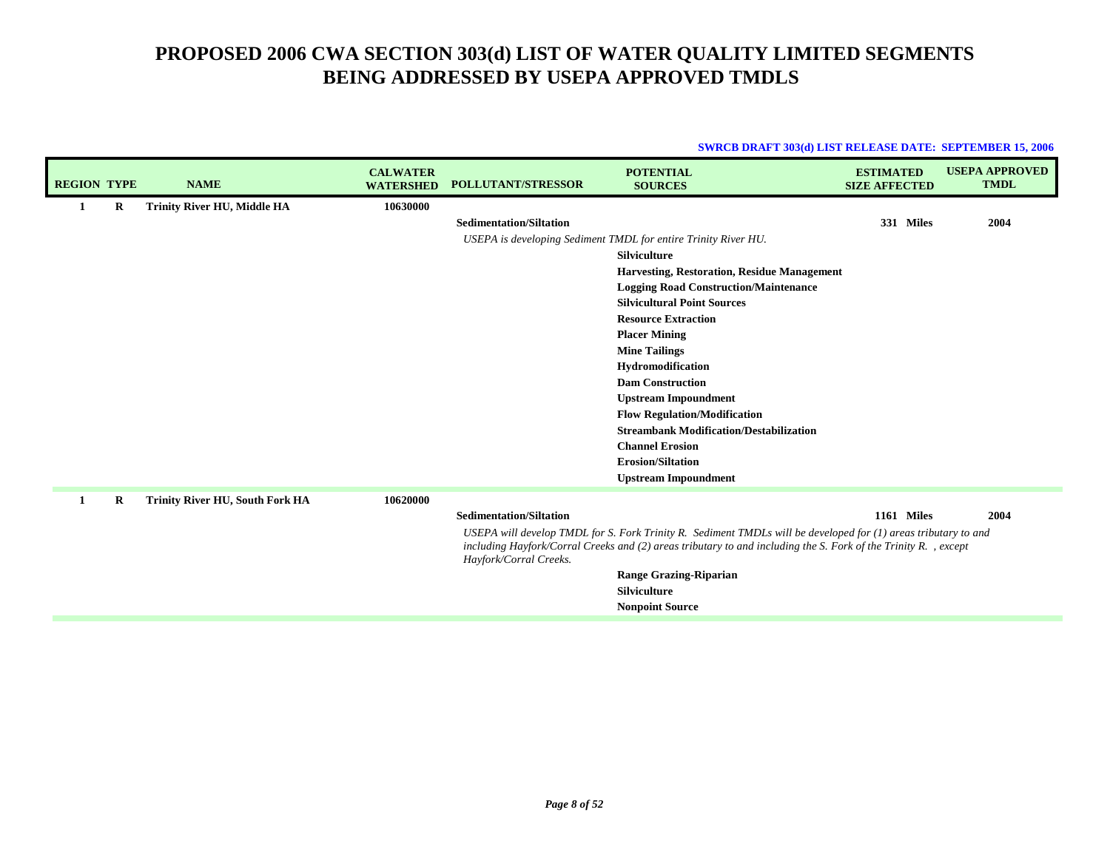| <b>REGION TYPE</b> |         | <b>NAME</b>                            | <b>CALWATER</b><br><b>WATERSHED</b> | <b>POLLUTANT/STRESSOR</b>                                | <b>POTENTIAL</b><br><b>SOURCES</b>                                                                                                                                                                                                                                                                                                                                                                                                                                               | <b>ESTIMATED</b><br><b>SIZE AFFECTED</b> | <b>USEPA APPROVED</b><br><b>TMDL</b> |
|--------------------|---------|----------------------------------------|-------------------------------------|----------------------------------------------------------|----------------------------------------------------------------------------------------------------------------------------------------------------------------------------------------------------------------------------------------------------------------------------------------------------------------------------------------------------------------------------------------------------------------------------------------------------------------------------------|------------------------------------------|--------------------------------------|
| 1                  | $\bf R$ | <b>Trinity River HU, Middle HA</b>     | 10630000                            | <b>Sedimentation/Siltation</b>                           | USEPA is developing Sediment TMDL for entire Trinity River HU.<br><b>Silviculture</b><br>Harvesting, Restoration, Residue Management<br><b>Logging Road Construction/Maintenance</b><br><b>Silvicultural Point Sources</b><br><b>Resource Extraction</b><br><b>Placer Mining</b><br><b>Mine Tailings</b><br>Hydromodification<br><b>Dam Construction</b><br><b>Upstream Impoundment</b><br><b>Flow Regulation/Modification</b><br><b>Streambank Modification/Destabilization</b> | 331 Miles                                | 2004                                 |
|                    |         |                                        |                                     |                                                          | <b>Channel Erosion</b><br><b>Erosion/Siltation</b><br><b>Upstream Impoundment</b>                                                                                                                                                                                                                                                                                                                                                                                                |                                          |                                      |
| 1                  | $\bf R$ | <b>Trinity River HU, South Fork HA</b> | 10620000                            | <b>Sedimentation/Siltation</b><br>Hayfork/Corral Creeks. | USEPA will develop TMDL for S. Fork Trinity R. Sediment TMDLs will be developed for (1) areas tributary to and<br>including Hayfork/Corral Creeks and (2) areas tributary to and including the S. Fork of the Trinity R., except<br><b>Range Grazing-Riparian</b><br><b>Silviculture</b><br><b>Nonpoint Source</b>                                                                                                                                                               | <b>1161 Miles</b>                        | 2004                                 |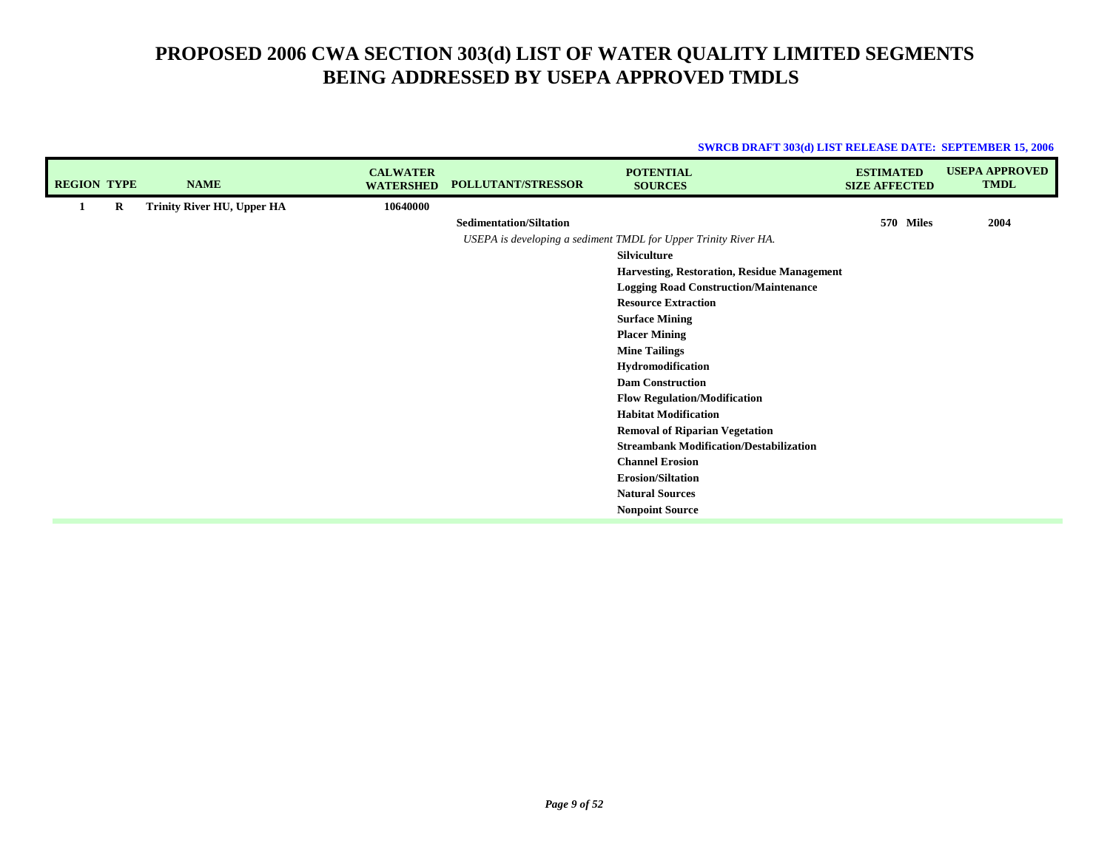| <b>REGION TYPE</b> |   | <b>NAME</b>                | <b>CALWATER</b><br><b>WATERSHED</b> | <b>POLLUTANT/STRESSOR</b>      | <b>POTENTIAL</b><br><b>SOURCES</b>                              | <b>ESTIMATED</b><br><b>SIZE AFFECTED</b> | <b>USEPA APPROVED</b><br><b>TMDL</b> |
|--------------------|---|----------------------------|-------------------------------------|--------------------------------|-----------------------------------------------------------------|------------------------------------------|--------------------------------------|
|                    | R | Trinity River HU, Upper HA | 10640000                            |                                |                                                                 |                                          |                                      |
|                    |   |                            |                                     | <b>Sedimentation/Siltation</b> |                                                                 | 570 Miles                                | 2004                                 |
|                    |   |                            |                                     |                                | USEPA is developing a sediment TMDL for Upper Trinity River HA. |                                          |                                      |
|                    |   |                            |                                     |                                | <b>Silviculture</b>                                             |                                          |                                      |
|                    |   |                            |                                     |                                | Harvesting, Restoration, Residue Management                     |                                          |                                      |
|                    |   |                            |                                     |                                | <b>Logging Road Construction/Maintenance</b>                    |                                          |                                      |
|                    |   |                            |                                     |                                | <b>Resource Extraction</b>                                      |                                          |                                      |
|                    |   |                            |                                     |                                | <b>Surface Mining</b>                                           |                                          |                                      |
|                    |   |                            |                                     |                                | <b>Placer Mining</b>                                            |                                          |                                      |
|                    |   |                            |                                     |                                | <b>Mine Tailings</b>                                            |                                          |                                      |
|                    |   |                            |                                     |                                | Hydromodification                                               |                                          |                                      |
|                    |   |                            |                                     |                                | <b>Dam Construction</b>                                         |                                          |                                      |
|                    |   |                            |                                     |                                | <b>Flow Regulation/Modification</b>                             |                                          |                                      |
|                    |   |                            |                                     |                                | <b>Habitat Modification</b>                                     |                                          |                                      |
|                    |   |                            |                                     |                                | <b>Removal of Riparian Vegetation</b>                           |                                          |                                      |
|                    |   |                            |                                     |                                | <b>Streambank Modification/Destabilization</b>                  |                                          |                                      |
|                    |   |                            |                                     |                                | <b>Channel Erosion</b>                                          |                                          |                                      |
|                    |   |                            |                                     |                                | <b>Erosion/Siltation</b>                                        |                                          |                                      |
|                    |   |                            |                                     |                                | <b>Natural Sources</b>                                          |                                          |                                      |
|                    |   |                            |                                     |                                | <b>Nonpoint Source</b>                                          |                                          |                                      |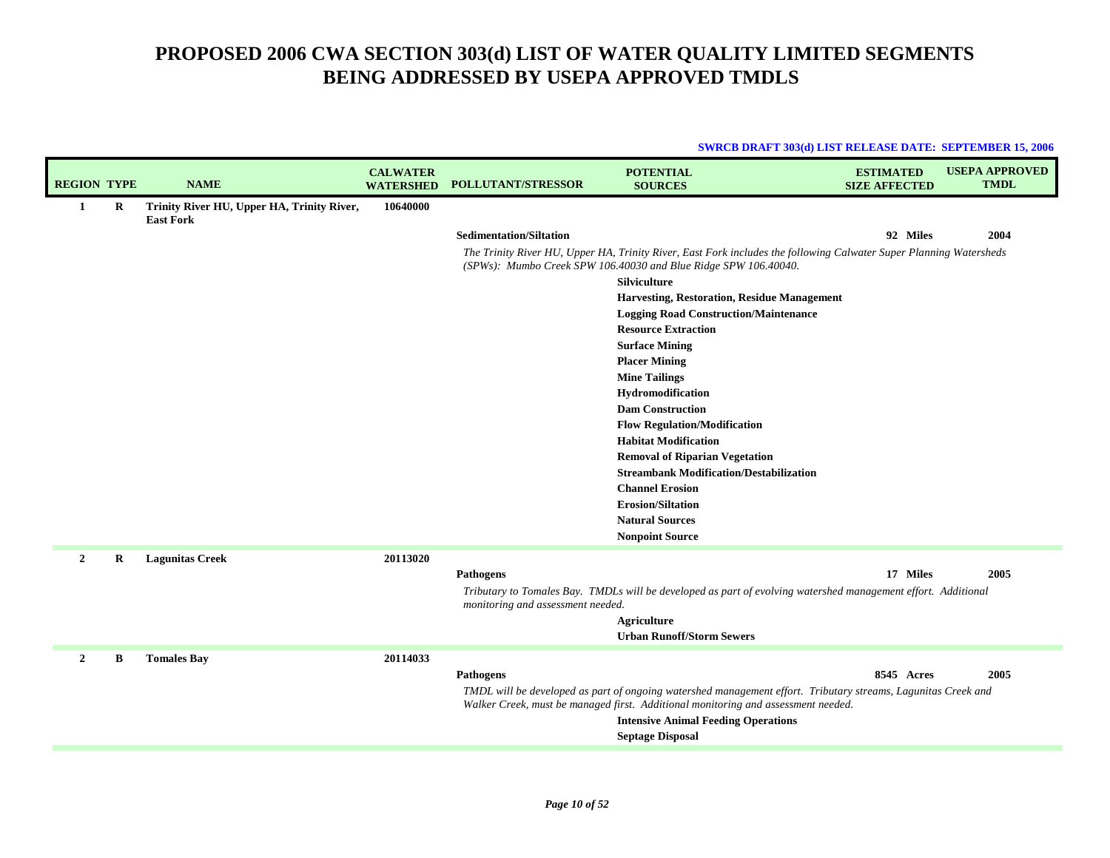|                    |         |                                                                |                                     |                                   |                                                                                                                                                                                       | <b>SWRCB DRAFT 303(d) LIST RELEASE DATE: SEPTEMBER 15, 2006</b> |                                      |
|--------------------|---------|----------------------------------------------------------------|-------------------------------------|-----------------------------------|---------------------------------------------------------------------------------------------------------------------------------------------------------------------------------------|-----------------------------------------------------------------|--------------------------------------|
| <b>REGION TYPE</b> |         | <b>NAME</b>                                                    | <b>CALWATER</b><br><b>WATERSHED</b> | <b>POLLUTANT/STRESSOR</b>         | <b>POTENTIAL</b><br><b>SOURCES</b>                                                                                                                                                    | <b>ESTIMATED</b><br><b>SIZE AFFECTED</b>                        | <b>USEPA APPROVED</b><br><b>TMDL</b> |
| -1                 | R       | Trinity River HU, Upper HA, Trinity River,<br><b>East Fork</b> | 10640000                            |                                   |                                                                                                                                                                                       |                                                                 |                                      |
|                    |         |                                                                |                                     | <b>Sedimentation/Siltation</b>    |                                                                                                                                                                                       | 92 Miles                                                        | 2004                                 |
|                    |         |                                                                |                                     |                                   | The Trinity River HU, Upper HA, Trinity River, East Fork includes the following Calwater Super Planning Watersheds<br>(SPWs): Mumbo Creek SPW 106.40030 and Blue Ridge SPW 106.40040. |                                                                 |                                      |
|                    |         |                                                                |                                     |                                   | Silviculture                                                                                                                                                                          |                                                                 |                                      |
|                    |         |                                                                |                                     |                                   | Harvesting, Restoration, Residue Management                                                                                                                                           |                                                                 |                                      |
|                    |         |                                                                |                                     |                                   | <b>Logging Road Construction/Maintenance</b>                                                                                                                                          |                                                                 |                                      |
|                    |         |                                                                |                                     |                                   | <b>Resource Extraction</b>                                                                                                                                                            |                                                                 |                                      |
|                    |         |                                                                |                                     |                                   | <b>Surface Mining</b>                                                                                                                                                                 |                                                                 |                                      |
|                    |         |                                                                |                                     |                                   | <b>Placer Mining</b>                                                                                                                                                                  |                                                                 |                                      |
|                    |         |                                                                |                                     |                                   | <b>Mine Tailings</b>                                                                                                                                                                  |                                                                 |                                      |
|                    |         |                                                                |                                     |                                   | Hydromodification                                                                                                                                                                     |                                                                 |                                      |
|                    |         |                                                                |                                     |                                   | <b>Dam Construction</b>                                                                                                                                                               |                                                                 |                                      |
|                    |         |                                                                |                                     |                                   | <b>Flow Regulation/Modification</b>                                                                                                                                                   |                                                                 |                                      |
|                    |         |                                                                |                                     |                                   | <b>Habitat Modification</b>                                                                                                                                                           |                                                                 |                                      |
|                    |         |                                                                |                                     |                                   | <b>Removal of Riparian Vegetation</b><br><b>Streambank Modification/Destabilization</b>                                                                                               |                                                                 |                                      |
|                    |         |                                                                |                                     |                                   | <b>Channel Erosion</b>                                                                                                                                                                |                                                                 |                                      |
|                    |         |                                                                |                                     |                                   | <b>Erosion/Siltation</b>                                                                                                                                                              |                                                                 |                                      |
|                    |         |                                                                |                                     |                                   | <b>Natural Sources</b>                                                                                                                                                                |                                                                 |                                      |
|                    |         |                                                                |                                     |                                   | <b>Nonpoint Source</b>                                                                                                                                                                |                                                                 |                                      |
|                    |         |                                                                |                                     |                                   |                                                                                                                                                                                       |                                                                 |                                      |
| $\overline{2}$     | $\bf R$ | <b>Lagunitas Creek</b>                                         | 20113020                            |                                   |                                                                                                                                                                                       |                                                                 |                                      |
|                    |         |                                                                |                                     | Pathogens                         |                                                                                                                                                                                       | 17 Miles                                                        | 2005                                 |
|                    |         |                                                                |                                     | monitoring and assessment needed. | Tributary to Tomales Bay. TMDLs will be developed as part of evolving watershed management effort. Additional                                                                         |                                                                 |                                      |
|                    |         |                                                                |                                     |                                   | <b>Agriculture</b>                                                                                                                                                                    |                                                                 |                                      |
|                    |         |                                                                |                                     |                                   | <b>Urban Runoff/Storm Sewers</b>                                                                                                                                                      |                                                                 |                                      |
| $\mathbf{2}$       |         |                                                                | 20114033                            |                                   |                                                                                                                                                                                       |                                                                 |                                      |
|                    | B       | <b>Tomales Bay</b>                                             |                                     | Pathogens                         |                                                                                                                                                                                       | 8545 Acres                                                      | 2005                                 |
|                    |         |                                                                |                                     |                                   | TMDL will be developed as part of ongoing watershed management effort. Tributary streams, Lagunitas Creek and                                                                         |                                                                 |                                      |
|                    |         |                                                                |                                     |                                   | Walker Creek, must be managed first. Additional monitoring and assessment needed.                                                                                                     |                                                                 |                                      |
|                    |         |                                                                |                                     |                                   | <b>Intensive Animal Feeding Operations</b>                                                                                                                                            |                                                                 |                                      |
|                    |         |                                                                |                                     |                                   | <b>Septage Disposal</b>                                                                                                                                                               |                                                                 |                                      |
|                    |         |                                                                |                                     |                                   |                                                                                                                                                                                       |                                                                 |                                      |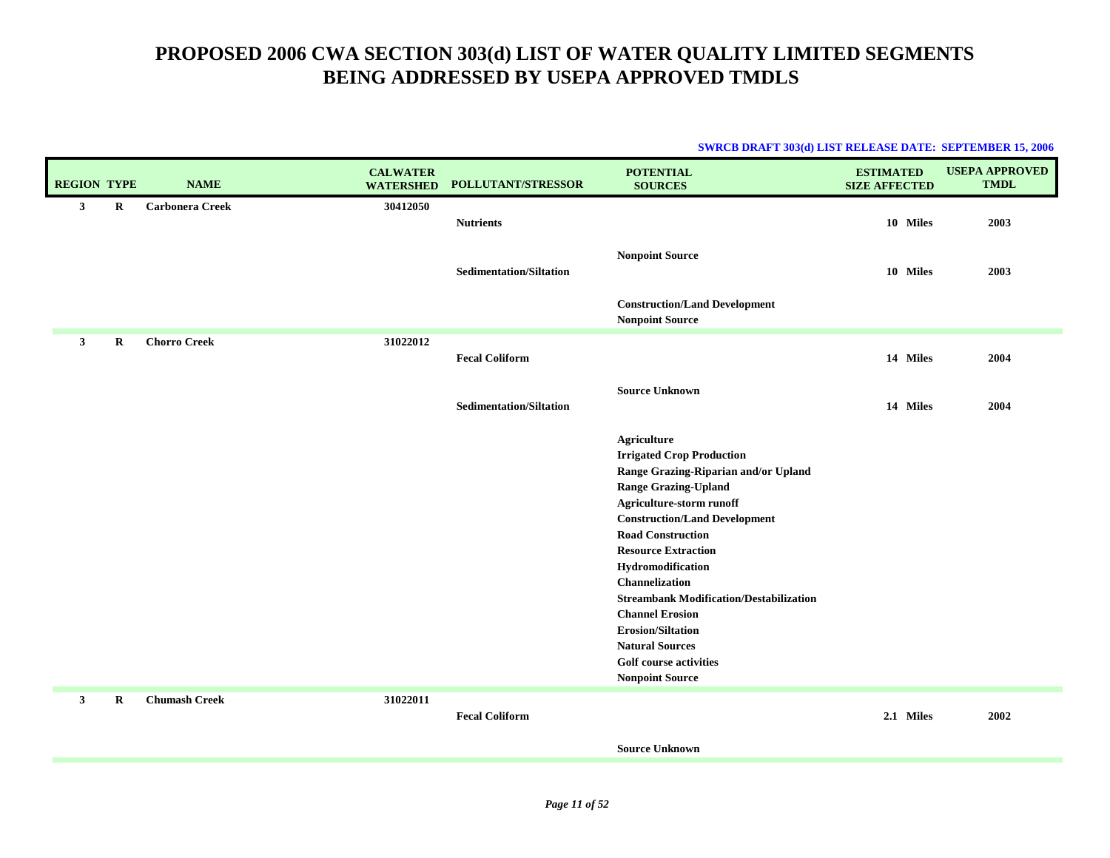| <b>REGION TYPE</b> |         | <b>NAME</b>            | <b>CALWATER</b><br><b>WATERSHED</b> | POLLUTANT/STRESSOR             | <b>POTENTIAL</b><br><b>SOURCES</b>                                                                                                                                                                                                                                                                                                                                                                                                                                                              | <b>ESTIMATED</b><br><b>SIZE AFFECTED</b> | <b>USEPA APPROVED</b><br><b>TMDL</b> |
|--------------------|---------|------------------------|-------------------------------------|--------------------------------|-------------------------------------------------------------------------------------------------------------------------------------------------------------------------------------------------------------------------------------------------------------------------------------------------------------------------------------------------------------------------------------------------------------------------------------------------------------------------------------------------|------------------------------------------|--------------------------------------|
| 3 <sup>1</sup>     | $\bf R$ | <b>Carbonera Creek</b> | 30412050                            | <b>Nutrients</b>               |                                                                                                                                                                                                                                                                                                                                                                                                                                                                                                 | 10 Miles                                 | 2003                                 |
|                    |         |                        |                                     | <b>Sedimentation/Siltation</b> | <b>Nonpoint Source</b>                                                                                                                                                                                                                                                                                                                                                                                                                                                                          | 10 Miles                                 | 2003                                 |
|                    |         |                        |                                     |                                | <b>Construction/Land Development</b><br><b>Nonpoint Source</b>                                                                                                                                                                                                                                                                                                                                                                                                                                  |                                          |                                      |
| $\mathbf{3}$       | R       | <b>Chorro Creek</b>    | 31022012                            | <b>Fecal Coliform</b>          |                                                                                                                                                                                                                                                                                                                                                                                                                                                                                                 | 14 Miles                                 | 2004                                 |
|                    |         |                        |                                     | <b>Sedimentation/Siltation</b> | <b>Source Unknown</b>                                                                                                                                                                                                                                                                                                                                                                                                                                                                           | 14 Miles                                 | 2004                                 |
|                    |         |                        |                                     |                                | <b>Agriculture</b><br><b>Irrigated Crop Production</b><br>Range Grazing-Riparian and/or Upland<br><b>Range Grazing-Upland</b><br>Agriculture-storm runoff<br><b>Construction/Land Development</b><br><b>Road Construction</b><br><b>Resource Extraction</b><br>Hydromodification<br>Channelization<br><b>Streambank Modification/Destabilization</b><br><b>Channel Erosion</b><br><b>Erosion/Siltation</b><br><b>Natural Sources</b><br><b>Golf course activities</b><br><b>Nonpoint Source</b> |                                          |                                      |
| $\mathbf{3}$       | R       | <b>Chumash Creek</b>   | 31022011                            | <b>Fecal Coliform</b>          |                                                                                                                                                                                                                                                                                                                                                                                                                                                                                                 | 2.1 Miles                                | 2002                                 |
|                    |         |                        |                                     |                                | <b>Source Unknown</b>                                                                                                                                                                                                                                                                                                                                                                                                                                                                           |                                          |                                      |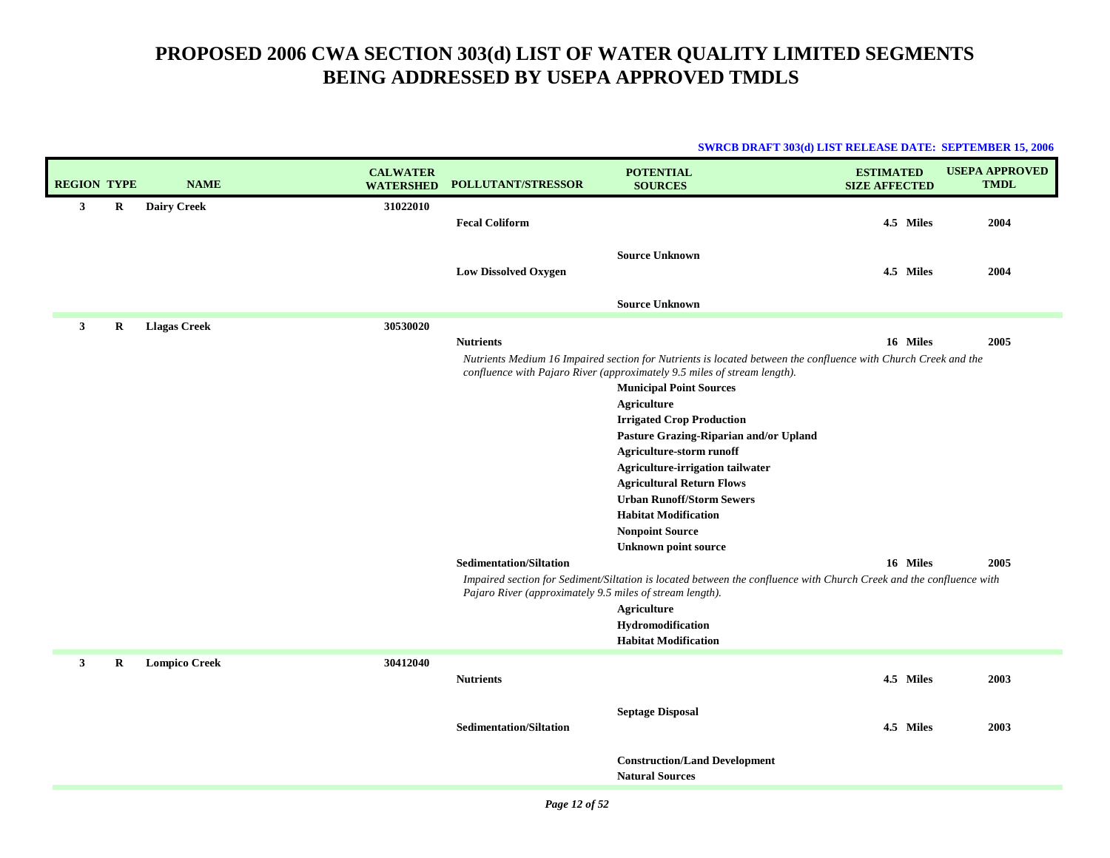| <b>REGION TYPE</b> |   | <b>NAME</b>          | <b>CALWATER</b><br><b>WATERSHED</b> | <b>POLLUTANT/STRESSOR</b>                                | <b>POTENTIAL</b><br><b>SOURCES</b>                                                                                                                                                                                                                                                                                                                                                                                                                                                                                                                               | <b>ESTIMATED</b><br><b>SIZE AFFECTED</b> | <b>USEPA APPROVED</b><br><b>TMDL</b> |
|--------------------|---|----------------------|-------------------------------------|----------------------------------------------------------|------------------------------------------------------------------------------------------------------------------------------------------------------------------------------------------------------------------------------------------------------------------------------------------------------------------------------------------------------------------------------------------------------------------------------------------------------------------------------------------------------------------------------------------------------------------|------------------------------------------|--------------------------------------|
| 3                  | R | <b>Dairy Creek</b>   | 31022010                            | <b>Fecal Coliform</b>                                    |                                                                                                                                                                                                                                                                                                                                                                                                                                                                                                                                                                  | 4.5 Miles                                | 2004                                 |
|                    |   |                      |                                     | <b>Low Dissolved Oxygen</b>                              | <b>Source Unknown</b>                                                                                                                                                                                                                                                                                                                                                                                                                                                                                                                                            | 4.5 Miles                                | 2004                                 |
|                    |   |                      |                                     |                                                          | <b>Source Unknown</b>                                                                                                                                                                                                                                                                                                                                                                                                                                                                                                                                            |                                          |                                      |
| $\mathbf{3}$       | R | <b>Llagas Creek</b>  | 30530020                            | <b>Nutrients</b><br><b>Sedimentation/Siltation</b>       | Nutrients Medium 16 Impaired section for Nutrients is located between the confluence with Church Creek and the<br>confluence with Pajaro River (approximately 9.5 miles of stream length).<br><b>Municipal Point Sources</b><br><b>Agriculture</b><br><b>Irrigated Crop Production</b><br>Pasture Grazing-Riparian and/or Upland<br>Agriculture-storm runoff<br>Agriculture-irrigation tailwater<br><b>Agricultural Return Flows</b><br><b>Urban Runoff/Storm Sewers</b><br><b>Habitat Modification</b><br><b>Nonpoint Source</b><br><b>Unknown point source</b> | 16 Miles<br>16 Miles                     | 2005<br>2005                         |
|                    |   |                      |                                     | Pajaro River (approximately 9.5 miles of stream length). | Impaired section for Sediment/Siltation is located between the confluence with Church Creek and the confluence with<br><b>Agriculture</b><br>Hydromodification<br><b>Habitat Modification</b>                                                                                                                                                                                                                                                                                                                                                                    |                                          |                                      |
| 3                  | R | <b>Lompico Creek</b> | 30412040                            | <b>Nutrients</b>                                         |                                                                                                                                                                                                                                                                                                                                                                                                                                                                                                                                                                  | 4.5 Miles                                | 2003                                 |
|                    |   |                      |                                     |                                                          |                                                                                                                                                                                                                                                                                                                                                                                                                                                                                                                                                                  |                                          |                                      |
|                    |   |                      |                                     | <b>Sedimentation/Siltation</b>                           | <b>Septage Disposal</b>                                                                                                                                                                                                                                                                                                                                                                                                                                                                                                                                          | 4.5 Miles                                | 2003                                 |
|                    |   |                      |                                     |                                                          | <b>Construction/Land Development</b><br><b>Natural Sources</b>                                                                                                                                                                                                                                                                                                                                                                                                                                                                                                   |                                          |                                      |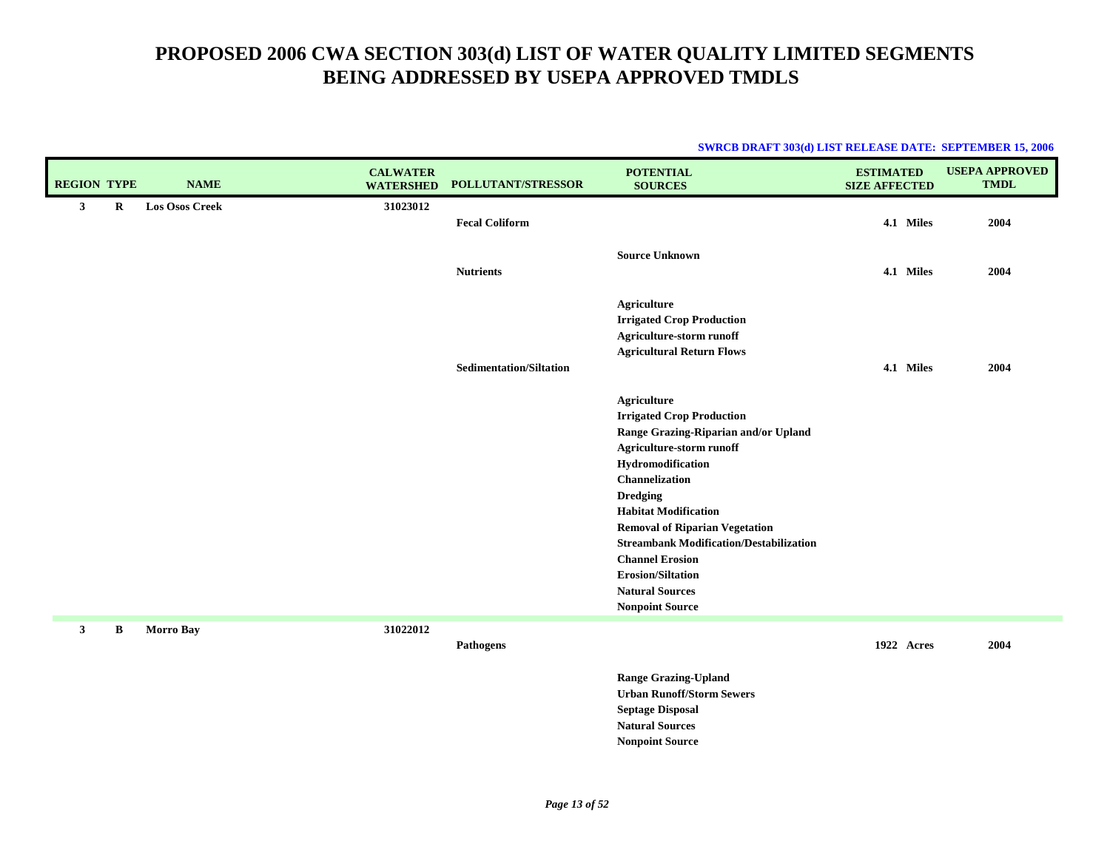| <b>SWRCB DRAFT 303(d) LIST RELEASE DATE: SEPTEMBER 15, 2006</b> |  |
|-----------------------------------------------------------------|--|
|                                                                 |  |

| <b>REGION TYPE</b> |             | <b>NAME</b>           | <b>CALWATER</b><br><b>WATERSHED</b> | POLLUTANT/STRESSOR             | <b>POTENTIAL</b><br><b>SOURCES</b>                                                                                                                                                                                                                                                                                                                                                                                | <b>ESTIMATED</b><br><b>SIZE AFFECTED</b> | <b>USEPA APPROVED</b><br><b>TMDL</b> |
|--------------------|-------------|-----------------------|-------------------------------------|--------------------------------|-------------------------------------------------------------------------------------------------------------------------------------------------------------------------------------------------------------------------------------------------------------------------------------------------------------------------------------------------------------------------------------------------------------------|------------------------------------------|--------------------------------------|
| $\mathbf{3}$       | $\mathbf R$ | <b>Los Osos Creek</b> | 31023012                            | <b>Fecal Coliform</b>          |                                                                                                                                                                                                                                                                                                                                                                                                                   | 4.1 Miles                                | 2004                                 |
|                    |             |                       |                                     | <b>Nutrients</b>               | <b>Source Unknown</b>                                                                                                                                                                                                                                                                                                                                                                                             | 4.1 Miles                                | 2004                                 |
|                    |             |                       |                                     |                                | <b>Agriculture</b><br><b>Irrigated Crop Production</b><br>Agriculture-storm runoff<br><b>Agricultural Return Flows</b>                                                                                                                                                                                                                                                                                            |                                          |                                      |
|                    |             |                       |                                     | <b>Sedimentation/Siltation</b> |                                                                                                                                                                                                                                                                                                                                                                                                                   | 4.1 Miles                                | 2004                                 |
|                    |             |                       |                                     |                                | Agriculture<br><b>Irrigated Crop Production</b><br>Range Grazing-Riparian and/or Upland<br>Agriculture-storm runoff<br>Hydromodification<br>Channelization<br><b>Dredging</b><br><b>Habitat Modification</b><br><b>Removal of Riparian Vegetation</b><br><b>Streambank Modification/Destabilization</b><br><b>Channel Erosion</b><br><b>Erosion/Siltation</b><br><b>Natural Sources</b><br><b>Nonpoint Source</b> |                                          |                                      |
| $\mathbf{3}$       | В           | <b>Morro Bay</b>      | 31022012                            | Pathogens                      |                                                                                                                                                                                                                                                                                                                                                                                                                   | 1922 Acres                               | 2004                                 |
|                    |             |                       |                                     |                                | <b>Range Grazing-Upland</b><br><b>Urban Runoff/Storm Sewers</b><br><b>Septage Disposal</b>                                                                                                                                                                                                                                                                                                                        |                                          |                                      |

**Natural SourcesNonpoint Source**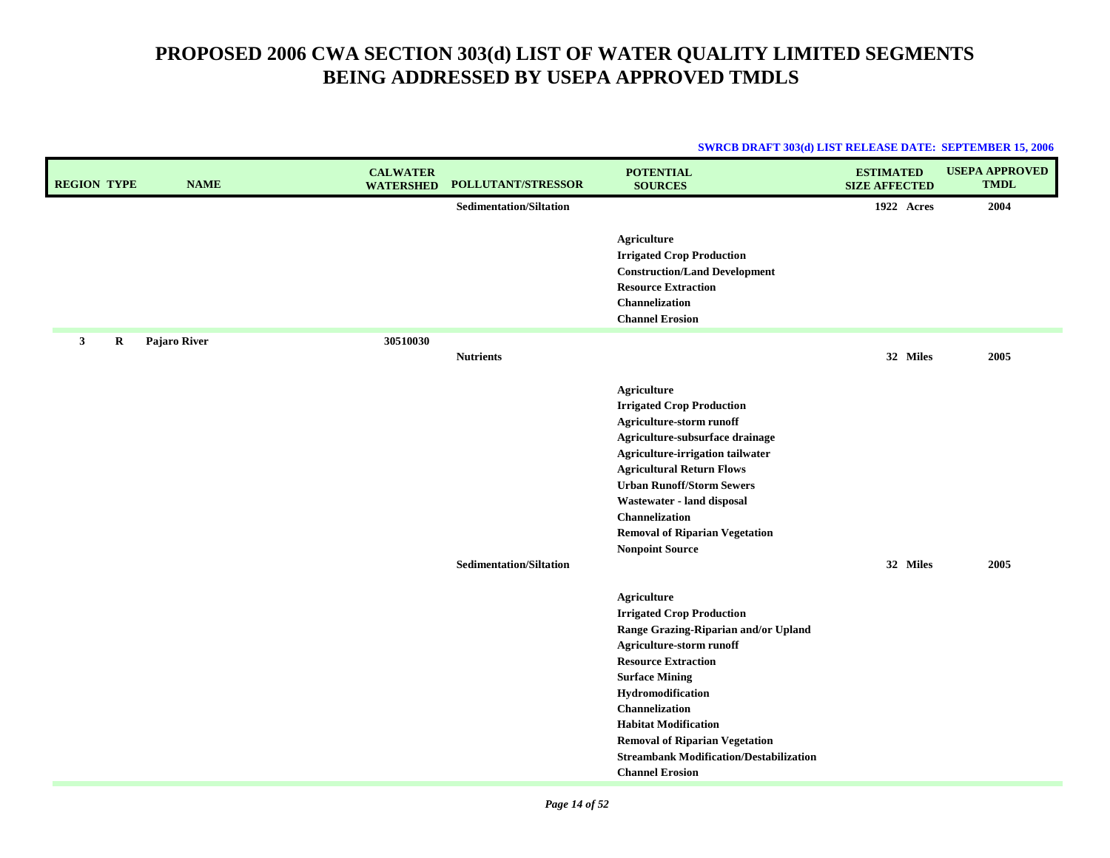| <b>REGION TYPE</b> | <b>NAME</b>  | <b>CALWATER</b><br><b>WATERSHED</b> | POLLUTANT/STRESSOR             | <b>POTENTIAL</b><br><b>SOURCES</b>                                                                                                                                                                                                                                                                                                                                           | <b>ESTIMATED</b><br><b>SIZE AFFECTED</b> | <b>USEPA APPROVED</b><br><b>TMDL</b> |
|--------------------|--------------|-------------------------------------|--------------------------------|------------------------------------------------------------------------------------------------------------------------------------------------------------------------------------------------------------------------------------------------------------------------------------------------------------------------------------------------------------------------------|------------------------------------------|--------------------------------------|
|                    |              |                                     | <b>Sedimentation/Siltation</b> |                                                                                                                                                                                                                                                                                                                                                                              | 1922 Acres                               | 2004                                 |
|                    |              |                                     |                                | <b>Agriculture</b><br><b>Irrigated Crop Production</b><br><b>Construction/Land Development</b><br><b>Resource Extraction</b><br>Channelization<br><b>Channel Erosion</b>                                                                                                                                                                                                     |                                          |                                      |
| 3<br>$\bf R$       | Pajaro River | 30510030                            |                                |                                                                                                                                                                                                                                                                                                                                                                              |                                          |                                      |
|                    |              |                                     | <b>Nutrients</b>               |                                                                                                                                                                                                                                                                                                                                                                              | 32 Miles                                 | 2005                                 |
|                    |              |                                     | <b>Sedimentation/Siltation</b> | Agriculture<br><b>Irrigated Crop Production</b><br>Agriculture-storm runoff<br>Agriculture-subsurface drainage<br>Agriculture-irrigation tailwater<br><b>Agricultural Return Flows</b><br><b>Urban Runoff/Storm Sewers</b><br>Wastewater - land disposal<br>Channelization<br><b>Removal of Riparian Vegetation</b><br><b>Nonpoint Source</b>                                | 32 Miles                                 | 2005                                 |
|                    |              |                                     |                                | <b>Agriculture</b><br><b>Irrigated Crop Production</b><br>Range Grazing-Riparian and/or Upland<br>Agriculture-storm runoff<br><b>Resource Extraction</b><br><b>Surface Mining</b><br>Hydromodification<br>Channelization<br><b>Habitat Modification</b><br><b>Removal of Riparian Vegetation</b><br><b>Streambank Modification/Destabilization</b><br><b>Channel Erosion</b> |                                          |                                      |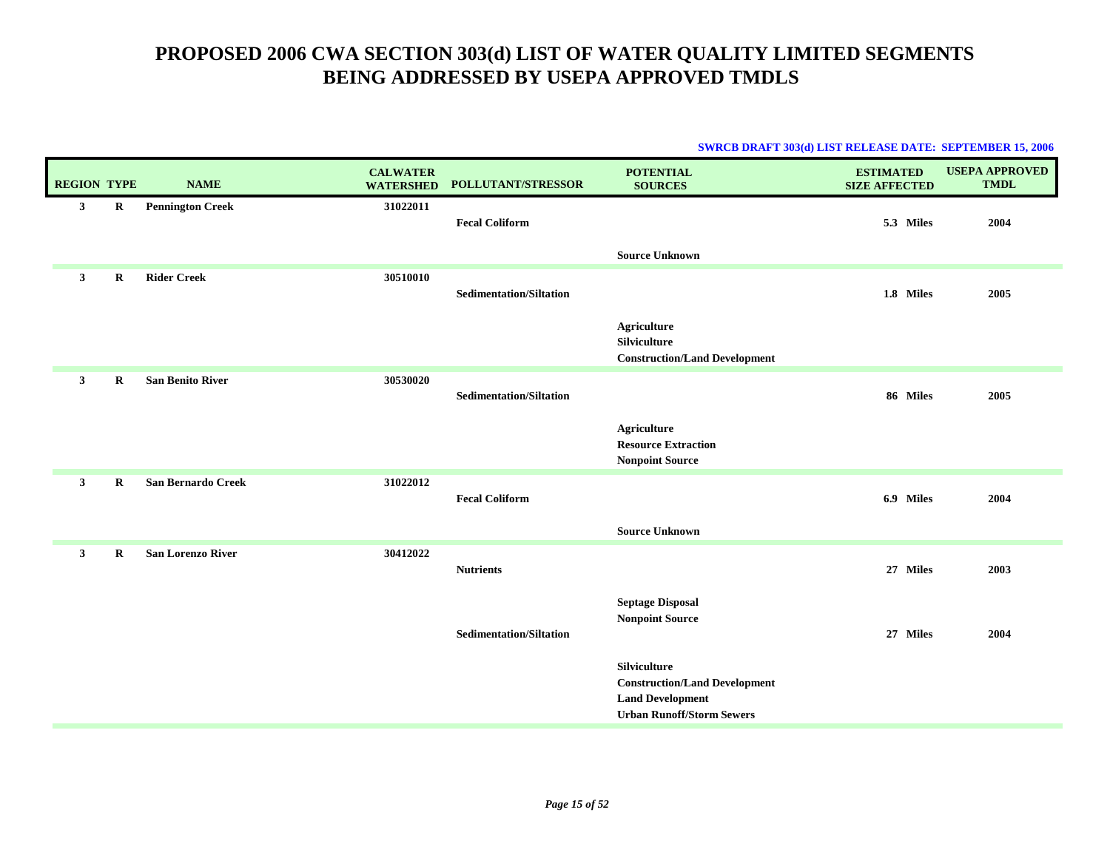|                    |             |                          |                                     |                                | <b>SWRCB DRAFT 303(d) LIST RELEASE DATE: SEPTEMBER 15, 2006</b> |                                          |                                      |
|--------------------|-------------|--------------------------|-------------------------------------|--------------------------------|-----------------------------------------------------------------|------------------------------------------|--------------------------------------|
| <b>REGION TYPE</b> |             | <b>NAME</b>              | <b>CALWATER</b><br><b>WATERSHED</b> | POLLUTANT/STRESSOR             | <b>POTENTIAL</b><br><b>SOURCES</b>                              | <b>ESTIMATED</b><br><b>SIZE AFFECTED</b> | <b>USEPA APPROVED</b><br><b>TMDL</b> |
| $\mathbf{3}$       | $\bf R$     | <b>Pennington Creek</b>  | 31022011                            |                                |                                                                 |                                          |                                      |
|                    |             |                          |                                     | <b>Fecal Coliform</b>          |                                                                 | 5.3 Miles                                | 2004                                 |
|                    |             |                          |                                     |                                | <b>Source Unknown</b>                                           |                                          |                                      |
| $\mathbf{3}$       | R           | <b>Rider Creek</b>       | 30510010                            |                                |                                                                 |                                          |                                      |
|                    |             |                          |                                     | <b>Sedimentation/Siltation</b> |                                                                 | 1.8 Miles                                | 2005                                 |
|                    |             |                          |                                     |                                | <b>Agriculture</b>                                              |                                          |                                      |
|                    |             |                          |                                     |                                | Silviculture<br><b>Construction/Land Development</b>            |                                          |                                      |
| $\mathbf{3}$       | $\mathbf R$ | <b>San Benito River</b>  | 30530020                            |                                |                                                                 |                                          |                                      |
|                    |             |                          |                                     | <b>Sedimentation/Siltation</b> |                                                                 | 86 Miles                                 | 2005                                 |
|                    |             |                          |                                     |                                | <b>Agriculture</b>                                              |                                          |                                      |
|                    |             |                          |                                     |                                | <b>Resource Extraction</b>                                      |                                          |                                      |
|                    |             |                          |                                     |                                | <b>Nonpoint Source</b>                                          |                                          |                                      |
| $\mathbf{3}$       | R           | San Bernardo Creek       | 31022012                            | <b>Fecal Coliform</b>          |                                                                 |                                          | 2004                                 |
|                    |             |                          |                                     |                                |                                                                 | 6.9 Miles                                |                                      |
|                    |             |                          |                                     |                                | <b>Source Unknown</b>                                           |                                          |                                      |
| $\mathbf{3}$       | $\bf{R}$    | <b>San Lorenzo River</b> | 30412022                            |                                |                                                                 |                                          |                                      |
|                    |             |                          |                                     | <b>Nutrients</b>               |                                                                 | 27 Miles                                 | 2003                                 |
|                    |             |                          |                                     |                                | <b>Septage Disposal</b>                                         |                                          |                                      |
|                    |             |                          |                                     | <b>Sedimentation/Siltation</b> | <b>Nonpoint Source</b>                                          | 27 Miles                                 | 2004                                 |
|                    |             |                          |                                     |                                |                                                                 |                                          |                                      |
|                    |             |                          |                                     |                                | Silviculture                                                    |                                          |                                      |
|                    |             |                          |                                     |                                | <b>Construction/Land Development</b><br><b>Land Development</b> |                                          |                                      |
|                    |             |                          |                                     |                                | <b>Urban Runoff/Storm Sewers</b>                                |                                          |                                      |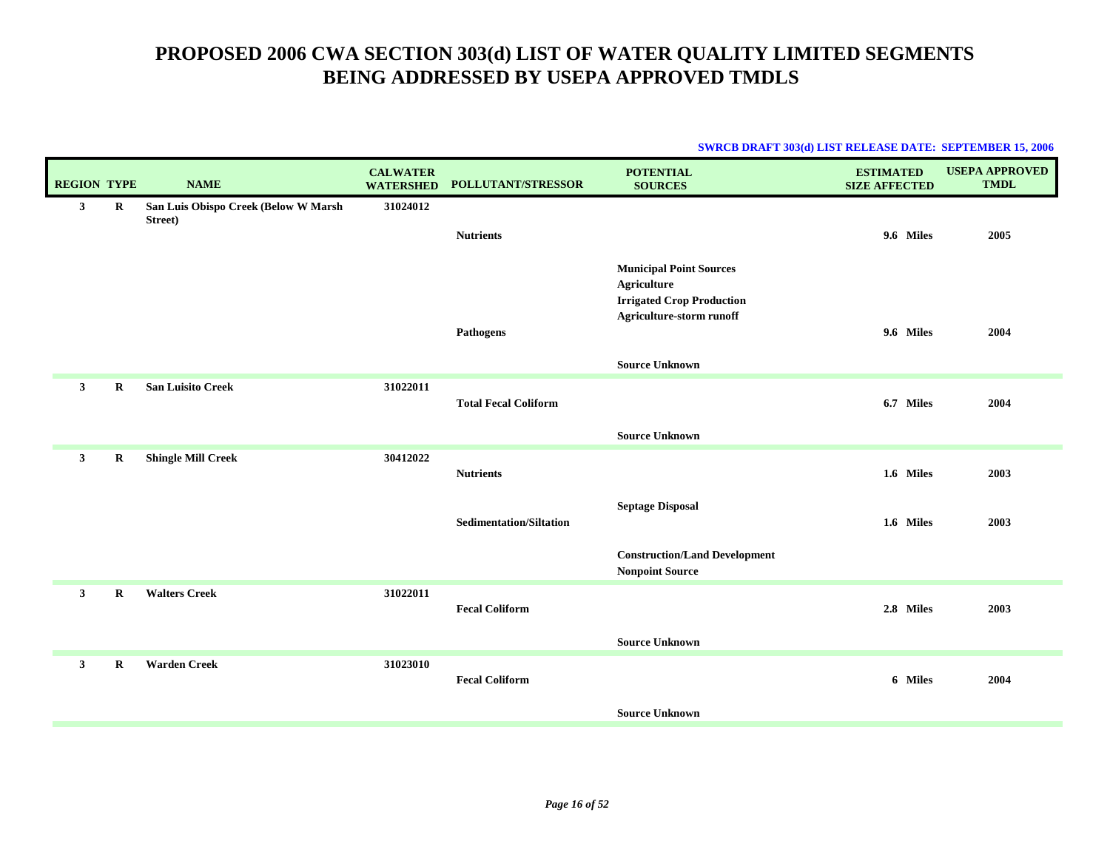| <b>REGION TYPE</b> |         | <b>NAME</b>                                     | <b>CALWATER</b><br><b>WATERSHED</b> | <b>POLLUTANT/STRESSOR</b>      | <b>POTENTIAL</b><br><b>SOURCES</b>                                                                                   | <b>ESTIMATED</b><br><b>SIZE AFFECTED</b> | <b>USEPA APPROVED</b><br><b>TMDL</b> |
|--------------------|---------|-------------------------------------------------|-------------------------------------|--------------------------------|----------------------------------------------------------------------------------------------------------------------|------------------------------------------|--------------------------------------|
| $\mathbf{3}$       | R       | San Luis Obispo Creek (Below W Marsh<br>Street) | 31024012                            |                                |                                                                                                                      |                                          |                                      |
|                    |         |                                                 |                                     | <b>Nutrients</b>               |                                                                                                                      | 9.6 Miles                                | 2005                                 |
|                    |         |                                                 |                                     | Pathogens                      | <b>Municipal Point Sources</b><br><b>Agriculture</b><br><b>Irrigated Crop Production</b><br>Agriculture-storm runoff | 9.6 Miles                                | 2004                                 |
|                    |         |                                                 |                                     |                                |                                                                                                                      |                                          |                                      |
|                    |         |                                                 |                                     |                                | <b>Source Unknown</b>                                                                                                |                                          |                                      |
| 3 <sup>1</sup>     | $\bf R$ | <b>San Luisito Creek</b>                        | 31022011                            | <b>Total Fecal Coliform</b>    |                                                                                                                      | 6.7 Miles                                | 2004                                 |
|                    |         |                                                 |                                     |                                | <b>Source Unknown</b>                                                                                                |                                          |                                      |
| 3 <sup>1</sup>     | $\bf R$ | <b>Shingle Mill Creek</b>                       | 30412022                            | <b>Nutrients</b>               |                                                                                                                      | 1.6 Miles                                | 2003                                 |
|                    |         |                                                 |                                     | <b>Sedimentation/Siltation</b> | <b>Septage Disposal</b>                                                                                              | 1.6 Miles                                | 2003                                 |
|                    |         |                                                 |                                     |                                | <b>Construction/Land Development</b><br><b>Nonpoint Source</b>                                                       |                                          |                                      |
| $\mathbf{3}$       | $\bf R$ | <b>Walters Creek</b>                            | 31022011                            | <b>Fecal Coliform</b>          |                                                                                                                      | 2.8 Miles                                | 2003                                 |
|                    |         |                                                 |                                     |                                | <b>Source Unknown</b>                                                                                                |                                          |                                      |
| $\mathbf{3}$       | $\bf R$ | <b>Warden Creek</b>                             | 31023010                            | <b>Fecal Coliform</b>          |                                                                                                                      | 6 Miles                                  | 2004                                 |
|                    |         |                                                 |                                     |                                | <b>Source Unknown</b>                                                                                                |                                          |                                      |
|                    |         |                                                 |                                     |                                |                                                                                                                      |                                          |                                      |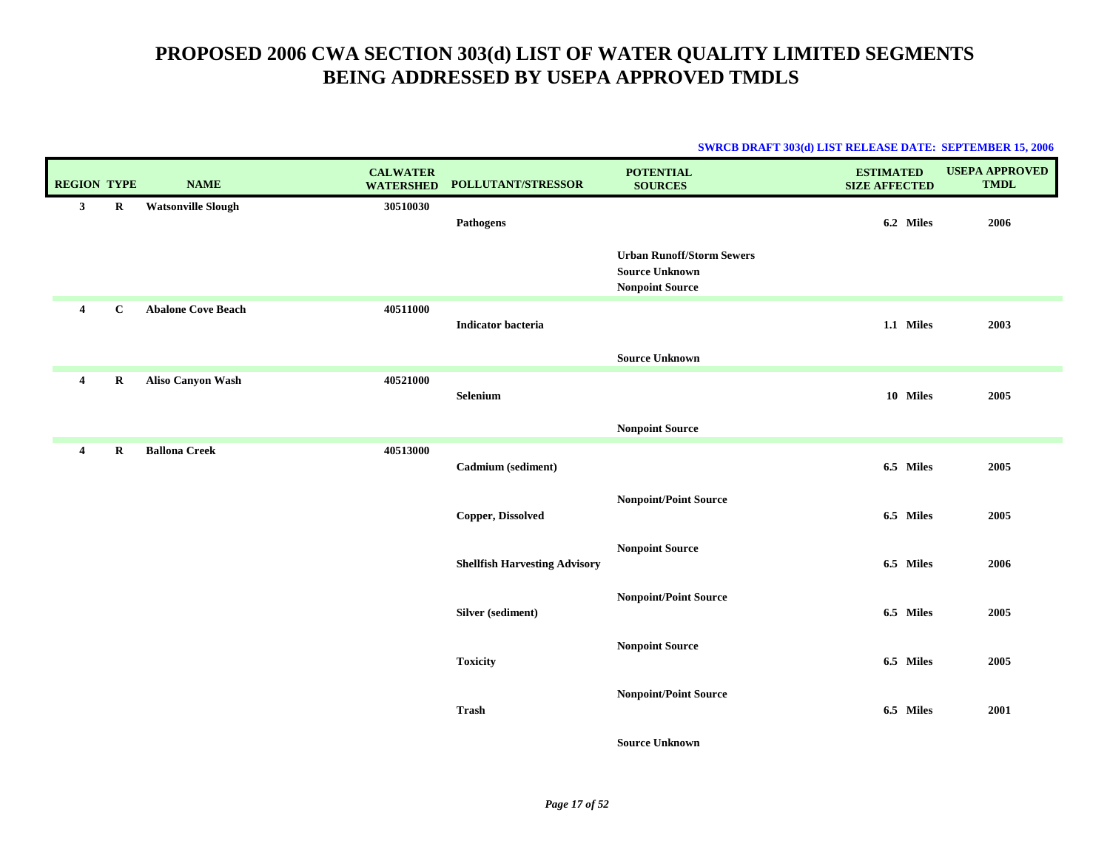|                    |              |                           |                                     |                                      |                                                                                     | <b>SWRCB DRAFT 303(d) LIST RELEASE DATE: SEPTEMBER 15, 2006</b> |                                      |
|--------------------|--------------|---------------------------|-------------------------------------|--------------------------------------|-------------------------------------------------------------------------------------|-----------------------------------------------------------------|--------------------------------------|
| <b>REGION TYPE</b> |              | <b>NAME</b>               | <b>CALWATER</b><br><b>WATERSHED</b> | POLLUTANT/STRESSOR                   | <b>POTENTIAL</b><br><b>SOURCES</b>                                                  | <b>ESTIMATED</b><br><b>SIZE AFFECTED</b>                        | <b>USEPA APPROVED</b><br><b>TMDL</b> |
| $3^{\circ}$        | $\bf R$      | <b>Watsonville Slough</b> | 30510030                            | <b>Pathogens</b>                     |                                                                                     | 6.2 Miles                                                       | 2006                                 |
|                    |              |                           |                                     |                                      | <b>Urban Runoff/Storm Sewers</b><br><b>Source Unknown</b><br><b>Nonpoint Source</b> |                                                                 |                                      |
| $\overline{4}$     | $\mathbf{C}$ | <b>Abalone Cove Beach</b> | 40511000                            | Indicator bacteria                   |                                                                                     | 1.1 Miles                                                       | 2003                                 |
|                    |              |                           |                                     |                                      | <b>Source Unknown</b>                                                               |                                                                 |                                      |
| $\overline{4}$     | $\mathbf R$  | <b>Aliso Canyon Wash</b>  | 40521000                            | Selenium                             |                                                                                     | 10 Miles                                                        | 2005                                 |
|                    |              |                           |                                     |                                      | <b>Nonpoint Source</b>                                                              |                                                                 |                                      |
| $\overline{4}$     | R            | <b>Ballona Creek</b>      | 40513000                            | Cadmium (sediment)                   |                                                                                     | 6.5 Miles                                                       | 2005                                 |
|                    |              |                           |                                     | Copper, Dissolved                    | <b>Nonpoint/Point Source</b>                                                        | 6.5 Miles                                                       | 2005                                 |
|                    |              |                           |                                     | <b>Shellfish Harvesting Advisory</b> | <b>Nonpoint Source</b>                                                              | 6.5 Miles                                                       | 2006                                 |
|                    |              |                           |                                     | Silver (sediment)                    | <b>Nonpoint/Point Source</b>                                                        | 6.5 Miles                                                       | 2005                                 |
|                    |              |                           |                                     | <b>Toxicity</b>                      | <b>Nonpoint Source</b>                                                              | 6.5 Miles                                                       | 2005                                 |
|                    |              |                           |                                     | <b>Trash</b>                         | <b>Nonpoint/Point Source</b>                                                        | 6.5 Miles                                                       | 2001                                 |
|                    |              |                           |                                     |                                      | <b>Source Unknown</b>                                                               |                                                                 |                                      |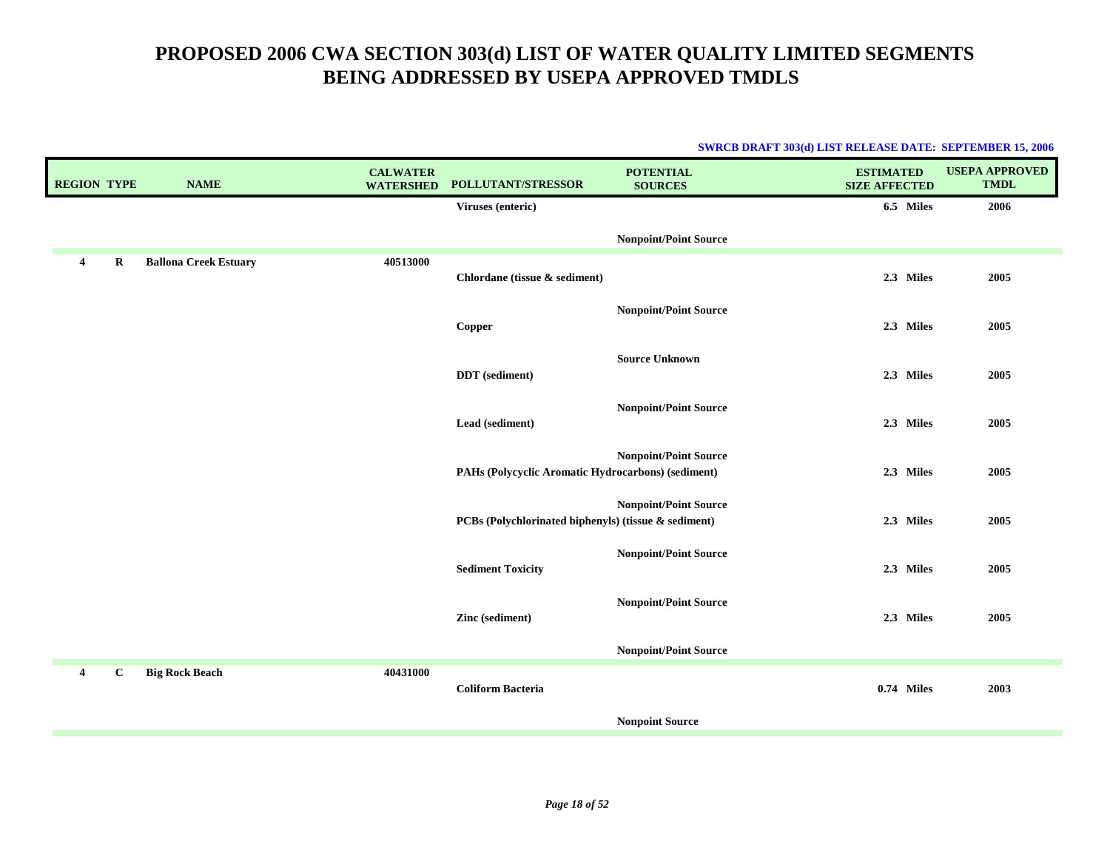| <b>REGION TYPE</b>      |             | <b>NAME</b>                  | <b>CALWATER</b><br><b>WATERSHED</b> | POLLUTANT/STRESSOR                                   | <b>POTENTIAL</b><br><b>SOURCES</b> | <b>ESTIMATED</b><br><b>SIZE AFFECTED</b> | <b>USEPA APPROVED</b><br><b>TMDL</b> |
|-------------------------|-------------|------------------------------|-------------------------------------|------------------------------------------------------|------------------------------------|------------------------------------------|--------------------------------------|
|                         |             |                              |                                     | Viruses (enteric)                                    |                                    | 6.5 Miles                                | 2006                                 |
|                         |             |                              |                                     |                                                      | <b>Nonpoint/Point Source</b>       |                                          |                                      |
| 4                       | $\mathbf R$ | <b>Ballona Creek Estuary</b> | 40513000                            | Chlordane (tissue & sediment)                        |                                    | 2.3 Miles                                | 2005                                 |
|                         |             |                              |                                     | Copper                                               | <b>Nonpoint/Point Source</b>       | 2.3 Miles                                | 2005                                 |
|                         |             |                              |                                     | <b>DDT</b> (sediment)                                | <b>Source Unknown</b>              | 2.3 Miles                                | 2005                                 |
|                         |             |                              |                                     | Lead (sediment)                                      | <b>Nonpoint/Point Source</b>       | 2.3 Miles                                | 2005                                 |
|                         |             |                              |                                     | PAHs (Polycyclic Aromatic Hydrocarbons) (sediment)   | <b>Nonpoint/Point Source</b>       | 2.3 Miles                                | 2005                                 |
|                         |             |                              |                                     | PCBs (Polychlorinated biphenyls) (tissue & sediment) | <b>Nonpoint/Point Source</b>       | 2.3 Miles                                | 2005                                 |
|                         |             |                              |                                     | <b>Sediment Toxicity</b>                             | <b>Nonpoint/Point Source</b>       | 2.3 Miles                                | 2005                                 |
|                         |             |                              |                                     | Zinc (sediment)                                      | <b>Nonpoint/Point Source</b>       | 2.3 Miles                                | 2005                                 |
|                         |             |                              |                                     |                                                      | <b>Nonpoint/Point Source</b>       |                                          |                                      |
| $\overline{\mathbf{4}}$ | $\bf C$     | <b>Big Rock Beach</b>        | 40431000                            | <b>Coliform Bacteria</b>                             |                                    | $0.74$ Miles                             | 2003                                 |
|                         |             |                              |                                     |                                                      | <b>Nonpoint Source</b>             |                                          |                                      |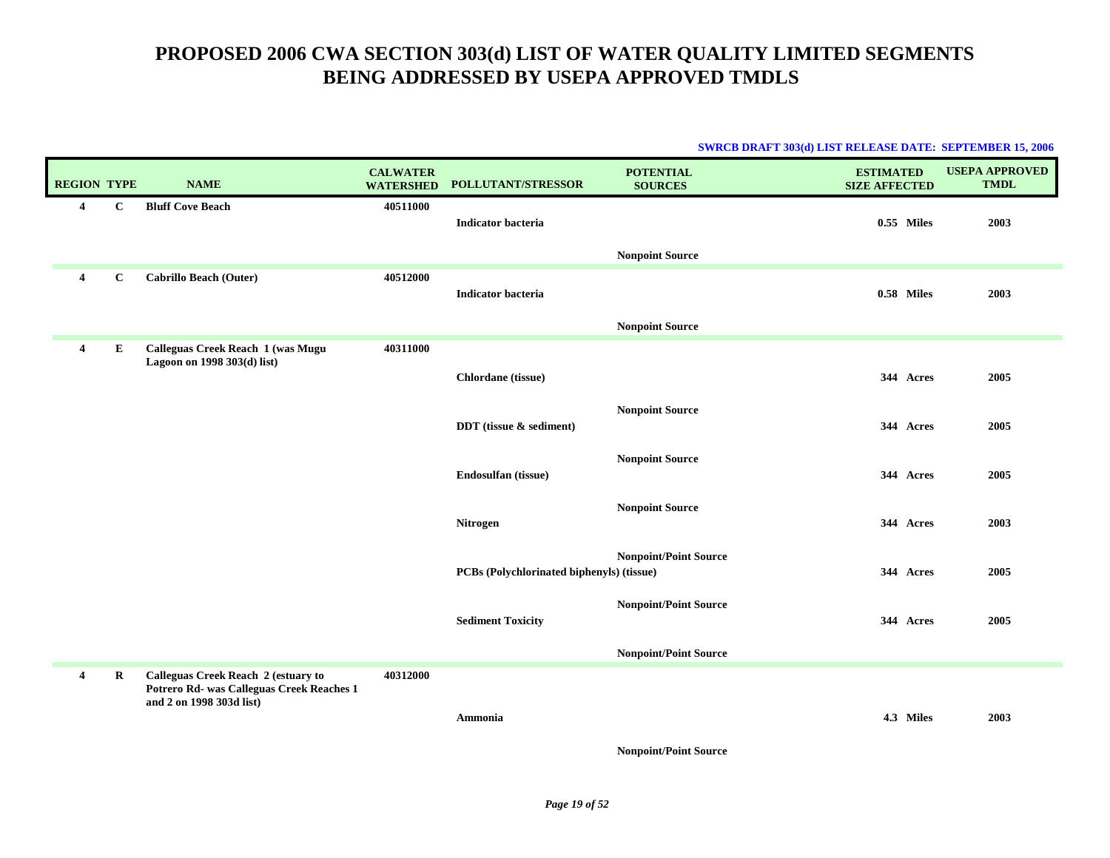| <b>SWRCB DRAFT 303(d) LIST RELEASE DATE: SEPTEMBER 15, 2006</b> |  |
|-----------------------------------------------------------------|--|
|                                                                 |  |

| <b>REGION TYPE</b>      |              | <b>NAME</b>                                                                                                  | <b>CALWATER</b><br><b>WATERSHED</b> | POLLUTANT/STRESSOR                        | <b>POTENTIAL</b><br><b>SOURCES</b> | <b>ESTIMATED</b><br><b>SIZE AFFECTED</b> | <b>USEPA APPROVED</b><br><b>TMDL</b> |
|-------------------------|--------------|--------------------------------------------------------------------------------------------------------------|-------------------------------------|-------------------------------------------|------------------------------------|------------------------------------------|--------------------------------------|
| $\boldsymbol{4}$        | $\mathbf C$  | <b>Bluff Cove Beach</b>                                                                                      | 40511000                            | <b>Indicator bacteria</b>                 |                                    | $0.55$ Miles                             | 2003                                 |
|                         |              |                                                                                                              |                                     |                                           | <b>Nonpoint Source</b>             |                                          |                                      |
| $\overline{\mathbf{4}}$ | $\mathbf{C}$ | <b>Cabrillo Beach (Outer)</b>                                                                                | 40512000                            | <b>Indicator bacteria</b>                 |                                    | 0.58 Miles                               | 2003                                 |
|                         |              |                                                                                                              |                                     |                                           | <b>Nonpoint Source</b>             |                                          |                                      |
| $\overline{4}$          | E            | Calleguas Creek Reach 1 (was Mugu<br>Lagoon on 1998 303(d) list)                                             | 40311000                            |                                           |                                    |                                          |                                      |
|                         |              |                                                                                                              |                                     | Chlordane (tissue)                        |                                    | 344 Acres                                | 2005                                 |
|                         |              |                                                                                                              |                                     | DDT (tissue & sediment)                   | <b>Nonpoint Source</b>             | 344 Acres                                | 2005                                 |
|                         |              |                                                                                                              |                                     | Endosulfan (tissue)                       | <b>Nonpoint Source</b>             | 344 Acres                                | 2005                                 |
|                         |              |                                                                                                              |                                     | Nitrogen                                  | <b>Nonpoint Source</b>             | 344 Acres                                | 2003                                 |
|                         |              |                                                                                                              |                                     | PCBs (Polychlorinated biphenyls) (tissue) | <b>Nonpoint/Point Source</b>       | 344 Acres                                | 2005                                 |
|                         |              |                                                                                                              |                                     | <b>Sediment Toxicity</b>                  | <b>Nonpoint/Point Source</b>       | 344 Acres                                | 2005                                 |
|                         |              |                                                                                                              |                                     |                                           | <b>Nonpoint/Point Source</b>       |                                          |                                      |
| $\boldsymbol{4}$        | R            | Calleguas Creek Reach 2 (estuary to<br>Potrero Rd- was Calleguas Creek Reaches 1<br>and 2 on 1998 303d list) | 40312000                            | Ammonia                                   |                                    | 4.3 Miles                                | 2003                                 |
|                         |              |                                                                                                              |                                     |                                           | <b>Nonpoint/Point Source</b>       |                                          |                                      |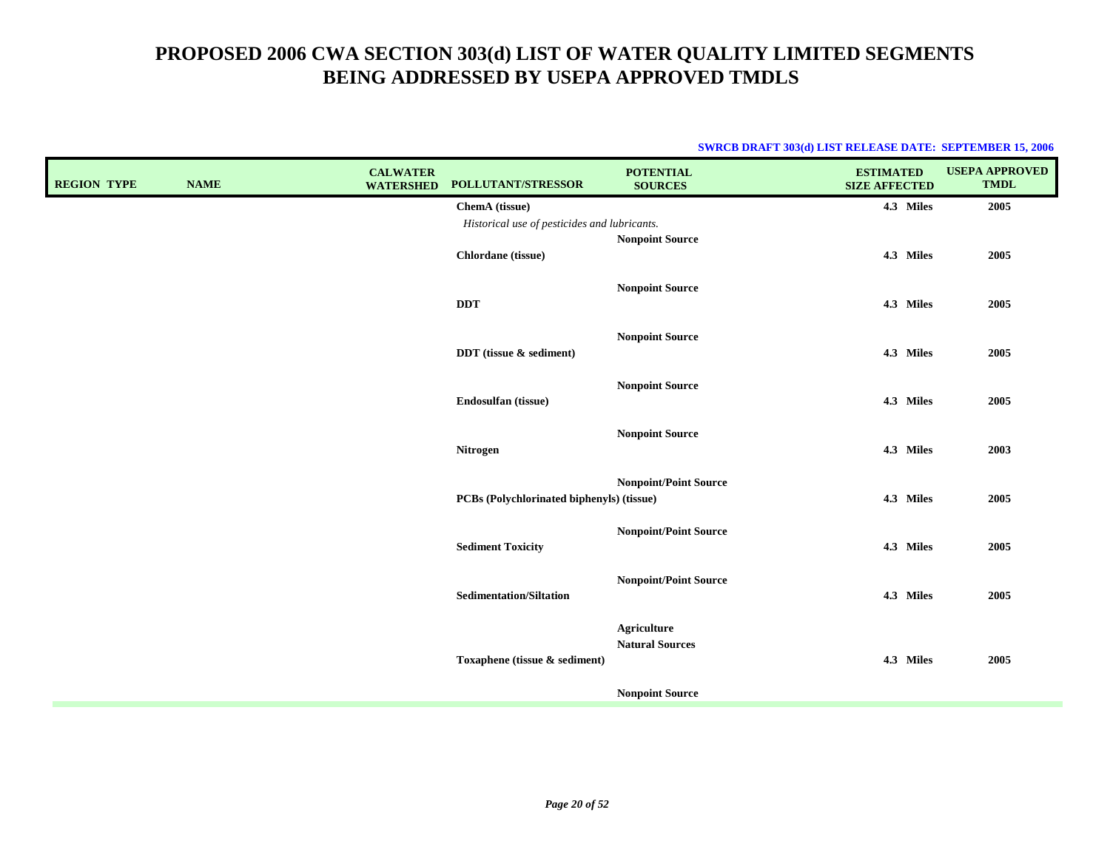| <b>REGION TYPE</b> | <b>NAME</b> | <b>CALWATER</b><br><b>WATERSHED</b> | POLLUTANT/STRESSOR                           | <b>POTENTIAL</b><br><b>SOURCES</b>                                     | <b>ESTIMATED</b><br><b>SIZE AFFECTED</b> | <b>USEPA APPROVED</b><br><b>TMDL</b> |
|--------------------|-------------|-------------------------------------|----------------------------------------------|------------------------------------------------------------------------|------------------------------------------|--------------------------------------|
|                    |             |                                     | ChemA (tissue)                               |                                                                        | 4.3 Miles                                | 2005                                 |
|                    |             |                                     | Historical use of pesticides and lubricants. |                                                                        |                                          |                                      |
|                    |             |                                     | Chlordane (tissue)                           | <b>Nonpoint Source</b>                                                 | 4.3 Miles                                | 2005                                 |
|                    |             |                                     | <b>DDT</b>                                   | <b>Nonpoint Source</b>                                                 | 4.3 Miles                                | 2005                                 |
|                    |             |                                     | DDT (tissue & sediment)                      | <b>Nonpoint Source</b>                                                 | 4.3 Miles                                | 2005                                 |
|                    |             |                                     | Endosulfan (tissue)                          | <b>Nonpoint Source</b>                                                 | 4.3 Miles                                | 2005                                 |
|                    |             |                                     | <b>Nitrogen</b>                              | <b>Nonpoint Source</b>                                                 | 4.3 Miles                                | 2003                                 |
|                    |             |                                     | PCBs (Polychlorinated biphenyls) (tissue)    | <b>Nonpoint/Point Source</b>                                           | 4.3 Miles                                | 2005                                 |
|                    |             |                                     | <b>Sediment Toxicity</b>                     | <b>Nonpoint/Point Source</b>                                           | 4.3 Miles                                | 2005                                 |
|                    |             |                                     | <b>Sedimentation/Siltation</b>               | <b>Nonpoint/Point Source</b>                                           | 4.3 Miles                                | 2005                                 |
|                    |             |                                     | Toxaphene (tissue & sediment)                | <b>Agriculture</b><br><b>Natural Sources</b><br><b>Nonpoint Source</b> | 4.3 Miles                                | 2005                                 |
|                    |             |                                     |                                              |                                                                        |                                          |                                      |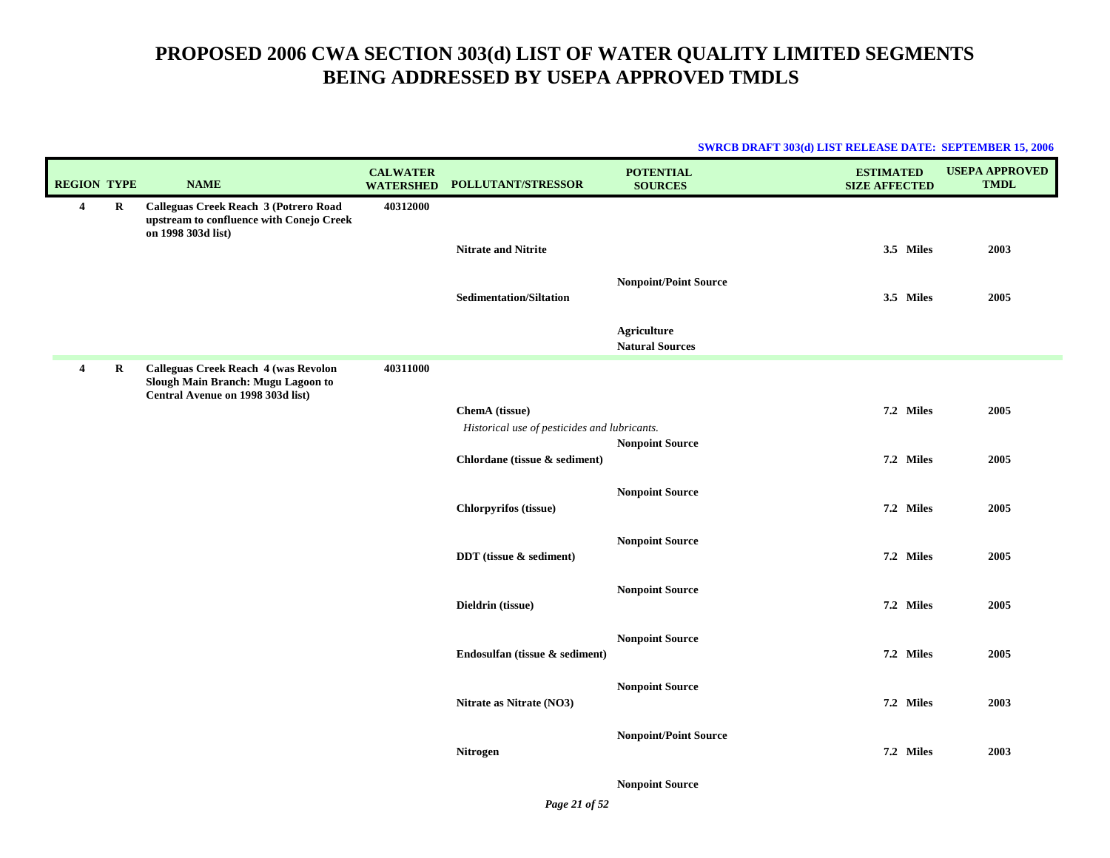| <b>SWRCB DRAFT 303(d) LIST RELEASE DATE: SEPTEMBER 15, 2006</b> |  |
|-----------------------------------------------------------------|--|
|                                                                 |  |

| <b>REGION TYPE</b> |         | <b>NAME</b>                                                                                                     | <b>CALWATER</b><br><b>WATERSHED</b> | POLLUTANT/STRESSOR                                             | <b>POTENTIAL</b><br><b>SOURCES</b>           | <b>ESTIMATED</b><br><b>SIZE AFFECTED</b> | <b>USEPA APPROVED</b><br><b>TMDL</b> |
|--------------------|---------|-----------------------------------------------------------------------------------------------------------------|-------------------------------------|----------------------------------------------------------------|----------------------------------------------|------------------------------------------|--------------------------------------|
| $\overline{4}$     | R       | Calleguas Creek Reach 3 (Potrero Road<br>upstream to confluence with Conejo Creek<br>on 1998 303d list)         | 40312000                            |                                                                |                                              |                                          |                                      |
|                    |         |                                                                                                                 |                                     | <b>Nitrate and Nitrite</b>                                     |                                              | 3.5 Miles                                | 2003                                 |
|                    |         |                                                                                                                 |                                     | <b>Sedimentation/Siltation</b>                                 | <b>Nonpoint/Point Source</b>                 | 3.5 Miles                                | 2005                                 |
|                    |         |                                                                                                                 |                                     |                                                                | <b>Agriculture</b><br><b>Natural Sources</b> |                                          |                                      |
| $\overline{4}$     | $\bf R$ | Calleguas Creek Reach 4 (was Revolon<br>Slough Main Branch: Mugu Lagoon to<br>Central Avenue on 1998 303d list) | 40311000                            |                                                                |                                              |                                          |                                      |
|                    |         |                                                                                                                 |                                     | ChemA (tissue)<br>Historical use of pesticides and lubricants. | <b>Nonpoint Source</b>                       | 7.2 Miles                                | 2005                                 |
|                    |         |                                                                                                                 |                                     | Chlordane (tissue & sediment)                                  |                                              | 7.2 Miles                                | 2005                                 |
|                    |         |                                                                                                                 |                                     | Chlorpyrifos (tissue)                                          | <b>Nonpoint Source</b>                       | 7.2 Miles                                | 2005                                 |
|                    |         |                                                                                                                 |                                     | DDT (tissue & sediment)                                        | <b>Nonpoint Source</b>                       | 7.2 Miles                                | 2005                                 |
|                    |         |                                                                                                                 |                                     | Dieldrin (tissue)                                              | <b>Nonpoint Source</b>                       | 7.2 Miles                                | 2005                                 |
|                    |         |                                                                                                                 |                                     | Endosulfan (tissue & sediment)                                 | <b>Nonpoint Source</b>                       | 7.2 Miles                                | 2005                                 |
|                    |         |                                                                                                                 |                                     | Nitrate as Nitrate (NO3)                                       | <b>Nonpoint Source</b>                       | 7.2 Miles                                | 2003                                 |
|                    |         |                                                                                                                 |                                     | Nitrogen                                                       | <b>Nonpoint/Point Source</b>                 | 7.2 Miles                                | 2003                                 |
|                    |         |                                                                                                                 |                                     |                                                                | <b>Nonpoint Source</b>                       |                                          |                                      |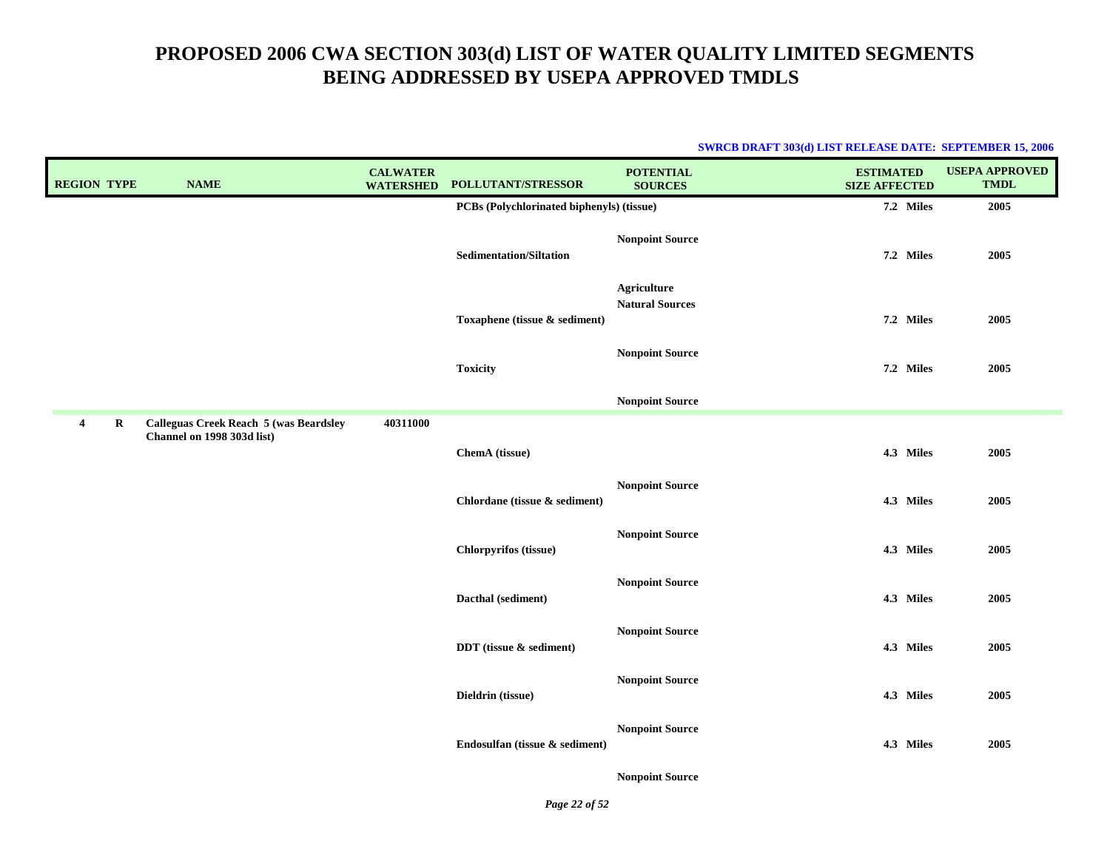#### **SWRCB DRAFT 303(d) LIST RELEASE DATE: SEPTEMBER 15, 2006**

| <b>REGION TYPE</b>            | <b>NAME</b>                                                                 | <b>CALWATER</b><br><b>WATERSHED</b> | POLLUTANT/STRESSOR                        | <b>POTENTIAL</b><br><b>SOURCES</b>           | <b>ESTIMATED</b><br><b>SIZE AFFECTED</b> | <b>USEPA APPROVED</b><br><b>TMDL</b> |
|-------------------------------|-----------------------------------------------------------------------------|-------------------------------------|-------------------------------------------|----------------------------------------------|------------------------------------------|--------------------------------------|
|                               |                                                                             |                                     | PCBs (Polychlorinated biphenyls) (tissue) |                                              | 7.2 Miles                                | 2005                                 |
|                               |                                                                             |                                     | <b>Sedimentation/Siltation</b>            | <b>Nonpoint Source</b>                       | 7.2 Miles                                | 2005                                 |
|                               |                                                                             |                                     | Toxaphene (tissue & sediment)             | <b>Agriculture</b><br><b>Natural Sources</b> | 7.2 Miles                                | 2005                                 |
|                               |                                                                             |                                     | <b>Toxicity</b>                           | <b>Nonpoint Source</b>                       | 7.2 Miles                                | 2005                                 |
|                               |                                                                             |                                     |                                           | <b>Nonpoint Source</b>                       |                                          |                                      |
| $\mathbf R$<br>$\overline{4}$ | <b>Calleguas Creek Reach 5 (was Beardsley</b><br>Channel on 1998 303d list) | 40311000                            | ChemA (tissue)                            |                                              | 4.3 Miles                                | 2005                                 |
|                               |                                                                             |                                     | Chlordane (tissue & sediment)             | <b>Nonpoint Source</b>                       | 4.3 Miles                                | 2005                                 |
|                               |                                                                             |                                     | Chlorpyrifos (tissue)                     | <b>Nonpoint Source</b>                       | 4.3 Miles                                | 2005                                 |
|                               |                                                                             |                                     | Dacthal (sediment)                        | <b>Nonpoint Source</b>                       | 4.3 Miles                                | 2005                                 |
|                               |                                                                             |                                     | DDT (tissue & sediment)                   | <b>Nonpoint Source</b>                       | 4.3 Miles                                | 2005                                 |
|                               |                                                                             |                                     | Dieldrin (tissue)                         | <b>Nonpoint Source</b>                       | 4.3 Miles                                | 2005                                 |
|                               |                                                                             |                                     | Endosulfan (tissue & sediment)            | <b>Nonpoint Source</b>                       | 4.3 Miles                                | 2005                                 |

**Nonpoint Source**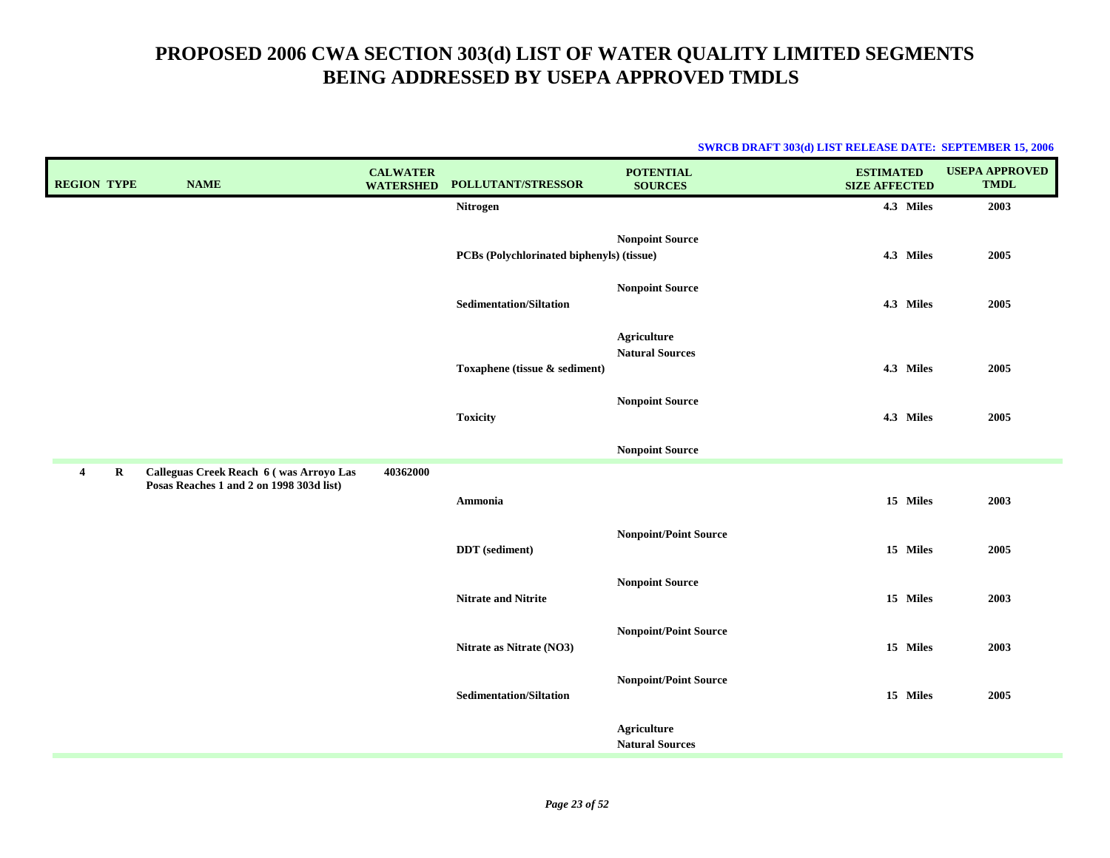| <b>REGION TYPE</b>        | <b>NAME</b>                                                                         | <b>CALWATER</b><br><b>WATERSHED</b> | POLLUTANT/STRESSOR                        | <b>POTENTIAL</b><br><b>SOURCES</b>           | <b>ESTIMATED</b><br><b>SIZE AFFECTED</b> | <b>USEPA APPROVED</b><br><b>TMDL</b> |
|---------------------------|-------------------------------------------------------------------------------------|-------------------------------------|-------------------------------------------|----------------------------------------------|------------------------------------------|--------------------------------------|
|                           |                                                                                     |                                     | Nitrogen                                  |                                              | 4.3 Miles                                | 2003                                 |
|                           |                                                                                     |                                     | PCBs (Polychlorinated biphenyls) (tissue) | <b>Nonpoint Source</b>                       | 4.3 Miles                                | 2005                                 |
|                           |                                                                                     |                                     | <b>Sedimentation/Siltation</b>            | <b>Nonpoint Source</b>                       | 4.3 Miles                                | 2005                                 |
|                           |                                                                                     |                                     | Toxaphene (tissue & sediment)             | <b>Agriculture</b><br><b>Natural Sources</b> | 4.3 Miles                                | 2005                                 |
|                           |                                                                                     |                                     | <b>Toxicity</b>                           | <b>Nonpoint Source</b>                       | 4.3 Miles                                | 2005                                 |
|                           |                                                                                     |                                     |                                           | <b>Nonpoint Source</b>                       |                                          |                                      |
| $\bf R$<br>$\overline{4}$ | Calleguas Creek Reach 6 (was Arroyo Las<br>Posas Reaches 1 and 2 on 1998 303d list) | 40362000                            |                                           |                                              |                                          |                                      |
|                           |                                                                                     |                                     | Ammonia                                   |                                              | 15 Miles                                 | 2003                                 |
|                           |                                                                                     |                                     | <b>DDT</b> (sediment)                     | <b>Nonpoint/Point Source</b>                 | 15 Miles                                 | 2005                                 |
|                           |                                                                                     |                                     | <b>Nitrate and Nitrite</b>                | <b>Nonpoint Source</b>                       | 15 Miles                                 | 2003                                 |
|                           |                                                                                     |                                     | Nitrate as Nitrate (NO3)                  | <b>Nonpoint/Point Source</b>                 | 15 Miles                                 | 2003                                 |
|                           |                                                                                     |                                     | <b>Sedimentation/Siltation</b>            | <b>Nonpoint/Point Source</b>                 | 15 Miles                                 | 2005                                 |
|                           |                                                                                     |                                     |                                           | <b>Agriculture</b><br><b>Natural Sources</b> |                                          |                                      |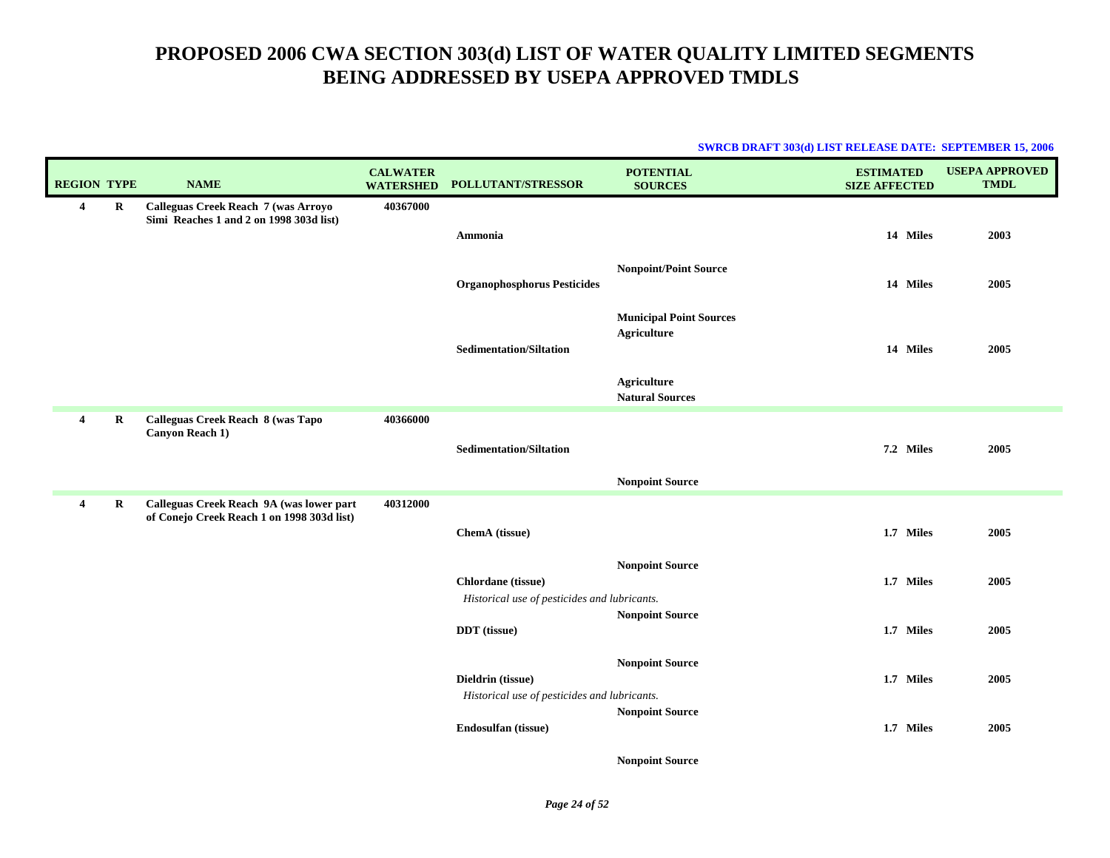| <b>SWRCB DRAFT 303(d) LIST RELEASE DATE: SEPTEMBER 15, 2006</b> |  |
|-----------------------------------------------------------------|--|
|                                                                 |  |

| <b>REGION TYPE</b>      |         | <b>NAME</b>                                                                            | <b>CALWATER</b><br><b>WATERSHED</b> | POLLUTANT/STRESSOR                                                 | <b>POTENTIAL</b><br><b>SOURCES</b>                   | <b>ESTIMATED</b><br><b>SIZE AFFECTED</b> | <b>USEPA APPROVED</b><br><b>TMDL</b> |
|-------------------------|---------|----------------------------------------------------------------------------------------|-------------------------------------|--------------------------------------------------------------------|------------------------------------------------------|------------------------------------------|--------------------------------------|
| 4                       | R       | Calleguas Creek Reach 7 (was Arroyo<br>Simi Reaches 1 and 2 on 1998 303d list)         | 40367000                            | Ammonia                                                            |                                                      | 14 Miles                                 | 2003                                 |
|                         |         |                                                                                        |                                     | <b>Organophosphorus Pesticides</b>                                 | <b>Nonpoint/Point Source</b>                         | 14 Miles                                 | 2005                                 |
|                         |         |                                                                                        |                                     | <b>Sedimentation/Siltation</b>                                     | <b>Municipal Point Sources</b><br><b>Agriculture</b> | 14 Miles                                 | 2005                                 |
|                         |         |                                                                                        |                                     |                                                                    | <b>Agriculture</b><br><b>Natural Sources</b>         |                                          |                                      |
| $\overline{4}$          | $\bf R$ | Calleguas Creek Reach 8 (was Tapo<br>Canyon Reach 1)                                   | 40366000                            | <b>Sedimentation/Siltation</b>                                     |                                                      | 7.2 Miles                                | 2005                                 |
|                         |         |                                                                                        |                                     |                                                                    | <b>Nonpoint Source</b>                               |                                          |                                      |
| $\overline{\mathbf{4}}$ | R       | Calleguas Creek Reach 9A (was lower part<br>of Conejo Creek Reach 1 on 1998 303d list) | 40312000                            | ChemA (tissue)                                                     |                                                      | 1.7 Miles                                | 2005                                 |
|                         |         |                                                                                        |                                     | Chlordane (tissue)<br>Historical use of pesticides and lubricants. | <b>Nonpoint Source</b>                               | 1.7 Miles                                | 2005                                 |
|                         |         |                                                                                        |                                     | DDT (tissue)                                                       | <b>Nonpoint Source</b>                               | 1.7 Miles                                | 2005                                 |
|                         |         |                                                                                        |                                     | Dieldrin (tissue)<br>Historical use of pesticides and lubricants.  | <b>Nonpoint Source</b>                               | 1.7 Miles                                | 2005                                 |
|                         |         |                                                                                        |                                     | Endosulfan (tissue)                                                | <b>Nonpoint Source</b>                               | 1.7 Miles                                | 2005                                 |
|                         |         |                                                                                        |                                     |                                                                    | <b>Nonpoint Source</b>                               |                                          |                                      |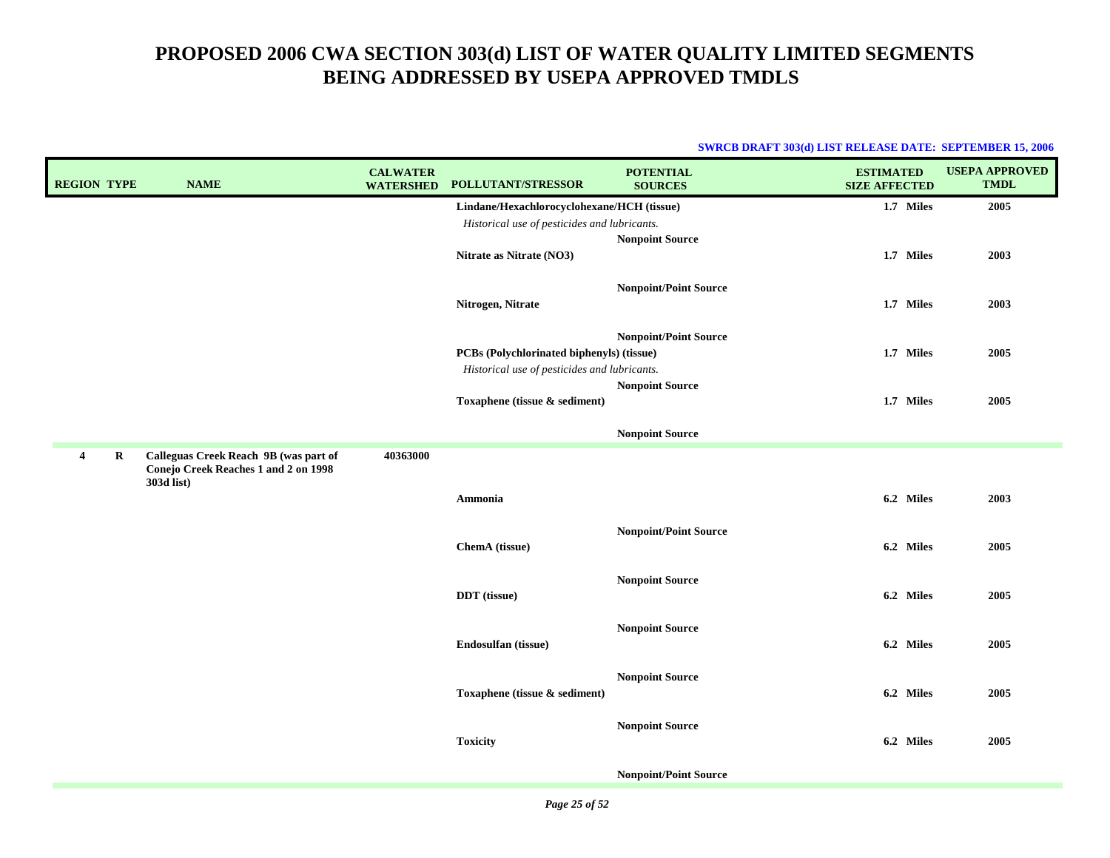| <b>REGION TYPE</b> |         | <b>NAME</b>                                                                                 | <b>CALWATER</b><br><b>WATERSHED</b> | POLLUTANT/STRESSOR                           | <b>POTENTIAL</b><br><b>SOURCES</b> | <b>ESTIMATED</b><br><b>SIZE AFFECTED</b> | <b>USEPA APPROVED</b><br><b>TMDL</b> |
|--------------------|---------|---------------------------------------------------------------------------------------------|-------------------------------------|----------------------------------------------|------------------------------------|------------------------------------------|--------------------------------------|
|                    |         |                                                                                             |                                     | Lindane/Hexachlorocyclohexane/HCH (tissue)   |                                    | 1.7 Miles                                | 2005                                 |
|                    |         |                                                                                             |                                     | Historical use of pesticides and lubricants. |                                    |                                          |                                      |
|                    |         |                                                                                             |                                     | Nitrate as Nitrate (NO3)                     | <b>Nonpoint Source</b>             | 1.7 Miles                                | 2003                                 |
|                    |         |                                                                                             |                                     | Nitrogen, Nitrate                            | <b>Nonpoint/Point Source</b>       | 1.7 Miles                                | 2003                                 |
|                    |         |                                                                                             |                                     | PCBs (Polychlorinated biphenyls) (tissue)    | <b>Nonpoint/Point Source</b>       | 1.7 Miles                                | 2005                                 |
|                    |         |                                                                                             |                                     | Historical use of pesticides and lubricants. |                                    |                                          |                                      |
|                    |         |                                                                                             |                                     | Toxaphene (tissue & sediment)                | <b>Nonpoint Source</b>             | 1.7 Miles                                | 2005                                 |
|                    |         |                                                                                             |                                     |                                              | <b>Nonpoint Source</b>             |                                          |                                      |
| 4                  | $\bf R$ | Calleguas Creek Reach 9B (was part of<br>Conejo Creek Reaches 1 and 2 on 1998<br>303d list) | 40363000                            |                                              |                                    |                                          |                                      |
|                    |         |                                                                                             |                                     | Ammonia                                      |                                    | 6.2 Miles                                | 2003                                 |
|                    |         |                                                                                             |                                     | ChemA (tissue)                               | <b>Nonpoint/Point Source</b>       | 6.2 Miles                                | 2005                                 |
|                    |         |                                                                                             |                                     | DDT (tissue)                                 | <b>Nonpoint Source</b>             | 6.2 Miles                                | 2005                                 |
|                    |         |                                                                                             |                                     | Endosulfan (tissue)                          | <b>Nonpoint Source</b>             | 6.2 Miles                                | 2005                                 |
|                    |         |                                                                                             |                                     | Toxaphene (tissue & sediment)                | <b>Nonpoint Source</b>             | 6.2 Miles                                | 2005                                 |
|                    |         |                                                                                             |                                     | <b>Toxicity</b>                              | <b>Nonpoint Source</b>             | 6.2 Miles                                | 2005                                 |
|                    |         |                                                                                             |                                     |                                              | <b>Nonpoint/Point Source</b>       |                                          |                                      |
|                    |         |                                                                                             |                                     |                                              |                                    |                                          |                                      |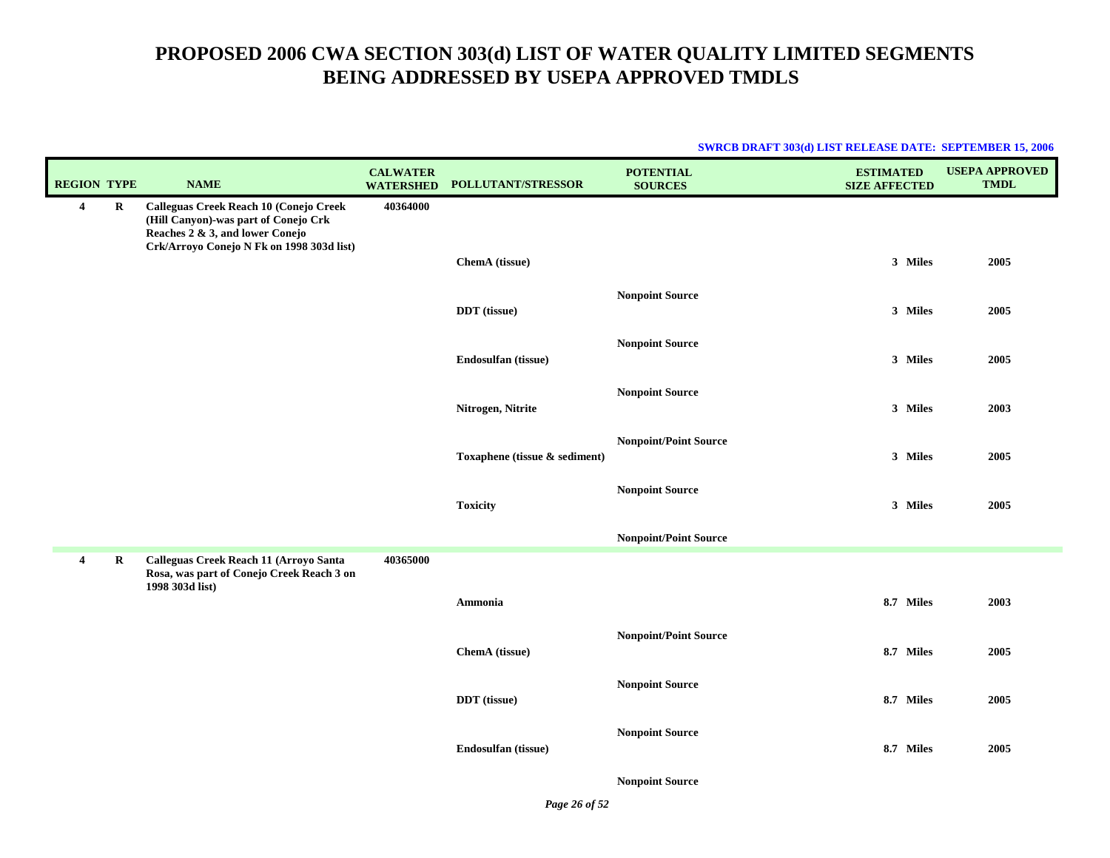| <b>SWRCB DRAFT 303(d) LIST RELEASE DATE: SEPTEMBER 15, 2006</b> |  |
|-----------------------------------------------------------------|--|
|                                                                 |  |

| <b>REGION TYPE</b> |   | <b>NAME</b>                                                                                                                                                    | <b>CALWATER</b><br><b>WATERSHED</b> | POLLUTANT/STRESSOR            | <b>POTENTIAL</b><br><b>SOURCES</b> | <b>ESTIMATED</b><br><b>SIZE AFFECTED</b> | <b>USEPA APPROVED</b><br><b>TMDL</b> |
|--------------------|---|----------------------------------------------------------------------------------------------------------------------------------------------------------------|-------------------------------------|-------------------------------|------------------------------------|------------------------------------------|--------------------------------------|
| $\overline{4}$     | R | Calleguas Creek Reach 10 (Conejo Creek<br>(Hill Canyon)-was part of Conejo Crk<br>Reaches 2 & 3, and lower Conejo<br>Crk/Arroyo Conejo N Fk on 1998 303d list) | 40364000                            |                               |                                    |                                          |                                      |
|                    |   |                                                                                                                                                                |                                     | ChemA (tissue)                |                                    | 3 Miles                                  | 2005                                 |
|                    |   |                                                                                                                                                                |                                     | DDT (tissue)                  | <b>Nonpoint Source</b>             | 3 Miles                                  | 2005                                 |
|                    |   |                                                                                                                                                                |                                     | Endosulfan (tissue)           | <b>Nonpoint Source</b>             | 3 Miles                                  | 2005                                 |
|                    |   |                                                                                                                                                                |                                     | Nitrogen, Nitrite             | <b>Nonpoint Source</b>             | 3 Miles                                  | 2003                                 |
|                    |   |                                                                                                                                                                |                                     | Toxaphene (tissue & sediment) | <b>Nonpoint/Point Source</b>       | 3 Miles                                  | 2005                                 |
|                    |   |                                                                                                                                                                |                                     | <b>Toxicity</b>               | <b>Nonpoint Source</b>             | 3 Miles                                  | 2005                                 |
|                    |   |                                                                                                                                                                |                                     |                               | <b>Nonpoint/Point Source</b>       |                                          |                                      |
| $\overline{4}$     | R | Calleguas Creek Reach 11 (Arroyo Santa<br>Rosa, was part of Conejo Creek Reach 3 on<br>1998 303d list)                                                         | 40365000                            |                               |                                    |                                          |                                      |
|                    |   |                                                                                                                                                                |                                     | Ammonia                       |                                    | 8.7 Miles                                | 2003                                 |
|                    |   |                                                                                                                                                                |                                     | ChemA (tissue)                | <b>Nonpoint/Point Source</b>       | 8.7 Miles                                | 2005                                 |
|                    |   |                                                                                                                                                                |                                     | DDT (tissue)                  | <b>Nonpoint Source</b>             | 8.7 Miles                                | 2005                                 |
|                    |   |                                                                                                                                                                |                                     | Endosulfan (tissue)           | <b>Nonpoint Source</b>             | 8.7 Miles                                | 2005                                 |
|                    |   |                                                                                                                                                                |                                     |                               | <b>Nonpoint Source</b>             |                                          |                                      |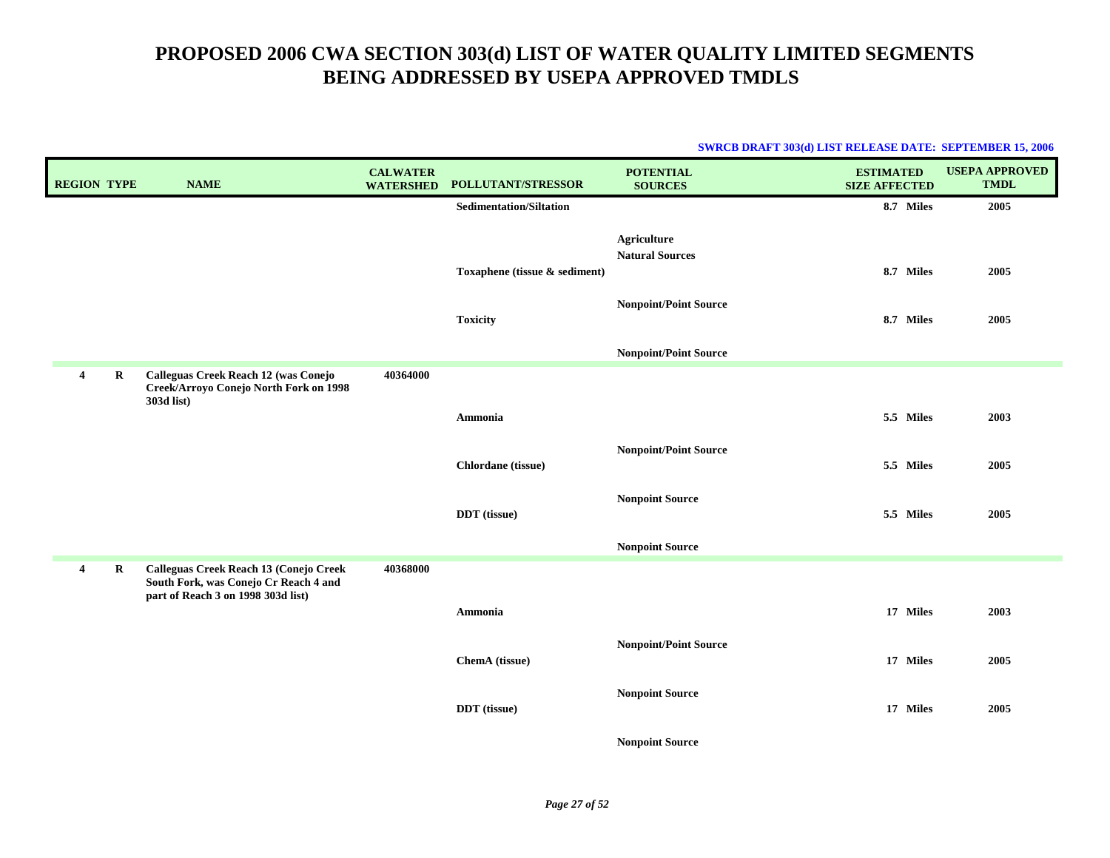| <b>REGION TYPE</b> |         | <b>NAME</b>                                                                                                           | <b>CALWATER</b><br><b>WATERSHED</b> | <b>POLLUTANT/STRESSOR</b>      | <b>POTENTIAL</b><br><b>SOURCES</b>           | <b>ESTIMATED</b><br><b>SIZE AFFECTED</b> | <b>USEPA APPROVED</b><br><b>TMDL</b> |
|--------------------|---------|-----------------------------------------------------------------------------------------------------------------------|-------------------------------------|--------------------------------|----------------------------------------------|------------------------------------------|--------------------------------------|
|                    |         |                                                                                                                       |                                     | <b>Sedimentation/Siltation</b> |                                              | 8.7 Miles                                | 2005                                 |
|                    |         |                                                                                                                       |                                     |                                | <b>Agriculture</b><br><b>Natural Sources</b> | 8.7 Miles                                | 2005                                 |
|                    |         |                                                                                                                       |                                     | Toxaphene (tissue & sediment)  |                                              |                                          |                                      |
|                    |         |                                                                                                                       |                                     | <b>Toxicity</b>                | <b>Nonpoint/Point Source</b>                 | 8.7 Miles                                | 2005                                 |
|                    |         |                                                                                                                       |                                     |                                | <b>Nonpoint/Point Source</b>                 |                                          |                                      |
| 4                  | $\bf R$ | Calleguas Creek Reach 12 (was Conejo<br>Creek/Arroyo Conejo North Fork on 1998<br>303d list)                          | 40364000                            |                                |                                              |                                          |                                      |
|                    |         |                                                                                                                       |                                     | Ammonia                        |                                              | 5.5 Miles                                | 2003                                 |
|                    |         |                                                                                                                       |                                     | Chlordane (tissue)             | <b>Nonpoint/Point Source</b>                 | 5.5 Miles                                | 2005                                 |
|                    |         |                                                                                                                       |                                     | <b>DDT</b> (tissue)            | <b>Nonpoint Source</b>                       | 5.5 Miles                                | 2005                                 |
|                    |         |                                                                                                                       |                                     |                                | <b>Nonpoint Source</b>                       |                                          |                                      |
| 4                  | R       | Calleguas Creek Reach 13 (Conejo Creek<br>South Fork, was Conejo Cr Reach 4 and<br>part of Reach 3 on 1998 303d list) | 40368000                            |                                |                                              |                                          |                                      |
|                    |         |                                                                                                                       |                                     | Ammonia                        |                                              | 17 Miles                                 | 2003                                 |
|                    |         |                                                                                                                       |                                     | ChemA (tissue)                 | <b>Nonpoint/Point Source</b>                 | 17 Miles                                 | 2005                                 |
|                    |         |                                                                                                                       |                                     | <b>DDT</b> (tissue)            | <b>Nonpoint Source</b>                       | 17 Miles                                 | 2005                                 |
|                    |         |                                                                                                                       |                                     |                                | <b>Nonpoint Source</b>                       |                                          |                                      |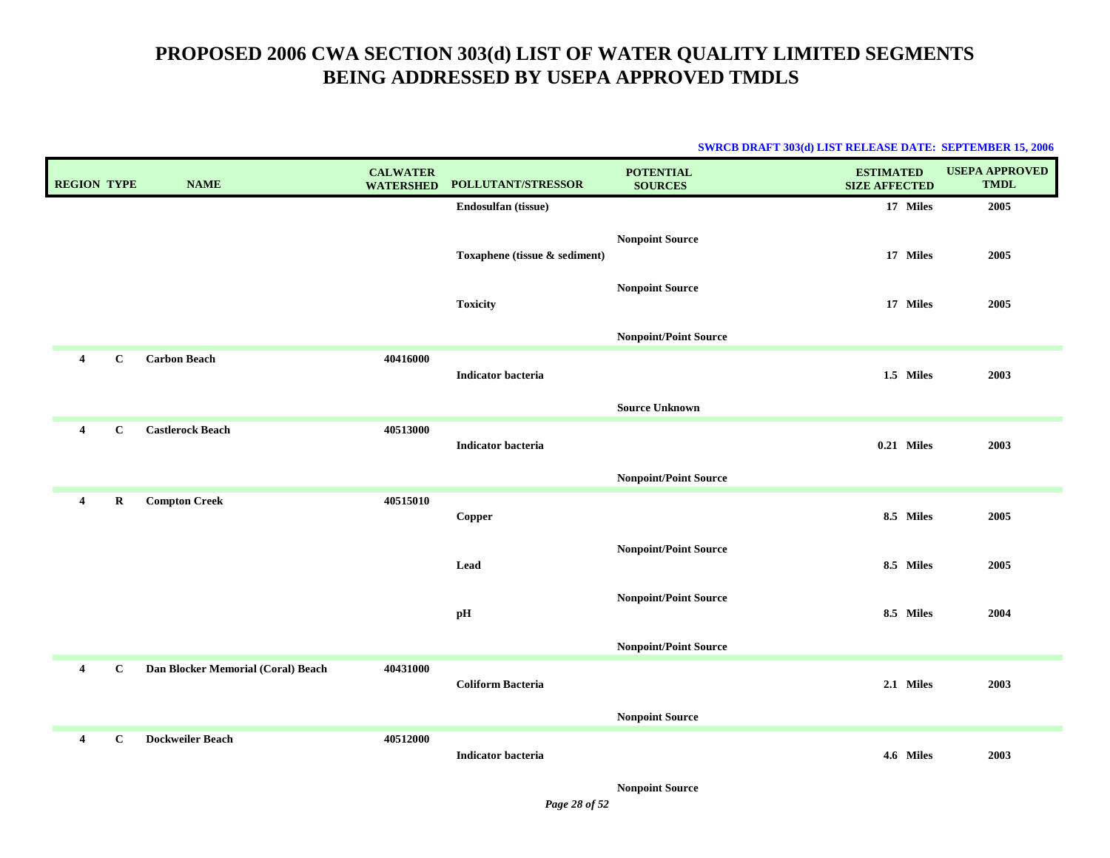#### **SWRCB DRAFT 303(d) LIST RELEASE DATE: SEPTEMBER 15, 2006**

| <b>REGION TYPE</b>      |              | <b>NAME</b>                        | <b>CALWATER</b><br><b>WATERSHED</b> | POLLUTANT/STRESSOR            | <b>POTENTIAL</b><br><b>SOURCES</b> | <b>ESTIMATED</b><br><b>SIZE AFFECTED</b> | <b>USEPA APPROVED</b><br><b>TMDL</b> |
|-------------------------|--------------|------------------------------------|-------------------------------------|-------------------------------|------------------------------------|------------------------------------------|--------------------------------------|
|                         |              |                                    |                                     | Endosulfan (tissue)           |                                    | 17 Miles                                 | 2005                                 |
|                         |              |                                    |                                     | Toxaphene (tissue & sediment) | <b>Nonpoint Source</b>             | 17 Miles                                 | 2005                                 |
|                         |              |                                    |                                     | <b>Toxicity</b>               | <b>Nonpoint Source</b>             | 17 Miles                                 | 2005                                 |
|                         |              |                                    |                                     |                               | <b>Nonpoint/Point Source</b>       |                                          |                                      |
| $\overline{\mathbf{4}}$ | $\mathbf C$  | <b>Carbon Beach</b>                | 40416000                            | Indicator bacteria            |                                    | 1.5 Miles                                | 2003                                 |
|                         |              |                                    |                                     |                               | <b>Source Unknown</b>              |                                          |                                      |
| $\overline{\mathbf{4}}$ | $\mathbf{C}$ | <b>Castlerock Beach</b>            | 40513000                            | <b>Indicator bacteria</b>     |                                    | 0.21 Miles                               | 2003                                 |
|                         |              |                                    |                                     |                               | <b>Nonpoint/Point Source</b>       |                                          |                                      |
| $\overline{\mathbf{4}}$ | $\mathbf R$  | <b>Compton Creek</b>               | 40515010                            | Copper                        |                                    | 8.5 Miles                                | 2005                                 |
|                         |              |                                    |                                     | Lead                          | <b>Nonpoint/Point Source</b>       | 8.5 Miles                                | 2005                                 |
|                         |              |                                    |                                     | pH                            | <b>Nonpoint/Point Source</b>       | 8.5 Miles                                | 2004                                 |
|                         |              |                                    |                                     |                               | <b>Nonpoint/Point Source</b>       |                                          |                                      |
| $\overline{4}$          | $\mathbf C$  | Dan Blocker Memorial (Coral) Beach | 40431000                            | <b>Coliform Bacteria</b>      |                                    | 2.1 Miles                                | 2003                                 |
|                         |              |                                    |                                     |                               | <b>Nonpoint Source</b>             |                                          |                                      |
| $\overline{4}$          | $\mathbf C$  | <b>Dockweiler Beach</b>            | 40512000                            | <b>Indicator bacteria</b>     |                                    | 4.6 Miles                                | 2003                                 |

**Nonpoint Source**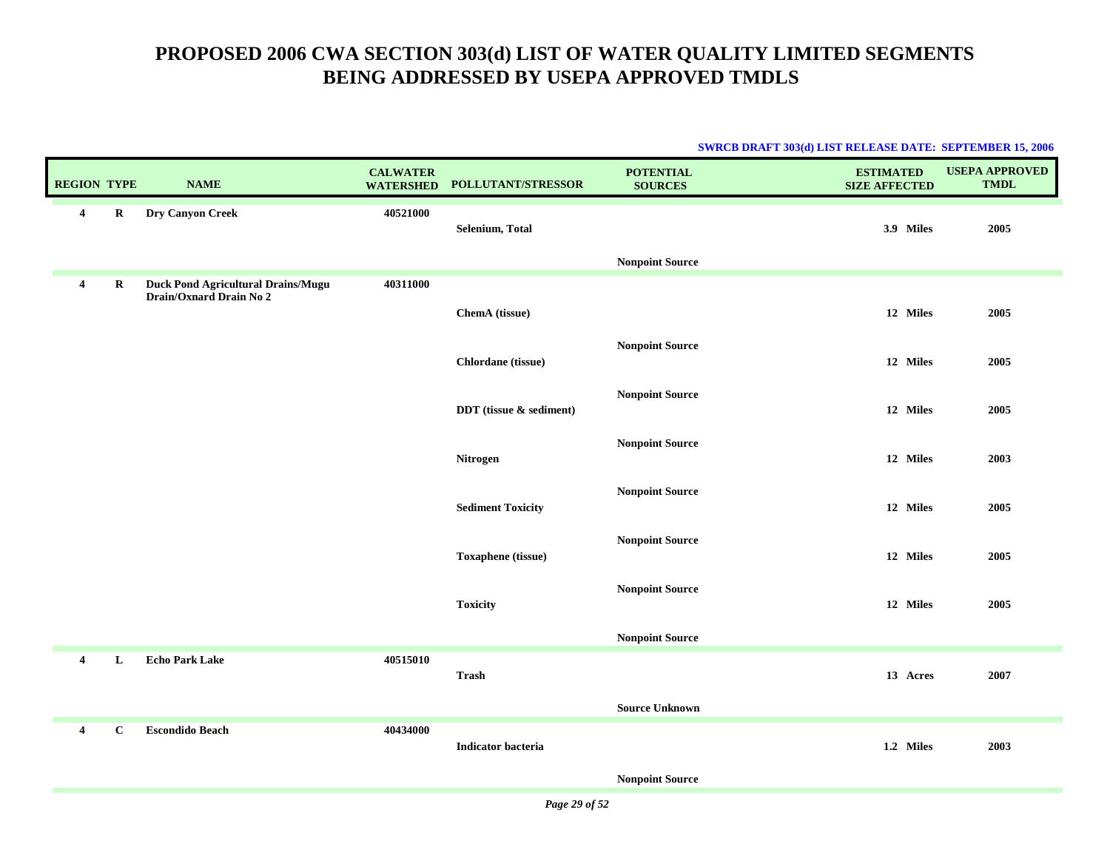|                    |              |                                                                      |                                     |                           | <b>SWRCB DRAFT 303(d) LIST RELEASE DATE: SEPTEMBER 15, 2006</b> |                                          |                                      |
|--------------------|--------------|----------------------------------------------------------------------|-------------------------------------|---------------------------|-----------------------------------------------------------------|------------------------------------------|--------------------------------------|
| <b>REGION TYPE</b> |              | <b>NAME</b>                                                          | <b>CALWATER</b><br><b>WATERSHED</b> | POLLUTANT/STRESSOR        | <b>POTENTIAL</b><br><b>SOURCES</b>                              | <b>ESTIMATED</b><br><b>SIZE AFFECTED</b> | <b>USEPA APPROVED</b><br><b>TMDL</b> |
| 4                  | $\mathbf R$  | Dry Canyon Creek                                                     | 40521000                            | Selenium, Total           |                                                                 | 3.9 Miles                                | 2005                                 |
|                    |              |                                                                      |                                     |                           | <b>Nonpoint Source</b>                                          |                                          |                                      |
| $\overline{4}$     | $\bf R$      | <b>Duck Pond Agricultural Drains/Mugu</b><br>Drain/Oxnard Drain No 2 | 40311000                            |                           |                                                                 |                                          |                                      |
|                    |              |                                                                      |                                     | ChemA (tissue)            |                                                                 | 12 Miles                                 | 2005                                 |
|                    |              |                                                                      |                                     | Chlordane (tissue)        | <b>Nonpoint Source</b>                                          | 12 Miles                                 | 2005                                 |
|                    |              |                                                                      |                                     | DDT (tissue & sediment)   | <b>Nonpoint Source</b>                                          | 12 Miles                                 | 2005                                 |
|                    |              |                                                                      |                                     |                           | <b>Nonpoint Source</b>                                          |                                          |                                      |
|                    |              |                                                                      |                                     | Nitrogen                  |                                                                 | 12 Miles                                 | 2003                                 |
|                    |              |                                                                      |                                     | <b>Sediment Toxicity</b>  | <b>Nonpoint Source</b>                                          | 12 Miles                                 | 2005                                 |
|                    |              |                                                                      |                                     | Toxaphene (tissue)        | <b>Nonpoint Source</b>                                          | 12 Miles                                 | 2005                                 |
|                    |              |                                                                      |                                     | <b>Toxicity</b>           | <b>Nonpoint Source</b>                                          | 12 Miles                                 | 2005                                 |
|                    |              |                                                                      |                                     |                           | <b>Nonpoint Source</b>                                          |                                          |                                      |
| $\overline{4}$     | L            | <b>Echo Park Lake</b>                                                | 40515010                            | <b>Trash</b>              |                                                                 | 13 Acres                                 | 2007                                 |
|                    |              |                                                                      |                                     |                           | <b>Source Unknown</b>                                           |                                          |                                      |
| $\overline{4}$     | $\mathbf{C}$ | <b>Escondido Beach</b>                                               | 40434000                            | <b>Indicator bacteria</b> |                                                                 | 1.2 Miles                                | 2003                                 |
|                    |              |                                                                      |                                     |                           | <b>Nonpoint Source</b>                                          |                                          |                                      |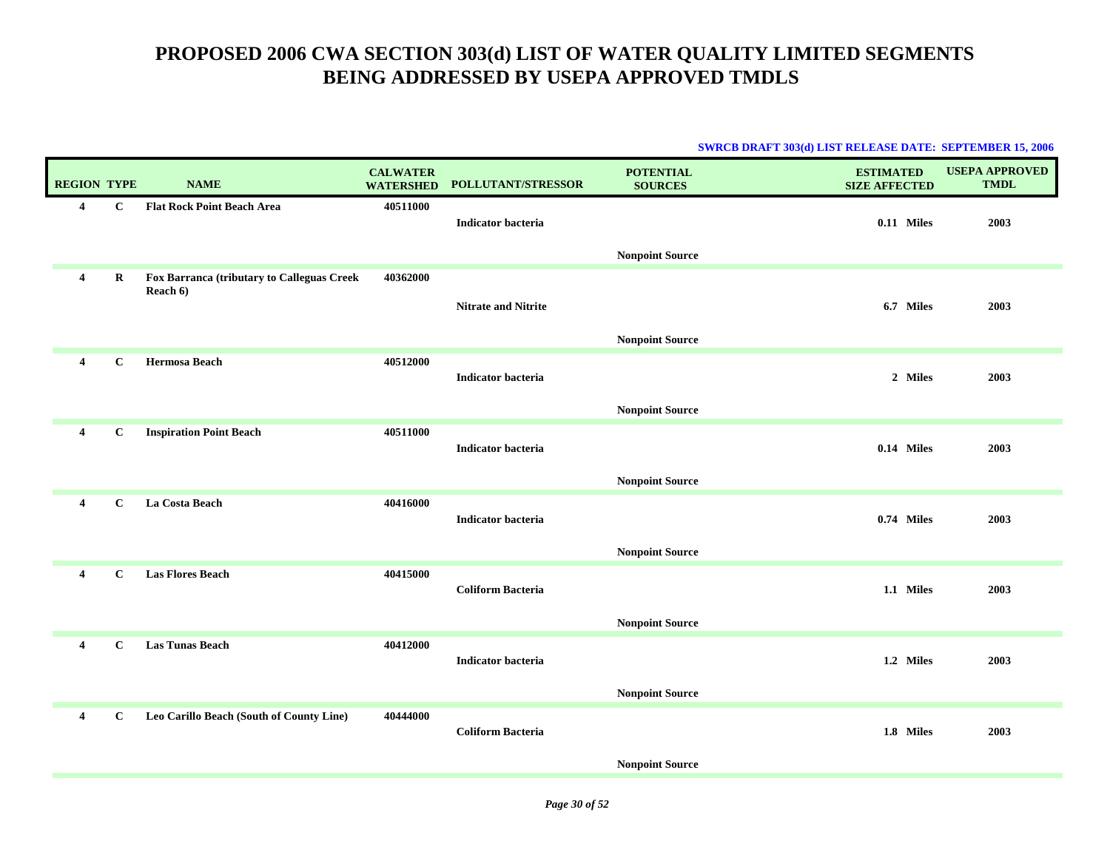|                    |              |                                                        |                                     |                            |                                    | <b>SWRCB DRAFT 303(d) LIST RELEASE DATE: SEPTEMBER 15, 2006</b> |                                      |
|--------------------|--------------|--------------------------------------------------------|-------------------------------------|----------------------------|------------------------------------|-----------------------------------------------------------------|--------------------------------------|
| <b>REGION TYPE</b> |              | <b>NAME</b>                                            | <b>CALWATER</b><br><b>WATERSHED</b> | POLLUTANT/STRESSOR         | <b>POTENTIAL</b><br><b>SOURCES</b> | <b>ESTIMATED</b><br><b>SIZE AFFECTED</b>                        | <b>USEPA APPROVED</b><br><b>TMDL</b> |
| 4                  | $\mathbf{C}$ | <b>Flat Rock Point Beach Area</b>                      | 40511000                            | <b>Indicator bacteria</b>  |                                    | 0.11 Miles                                                      | 2003                                 |
|                    |              |                                                        |                                     |                            | <b>Nonpoint Source</b>             |                                                                 |                                      |
| 4                  | $\bf R$      | Fox Barranca (tributary to Calleguas Creek<br>Reach 6) | 40362000                            | <b>Nitrate and Nitrite</b> | <b>Nonpoint Source</b>             | 6.7 Miles                                                       | 2003                                 |
| 4                  | $\mathbf{C}$ | <b>Hermosa Beach</b>                                   | 40512000                            | <b>Indicator bacteria</b>  | <b>Nonpoint Source</b>             | 2 Miles                                                         | 2003                                 |
| 4                  | $\mathbf C$  | <b>Inspiration Point Beach</b>                         | 40511000                            | <b>Indicator bacteria</b>  | <b>Nonpoint Source</b>             | 0.14 Miles                                                      | 2003                                 |
| 4                  | $\mathbf{C}$ | La Costa Beach                                         | 40416000                            | <b>Indicator bacteria</b>  | <b>Nonpoint Source</b>             | 0.74 Miles                                                      | 2003                                 |
| 4                  | $\mathbf{C}$ | <b>Las Flores Beach</b>                                | 40415000                            | <b>Coliform Bacteria</b>   | <b>Nonpoint Source</b>             | 1.1 Miles                                                       | 2003                                 |
| 4                  | $\mathbf{C}$ | <b>Las Tunas Beach</b>                                 | 40412000                            | <b>Indicator bacteria</b>  | <b>Nonpoint Source</b>             | 1.2 Miles                                                       | 2003                                 |
| 4                  | $\mathbf{C}$ | Leo Carillo Beach (South of County Line)               | 40444000                            | <b>Coliform Bacteria</b>   | <b>Nonpoint Source</b>             | 1.8 Miles                                                       | 2003                                 |
|                    |              |                                                        |                                     |                            |                                    |                                                                 |                                      |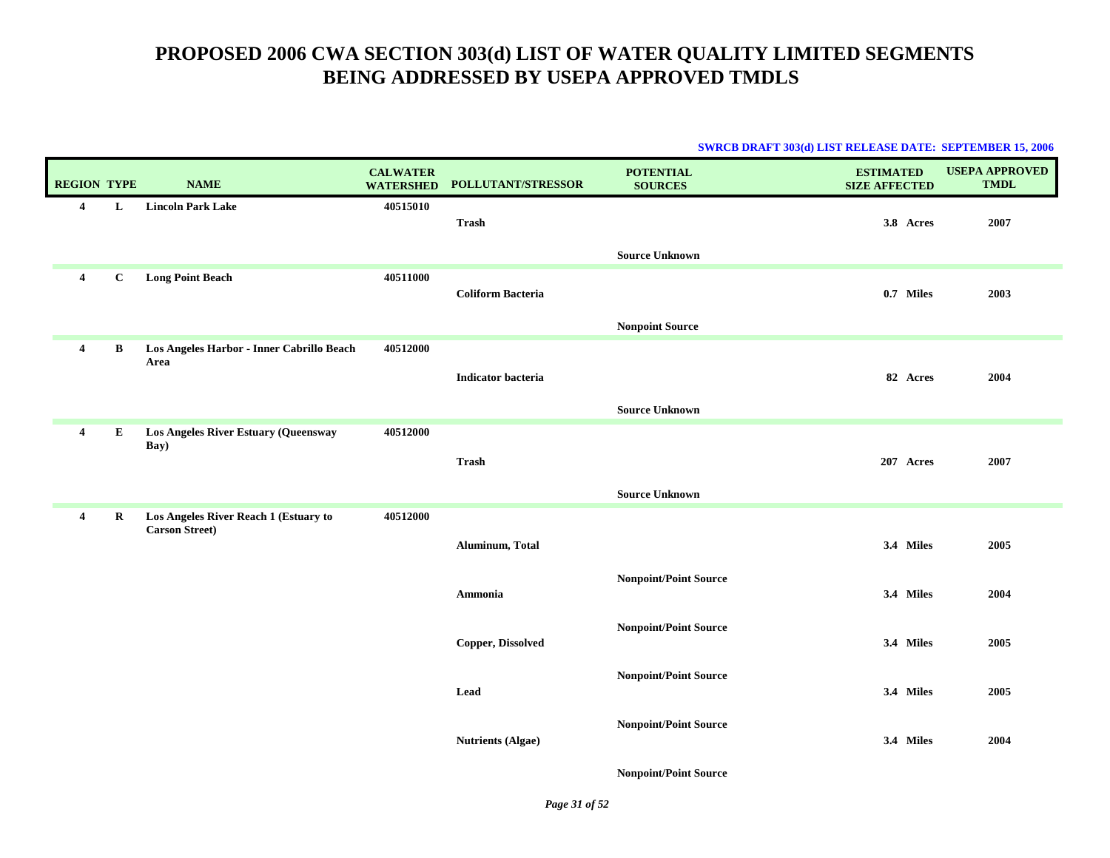|                         |             |                                                                |                                     |                           | <b>SWRCB DRAFT 303(d) LIST RELEASE DATE: SEPTEMBER 15, 2006</b> |                                          |                                      |
|-------------------------|-------------|----------------------------------------------------------------|-------------------------------------|---------------------------|-----------------------------------------------------------------|------------------------------------------|--------------------------------------|
| <b>REGION TYPE</b>      |             | <b>NAME</b>                                                    | <b>CALWATER</b><br><b>WATERSHED</b> | <b>POLLUTANT/STRESSOR</b> | <b>POTENTIAL</b><br><b>SOURCES</b>                              | <b>ESTIMATED</b><br><b>SIZE AFFECTED</b> | <b>USEPA APPROVED</b><br><b>TMDL</b> |
| $\overline{4}$          | L           | <b>Lincoln Park Lake</b>                                       | 40515010                            | Trash                     |                                                                 | 3.8 Acres                                | 2007                                 |
|                         |             |                                                                |                                     |                           | <b>Source Unknown</b>                                           |                                          |                                      |
| $\overline{4}$          | $\mathbf C$ | <b>Long Point Beach</b>                                        | 40511000                            | <b>Coliform Bacteria</b>  |                                                                 | 0.7 Miles                                | 2003                                 |
|                         |             |                                                                |                                     |                           | <b>Nonpoint Source</b>                                          |                                          |                                      |
| $\overline{\mathbf{4}}$ | B           | Los Angeles Harbor - Inner Cabrillo Beach<br>Area              | 40512000                            |                           |                                                                 |                                          |                                      |
|                         |             |                                                                |                                     | <b>Indicator bacteria</b> |                                                                 | 82 Acres                                 | 2004                                 |
|                         |             |                                                                |                                     |                           | <b>Source Unknown</b>                                           |                                          |                                      |
| $\overline{\mathbf{4}}$ | ${\bf E}$   | Los Angeles River Estuary (Queensway<br>Bay)                   | 40512000                            |                           |                                                                 |                                          |                                      |
|                         |             |                                                                |                                     | Trash                     |                                                                 | 207 Acres                                | 2007                                 |
|                         |             |                                                                |                                     |                           | <b>Source Unknown</b>                                           |                                          |                                      |
| 4                       | $\bf R$     | Los Angeles River Reach 1 (Estuary to<br><b>Carson Street)</b> | 40512000                            |                           |                                                                 |                                          |                                      |
|                         |             |                                                                |                                     | Aluminum, Total           |                                                                 | 3.4 Miles                                | 2005                                 |
|                         |             |                                                                |                                     |                           | <b>Nonpoint/Point Source</b>                                    |                                          |                                      |
|                         |             |                                                                |                                     | Ammonia                   |                                                                 | 3.4 Miles                                | 2004                                 |
|                         |             |                                                                |                                     | <b>Copper, Dissolved</b>  | <b>Nonpoint/Point Source</b>                                    | 3.4 Miles                                | 2005                                 |
|                         |             |                                                                |                                     | Lead                      | <b>Nonpoint/Point Source</b>                                    | 3.4 Miles                                | 2005                                 |
|                         |             |                                                                |                                     | <b>Nutrients (Algae)</b>  | <b>Nonpoint/Point Source</b>                                    | 3.4 Miles                                | 2004                                 |

**Nonpoint/Point Source**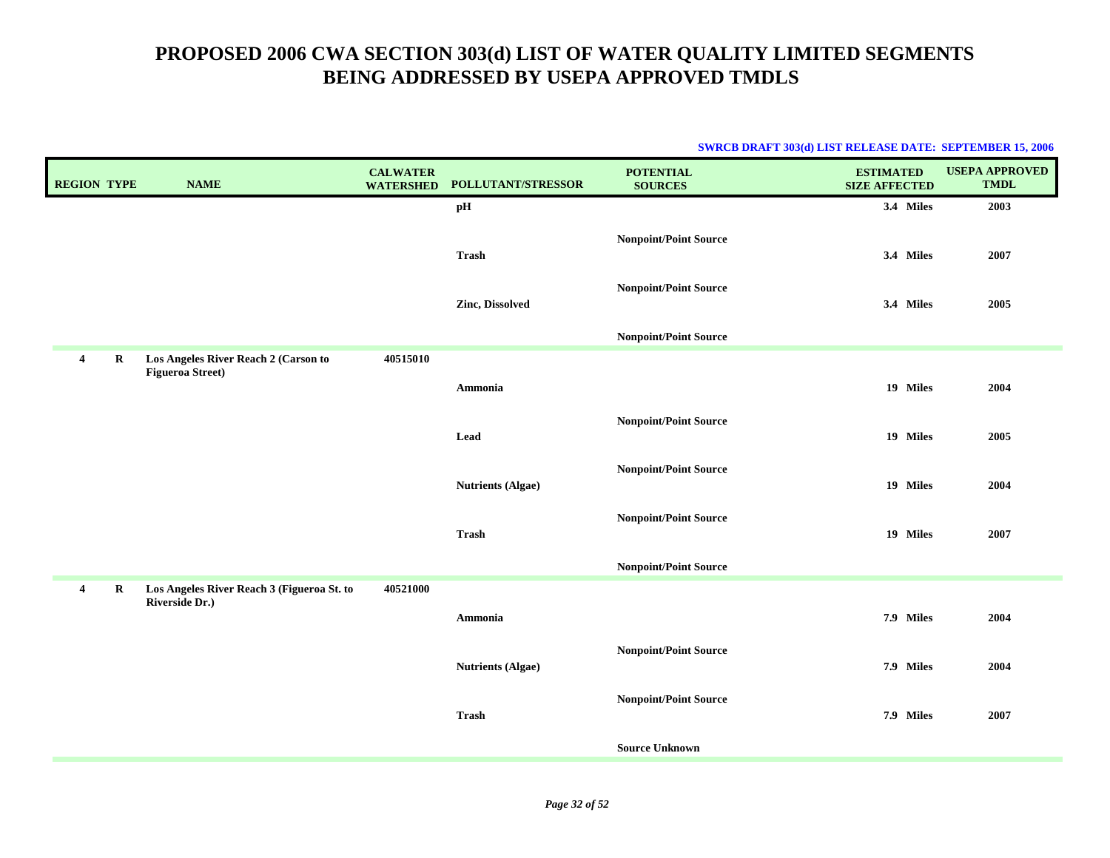| <b>REGION TYPE</b>      |             | <b>NAME</b>                                                     | <b>CALWATER</b><br><b>WATERSHED</b> | POLLUTANT/STRESSOR       | <b>POTENTIAL</b><br><b>SOURCES</b> | <b>ESTIMATED</b><br><b>SIZE AFFECTED</b> | <b>USEPA APPROVED</b><br><b>TMDL</b> |
|-------------------------|-------------|-----------------------------------------------------------------|-------------------------------------|--------------------------|------------------------------------|------------------------------------------|--------------------------------------|
|                         |             |                                                                 |                                     | pH                       |                                    | 3.4 Miles                                | 2003                                 |
|                         |             |                                                                 |                                     | <b>Trash</b>             | <b>Nonpoint/Point Source</b>       | 3.4 Miles                                | 2007                                 |
|                         |             |                                                                 |                                     | Zinc, Dissolved          | <b>Nonpoint/Point Source</b>       | 3.4 Miles                                | 2005                                 |
|                         |             |                                                                 |                                     |                          | <b>Nonpoint/Point Source</b>       |                                          |                                      |
| $\overline{\mathbf{4}}$ | R           | Los Angeles River Reach 2 (Carson to<br><b>Figueroa Street)</b> | 40515010                            |                          |                                    |                                          |                                      |
|                         |             |                                                                 |                                     | Ammonia                  |                                    | 19 Miles                                 | 2004                                 |
|                         |             |                                                                 |                                     | Lead                     | <b>Nonpoint/Point Source</b>       | 19 Miles                                 | 2005                                 |
|                         |             |                                                                 |                                     | <b>Nutrients (Algae)</b> | <b>Nonpoint/Point Source</b>       | 19 Miles                                 | 2004                                 |
|                         |             |                                                                 |                                     | <b>Trash</b>             | <b>Nonpoint/Point Source</b>       | 19 Miles                                 | 2007                                 |
|                         |             |                                                                 |                                     |                          | <b>Nonpoint/Point Source</b>       |                                          |                                      |
| 4                       | $\mathbf R$ | Los Angeles River Reach 3 (Figueroa St. to<br>Riverside Dr.)    | 40521000                            | Ammonia                  |                                    | 7.9 Miles                                | 2004                                 |
|                         |             |                                                                 |                                     | <b>Nutrients (Algae)</b> | <b>Nonpoint/Point Source</b>       | 7.9 Miles                                | 2004                                 |
|                         |             |                                                                 |                                     | <b>Trash</b>             | <b>Nonpoint/Point Source</b>       | 7.9 Miles                                | 2007                                 |
|                         |             |                                                                 |                                     |                          | <b>Source Unknown</b>              |                                          |                                      |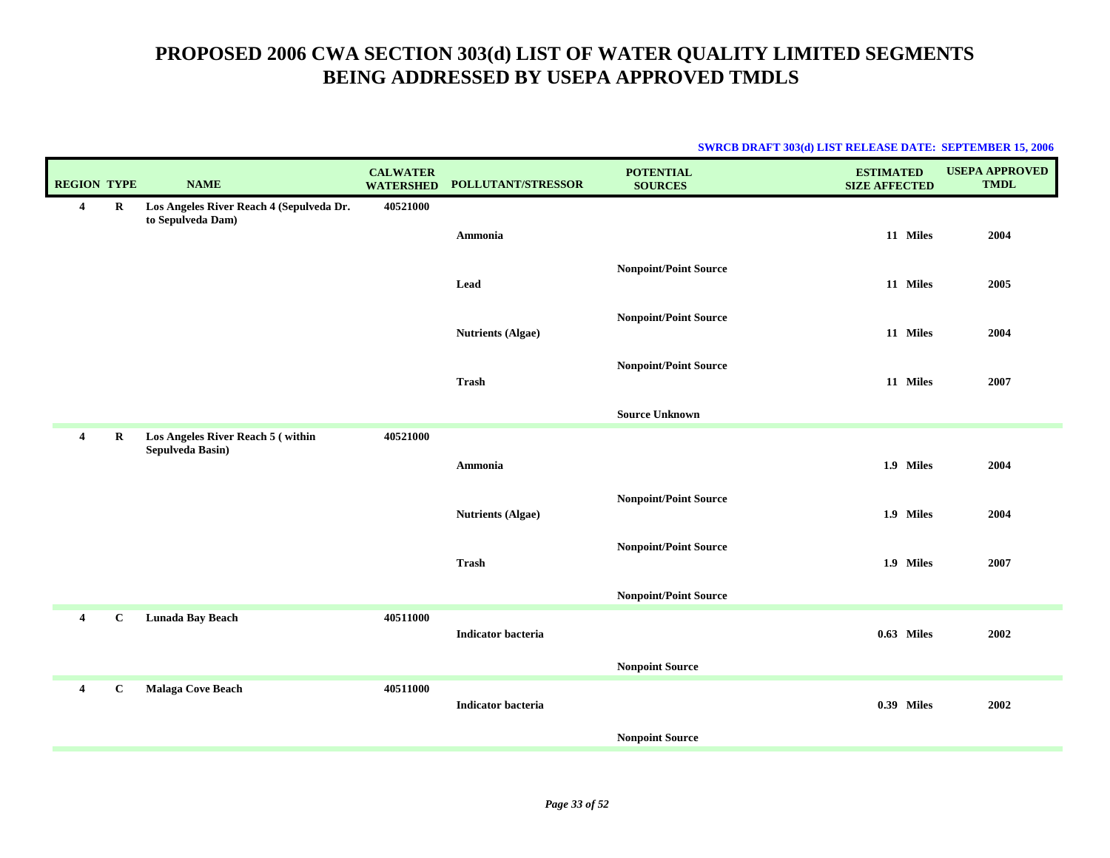| <b>REGION TYPE</b>      |             | <b>NAME</b>                                                   | <b>CALWATER</b><br><b>WATERSHED</b> | POLLUTANT/STRESSOR        | <b>POTENTIAL</b><br><b>SOURCES</b> | <b>ESTIMATED</b><br><b>SIZE AFFECTED</b> | <b>USEPA APPROVED</b><br><b>TMDL</b> |
|-------------------------|-------------|---------------------------------------------------------------|-------------------------------------|---------------------------|------------------------------------|------------------------------------------|--------------------------------------|
| $\overline{\mathbf{4}}$ | $\mathbf R$ | Los Angeles River Reach 4 (Sepulveda Dr.<br>to Sepulveda Dam) | 40521000                            |                           |                                    |                                          |                                      |
|                         |             |                                                               |                                     | Ammonia                   |                                    | 11 Miles                                 | 2004                                 |
|                         |             |                                                               |                                     |                           | <b>Nonpoint/Point Source</b>       |                                          |                                      |
|                         |             |                                                               |                                     | Lead                      |                                    | 11 Miles                                 | 2005                                 |
|                         |             |                                                               |                                     |                           | <b>Nonpoint/Point Source</b>       |                                          |                                      |
|                         |             |                                                               |                                     | <b>Nutrients (Algae)</b>  |                                    | 11 Miles                                 | 2004                                 |
|                         |             |                                                               |                                     |                           | <b>Nonpoint/Point Source</b>       |                                          |                                      |
|                         |             |                                                               |                                     | <b>Trash</b>              |                                    | 11 Miles                                 | 2007                                 |
|                         |             |                                                               |                                     |                           | <b>Source Unknown</b>              |                                          |                                      |
| $\overline{\mathbf{4}}$ | $\bf R$     | Los Angeles River Reach 5 (within<br>Sepulveda Basin)         | 40521000                            |                           |                                    |                                          |                                      |
|                         |             |                                                               |                                     | Ammonia                   |                                    | 1.9 Miles                                | 2004                                 |
|                         |             |                                                               |                                     |                           | <b>Nonpoint/Point Source</b>       |                                          |                                      |
|                         |             |                                                               |                                     | <b>Nutrients (Algae)</b>  |                                    | 1.9 Miles                                | 2004                                 |
|                         |             |                                                               |                                     |                           | <b>Nonpoint/Point Source</b>       |                                          |                                      |
|                         |             |                                                               |                                     | <b>Trash</b>              |                                    | 1.9 Miles                                | 2007                                 |
|                         |             |                                                               |                                     |                           | <b>Nonpoint/Point Source</b>       |                                          |                                      |
| $\overline{4}$          | $\mathbf C$ | Lunada Bay Beach                                              | 40511000                            | <b>Indicator bacteria</b> |                                    | 0.63 Miles                               | 2002                                 |
|                         |             |                                                               |                                     |                           |                                    |                                          |                                      |
|                         |             |                                                               |                                     |                           | <b>Nonpoint Source</b>             |                                          |                                      |
| $\overline{4}$          | $\mathbf C$ | Malaga Cove Beach                                             | 40511000                            | <b>Indicator bacteria</b> |                                    | <b>0.39 Miles</b>                        | 2002                                 |
|                         |             |                                                               |                                     |                           |                                    |                                          |                                      |
|                         |             |                                                               |                                     |                           | <b>Nonpoint Source</b>             |                                          |                                      |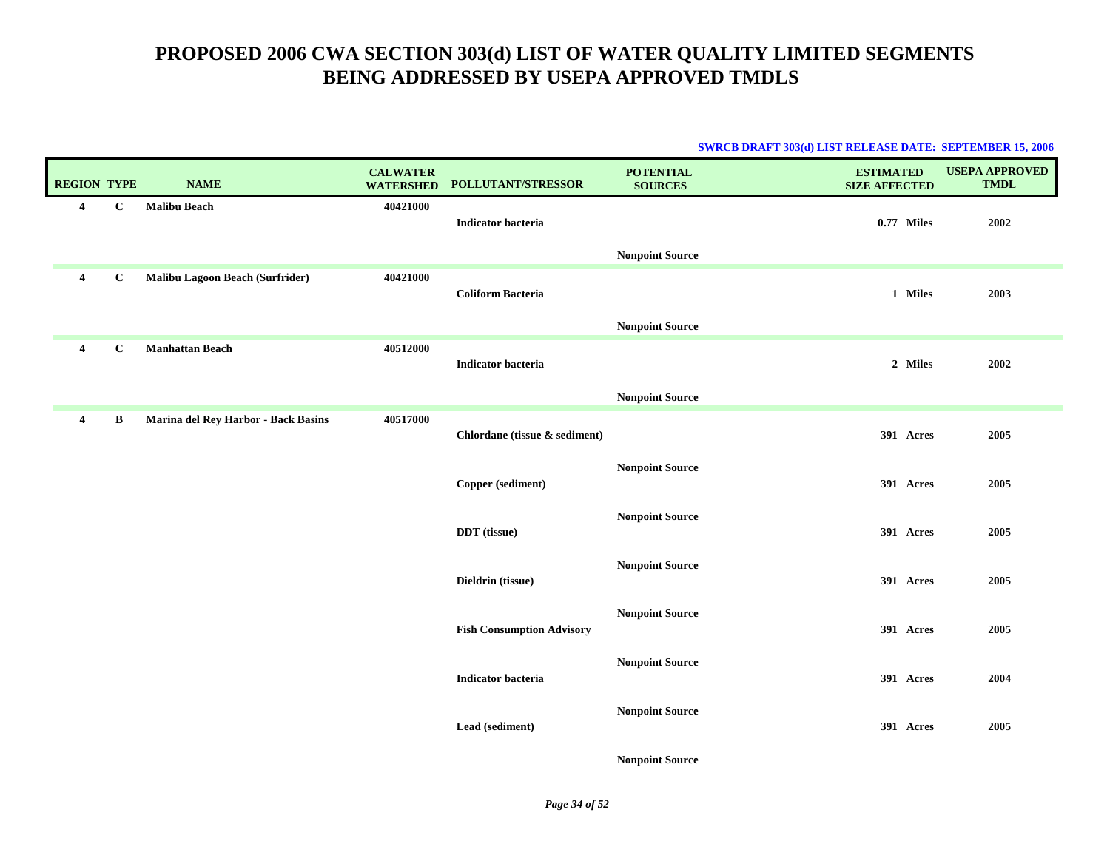|                         |              |                                        |                                     |                                  | <u>DWACD DIVAL I JOJ(U) LIDI KELEEADE DATE, DEI TEMDER 19, 2000</u> |                                          |                                      |
|-------------------------|--------------|----------------------------------------|-------------------------------------|----------------------------------|---------------------------------------------------------------------|------------------------------------------|--------------------------------------|
| <b>REGION TYPE</b>      |              | <b>NAME</b>                            | <b>CALWATER</b><br><b>WATERSHED</b> | POLLUTANT/STRESSOR               | <b>POTENTIAL</b><br><b>SOURCES</b>                                  | <b>ESTIMATED</b><br><b>SIZE AFFECTED</b> | <b>USEPA APPROVED</b><br><b>TMDL</b> |
| $\overline{\mathbf{4}}$ | $\bf C$      | <b>Malibu Beach</b>                    | 40421000                            | <b>Indicator bacteria</b>        |                                                                     | 0.77 Miles                               | 2002                                 |
|                         |              |                                        |                                     |                                  | <b>Nonpoint Source</b>                                              |                                          |                                      |
| $\overline{4}$          | $\mathbf{C}$ | <b>Malibu Lagoon Beach (Surfrider)</b> | 40421000                            | <b>Coliform Bacteria</b>         |                                                                     | 1 Miles                                  | 2003                                 |
|                         |              |                                        |                                     |                                  | <b>Nonpoint Source</b>                                              |                                          |                                      |
| $\overline{\mathbf{4}}$ | $\bf C$      | <b>Manhattan Beach</b>                 | 40512000                            | <b>Indicator bacteria</b>        |                                                                     | 2 Miles                                  | 2002                                 |
|                         |              |                                        |                                     |                                  | <b>Nonpoint Source</b>                                              |                                          |                                      |
| $\overline{\mathbf{4}}$ | B            | Marina del Rey Harbor - Back Basins    | 40517000                            | Chlordane (tissue & sediment)    |                                                                     | 391 Acres                                | 2005                                 |
|                         |              |                                        |                                     | Copper (sediment)                | <b>Nonpoint Source</b>                                              | 391 Acres                                | 2005                                 |
|                         |              |                                        |                                     | DDT (tissue)                     | <b>Nonpoint Source</b>                                              | 391 Acres                                | 2005                                 |
|                         |              |                                        |                                     | Dieldrin (tissue)                | <b>Nonpoint Source</b>                                              | 391 Acres                                | 2005                                 |
|                         |              |                                        |                                     | <b>Fish Consumption Advisory</b> | <b>Nonpoint Source</b>                                              | 391 Acres                                | 2005                                 |
|                         |              |                                        |                                     | <b>Indicator bacteria</b>        | <b>Nonpoint Source</b>                                              | 391 Acres                                | 2004                                 |
|                         |              |                                        |                                     | Lead (sediment)                  | <b>Nonpoint Source</b>                                              | 391 Acres                                | 2005                                 |
|                         |              |                                        |                                     |                                  | <b>Nonpoint Source</b>                                              |                                          |                                      |

#### **SWRCB DRAFT 303(d) LIST RELEASE DATE: SEPTEMBER 15, 2006**

*Page 34 of 52*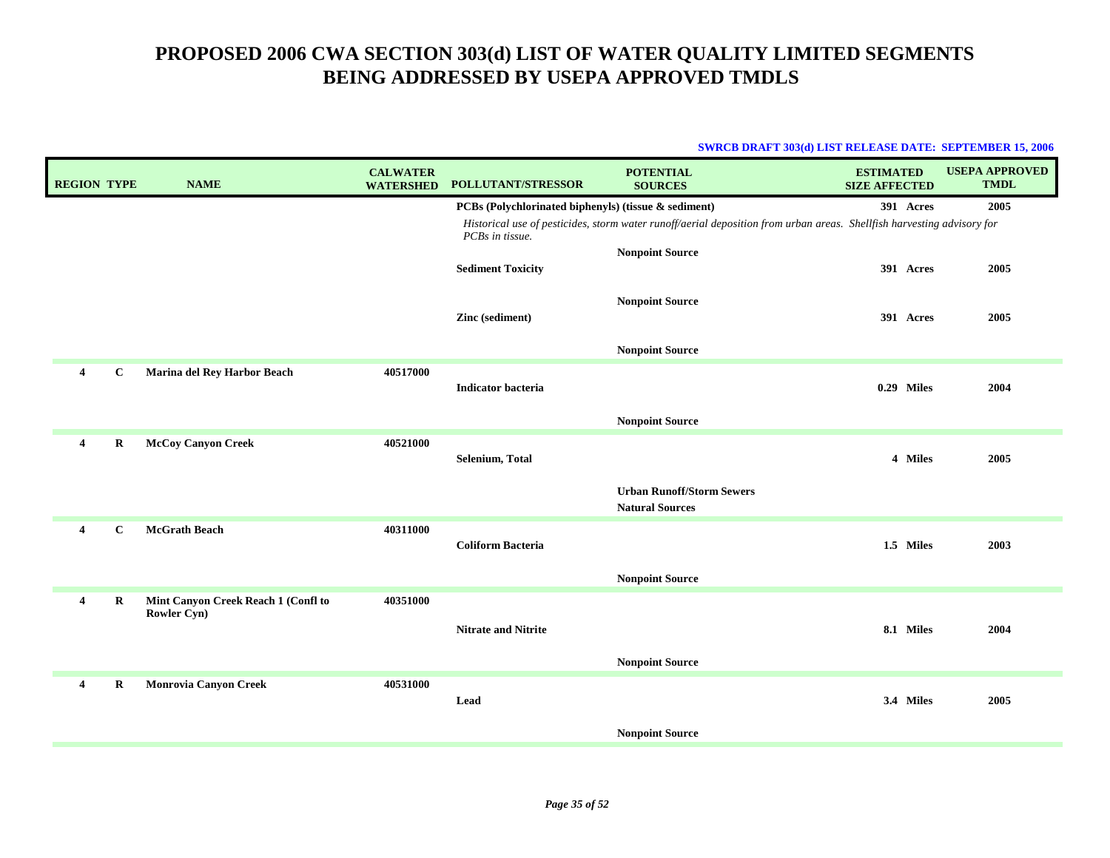| <b>REGION TYPE</b> |             | <b>NAME</b>                                        | <b>CALWATER</b><br><b>WATERSHED</b> | POLLUTANT/STRESSOR                                                      | <b>POTENTIAL</b><br><b>SOURCES</b>                                                                                     | <b>ESTIMATED</b><br><b>SIZE AFFECTED</b> | <b>USEPA APPROVED</b><br><b>TMDL</b> |
|--------------------|-------------|----------------------------------------------------|-------------------------------------|-------------------------------------------------------------------------|------------------------------------------------------------------------------------------------------------------------|------------------------------------------|--------------------------------------|
|                    |             |                                                    |                                     | PCBs (Polychlorinated biphenyls) (tissue & sediment)<br>PCBs in tissue. | Historical use of pesticides, storm water runoff/aerial deposition from urban areas. Shellfish harvesting advisory for | 391 Acres                                | 2005                                 |
|                    |             |                                                    |                                     | <b>Sediment Toxicity</b>                                                | <b>Nonpoint Source</b>                                                                                                 | 391 Acres                                | 2005                                 |
|                    |             |                                                    |                                     | Zinc (sediment)                                                         | <b>Nonpoint Source</b>                                                                                                 | 391 Acres                                | 2005                                 |
|                    |             |                                                    |                                     |                                                                         | <b>Nonpoint Source</b>                                                                                                 |                                          |                                      |
| $\overline{4}$     | $\mathbf C$ | Marina del Rey Harbor Beach                        | 40517000                            | <b>Indicator bacteria</b>                                               |                                                                                                                        | 0.29 Miles                               | 2004                                 |
|                    |             |                                                    |                                     |                                                                         | <b>Nonpoint Source</b>                                                                                                 |                                          |                                      |
| $\overline{4}$     | $\mathbf R$ | <b>McCoy Canyon Creek</b>                          | 40521000                            | Selenium, Total                                                         |                                                                                                                        | 4 Miles                                  | 2005                                 |
|                    |             |                                                    |                                     |                                                                         | <b>Urban Runoff/Storm Sewers</b><br><b>Natural Sources</b>                                                             |                                          |                                      |
| $\overline{4}$     | $\mathbf c$ | McGrath Beach                                      | 40311000                            | <b>Coliform Bacteria</b>                                                |                                                                                                                        | 1.5 Miles                                | 2003                                 |
|                    |             |                                                    |                                     |                                                                         | <b>Nonpoint Source</b>                                                                                                 |                                          |                                      |
| $\overline{4}$     | R           | Mint Canyon Creek Reach 1 (Confl to<br>Rowler Cyn) | 40351000                            | <b>Nitrate and Nitrite</b>                                              |                                                                                                                        | 8.1 Miles                                | 2004                                 |
|                    |             |                                                    |                                     |                                                                         | <b>Nonpoint Source</b>                                                                                                 |                                          |                                      |
| 4                  | R           | <b>Monrovia Canyon Creek</b>                       | 40531000                            | Lead                                                                    |                                                                                                                        | 3.4 Miles                                | 2005                                 |
|                    |             |                                                    |                                     |                                                                         | <b>Nonpoint Source</b>                                                                                                 |                                          |                                      |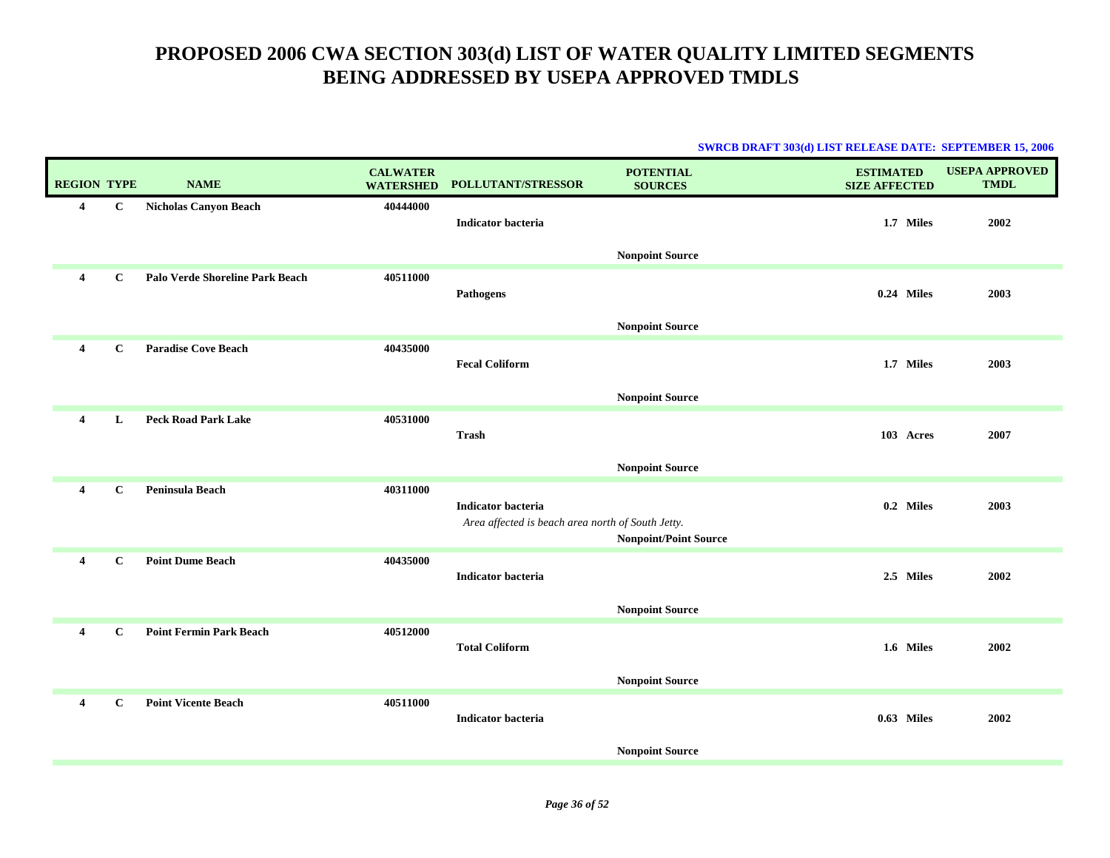|                         |              |                                 |                                     |                                                                                | <b>SWRCB DRAFT 303(d) LIST RELEASE DATE: SEPTEMBER 15, 2006</b> |                                          |                                      |
|-------------------------|--------------|---------------------------------|-------------------------------------|--------------------------------------------------------------------------------|-----------------------------------------------------------------|------------------------------------------|--------------------------------------|
| <b>REGION TYPE</b>      |              | <b>NAME</b>                     | <b>CALWATER</b><br><b>WATERSHED</b> | POLLUTANT/STRESSOR                                                             | <b>POTENTIAL</b><br><b>SOURCES</b>                              | <b>ESTIMATED</b><br><b>SIZE AFFECTED</b> | <b>USEPA APPROVED</b><br><b>TMDL</b> |
| 4                       | $\bf C$      | <b>Nicholas Canyon Beach</b>    | 40444000                            | <b>Indicator bacteria</b>                                                      |                                                                 | 1.7 Miles                                | 2002                                 |
|                         |              |                                 |                                     |                                                                                | <b>Nonpoint Source</b>                                          |                                          |                                      |
| $\overline{\mathbf{4}}$ | $\mathbf C$  | Palo Verde Shoreline Park Beach | 40511000                            | <b>Pathogens</b>                                                               |                                                                 | 0.24 Miles                               | 2003                                 |
|                         |              |                                 |                                     |                                                                                | <b>Nonpoint Source</b>                                          |                                          |                                      |
| $\overline{4}$          | $\mathbf{C}$ | <b>Paradise Cove Beach</b>      | 40435000                            | <b>Fecal Coliform</b>                                                          |                                                                 | 1.7 Miles                                | 2003                                 |
|                         |              |                                 |                                     |                                                                                | <b>Nonpoint Source</b>                                          |                                          |                                      |
| 4                       | L            | <b>Peck Road Park Lake</b>      | 40531000                            | <b>Trash</b>                                                                   |                                                                 | 103 Acres                                | 2007                                 |
|                         |              |                                 |                                     |                                                                                | <b>Nonpoint Source</b>                                          |                                          |                                      |
| $\overline{\mathbf{4}}$ | $\mathbf C$  | Peninsula Beach                 | 40311000                            | <b>Indicator bacteria</b><br>Area affected is beach area north of South Jetty. | <b>Nonpoint/Point Source</b>                                    | 0.2 Miles                                | 2003                                 |
| $\overline{4}$          | $\mathbf{C}$ | <b>Point Dume Beach</b>         | 40435000                            | <b>Indicator bacteria</b>                                                      | <b>Nonpoint Source</b>                                          | 2.5 Miles                                | 2002                                 |
| $\overline{4}$          | $\mathbf{C}$ | <b>Point Fermin Park Beach</b>  | 40512000                            | <b>Total Coliform</b>                                                          | <b>Nonpoint Source</b>                                          | 1.6 Miles                                | 2002                                 |
| 4                       | $\mathbf C$  | <b>Point Vicente Beach</b>      | 40511000                            | <b>Indicator bacteria</b>                                                      |                                                                 | 0.63 Miles                               | 2002                                 |
|                         |              |                                 |                                     |                                                                                | <b>Nonpoint Source</b>                                          |                                          |                                      |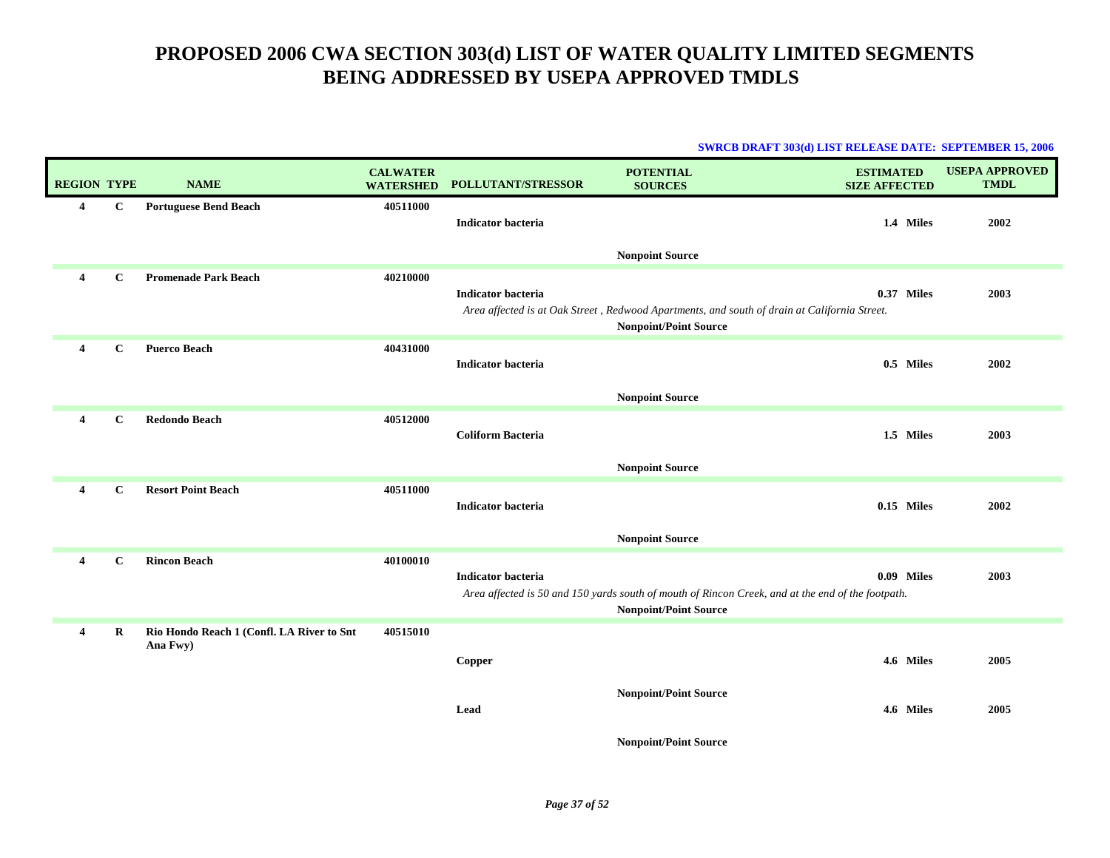|                    |              |                                                       |                                     |                           | <b>SWRCB DRAFT 303(d) LIST RELEASE DATE: SEPTEMBER 15, 2006</b>                                                                                        |                                          |            |                                      |
|--------------------|--------------|-------------------------------------------------------|-------------------------------------|---------------------------|--------------------------------------------------------------------------------------------------------------------------------------------------------|------------------------------------------|------------|--------------------------------------|
| <b>REGION TYPE</b> |              | <b>NAME</b>                                           | <b>CALWATER</b><br><b>WATERSHED</b> | POLLUTANT/STRESSOR        | <b>POTENTIAL</b><br><b>SOURCES</b>                                                                                                                     | <b>ESTIMATED</b><br><b>SIZE AFFECTED</b> |            | <b>USEPA APPROVED</b><br><b>TMDL</b> |
| 4                  | $\mathbf{C}$ | <b>Portuguese Bend Beach</b>                          | 40511000                            | <b>Indicator bacteria</b> |                                                                                                                                                        |                                          | 1.4 Miles  | 2002                                 |
| 4                  | $\mathbf{C}$ | <b>Promenade Park Beach</b>                           | 40210000                            | <b>Indicator bacteria</b> | <b>Nonpoint Source</b><br>Area affected is at Oak Street, Redwood Apartments, and south of drain at California Street.<br><b>Nonpoint/Point Source</b> |                                          | 0.37 Miles | 2003                                 |
| 4                  | $\mathbf{C}$ | <b>Puerco Beach</b>                                   | 40431000                            | <b>Indicator bacteria</b> | <b>Nonpoint Source</b>                                                                                                                                 |                                          | 0.5 Miles  | 2002                                 |
| 4                  | $\mathbf{C}$ | <b>Redondo Beach</b>                                  | 40512000                            | <b>Coliform Bacteria</b>  | <b>Nonpoint Source</b>                                                                                                                                 |                                          | 1.5 Miles  | 2003                                 |
| 4                  | $\mathbf{C}$ | <b>Resort Point Beach</b>                             | 40511000                            | Indicator bacteria        | <b>Nonpoint Source</b>                                                                                                                                 |                                          | 0.15 Miles | 2002                                 |
| 4                  | $\mathbf{C}$ | <b>Rincon Beach</b>                                   | 40100010                            | <b>Indicator bacteria</b> | Area affected is 50 and 150 yards south of mouth of Rincon Creek, and at the end of the footpath.<br><b>Nonpoint/Point Source</b>                      |                                          | 0.09 Miles | 2003                                 |
| 4                  | $\bf R$      | Rio Hondo Reach 1 (Confl. LA River to Snt<br>Ana Fwy) | 40515010                            | <b>Copper</b>             |                                                                                                                                                        |                                          | 4.6 Miles  | 2005                                 |
|                    |              |                                                       |                                     | Lead                      | <b>Nonpoint/Point Source</b>                                                                                                                           |                                          | 4.6 Miles  | 2005                                 |
|                    |              |                                                       |                                     |                           | <b>Nonpoint/Point Source</b>                                                                                                                           |                                          |            |                                      |

*Page 37 of 52*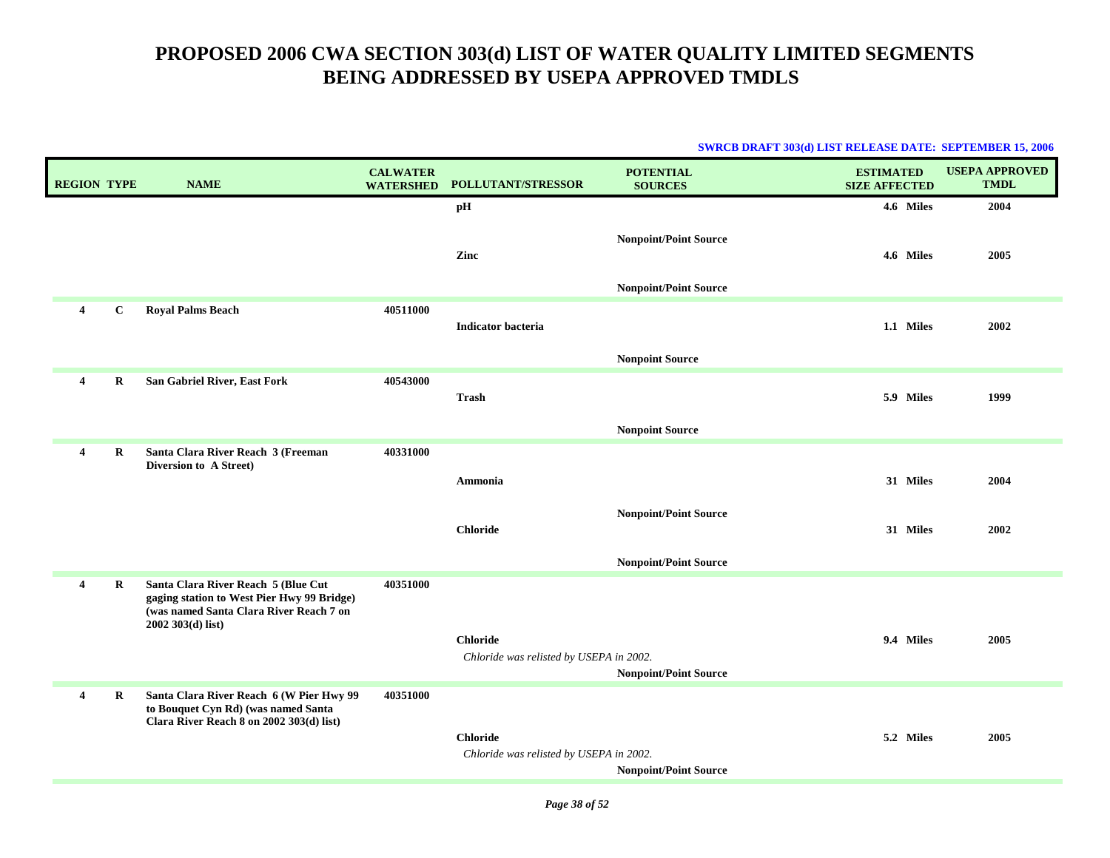| <b>REGION TYPE</b>      |             | <b>NAME</b>                                                                                                                                        | <b>CALWATER</b><br><b>WATERSHED</b> | POLLUTANT/STRESSOR                                         | <b>POTENTIAL</b><br><b>SOURCES</b> | <b>ESTIMATED</b><br><b>SIZE AFFECTED</b> | <b>USEPA APPROVED</b><br><b>TMDL</b> |
|-------------------------|-------------|----------------------------------------------------------------------------------------------------------------------------------------------------|-------------------------------------|------------------------------------------------------------|------------------------------------|------------------------------------------|--------------------------------------|
|                         |             |                                                                                                                                                    |                                     | pН                                                         |                                    | 4.6 Miles                                | 2004                                 |
|                         |             |                                                                                                                                                    |                                     | Zinc                                                       | <b>Nonpoint/Point Source</b>       | 4.6 Miles                                | 2005                                 |
|                         |             |                                                                                                                                                    |                                     |                                                            | <b>Nonpoint/Point Source</b>       |                                          |                                      |
| $\overline{4}$          | $\mathbf C$ | <b>Royal Palms Beach</b>                                                                                                                           | 40511000                            | <b>Indicator bacteria</b>                                  |                                    | 1.1 Miles                                | 2002                                 |
|                         |             |                                                                                                                                                    |                                     |                                                            | <b>Nonpoint Source</b>             |                                          |                                      |
| $\overline{\mathbf{4}}$ | R           | San Gabriel River, East Fork                                                                                                                       | 40543000                            | Trash                                                      |                                    | 5.9 Miles                                | 1999                                 |
|                         |             |                                                                                                                                                    |                                     |                                                            | <b>Nonpoint Source</b>             |                                          |                                      |
| $\overline{4}$          | R           | Santa Clara River Reach 3 (Freeman<br>Diversion to A Street)                                                                                       | 40331000                            |                                                            |                                    |                                          |                                      |
|                         |             |                                                                                                                                                    |                                     | Ammonia                                                    |                                    | 31 Miles                                 | 2004                                 |
|                         |             |                                                                                                                                                    |                                     | <b>Chloride</b>                                            | <b>Nonpoint/Point Source</b>       | 31 Miles                                 | 2002                                 |
|                         |             |                                                                                                                                                    |                                     |                                                            | <b>Nonpoint/Point Source</b>       |                                          |                                      |
| 4                       | $\bf{R}$    | Santa Clara River Reach 5 (Blue Cut<br>gaging station to West Pier Hwy 99 Bridge)<br>(was named Santa Clara River Reach 7 on<br>$2002303(d)$ list) | 40351000                            | <b>Chloride</b>                                            |                                    | 9.4 Miles                                | 2005                                 |
|                         |             |                                                                                                                                                    |                                     | Chloride was relisted by USEPA in 2002.                    |                                    |                                          |                                      |
| 4                       | $\mathbf R$ | Santa Clara River Reach 6 (W Pier Hwy 99                                                                                                           | 40351000                            |                                                            | <b>Nonpoint/Point Source</b>       |                                          |                                      |
|                         |             | to Bouquet Cyn Rd) (was named Santa<br>Clara River Reach 8 on 2002 303(d) list)                                                                    |                                     | <b>Chloride</b><br>Chloride was relisted by USEPA in 2002. | <b>Nonpoint/Point Source</b>       | 5.2 Miles                                | 2005                                 |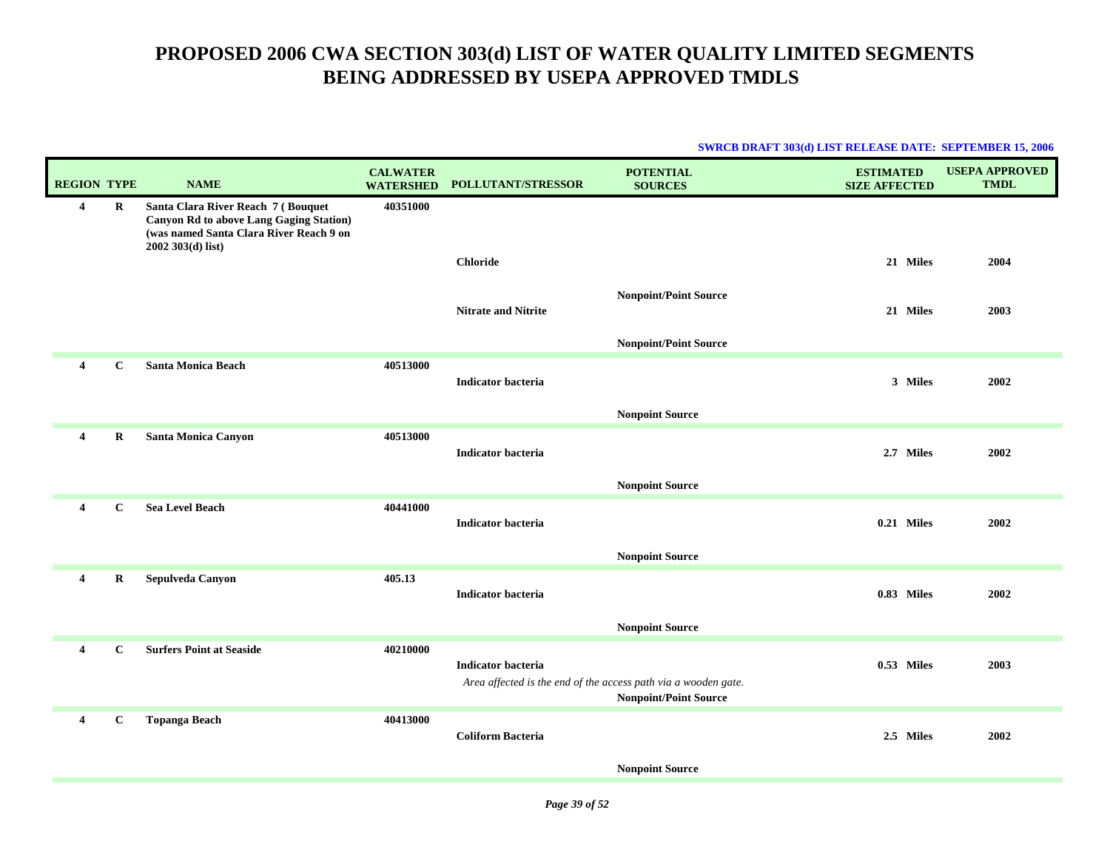| <b>SWRCB DRAFT 303(d) LIST RELEASE DATE: SEPTEMBER 15, 2006</b> |  |
|-----------------------------------------------------------------|--|
|                                                                 |  |

|                         | <b>REGION TYPE</b> | <b>NAME</b>                                                                                                                                           | <b>CALWATER</b><br><b>WATERSHED</b> | POLLUTANT/STRESSOR         | <b>POTENTIAL</b><br><b>SOURCES</b>                                                             | <b>ESTIMATED</b><br><b>SIZE AFFECTED</b> | <b>USEPA APPROVED</b><br><b>TMDL</b> |
|-------------------------|--------------------|-------------------------------------------------------------------------------------------------------------------------------------------------------|-------------------------------------|----------------------------|------------------------------------------------------------------------------------------------|------------------------------------------|--------------------------------------|
| $\overline{4}$          | R                  | Santa Clara River Reach 7 (Bouquet<br><b>Canyon Rd to above Lang Gaging Station)</b><br>(was named Santa Clara River Reach 9 on<br>$2002303(d)$ list) | 40351000                            |                            |                                                                                                |                                          |                                      |
|                         |                    |                                                                                                                                                       |                                     | <b>Chloride</b>            |                                                                                                | 21 Miles                                 | 2004                                 |
|                         |                    |                                                                                                                                                       |                                     | <b>Nitrate and Nitrite</b> | <b>Nonpoint/Point Source</b>                                                                   | 21 Miles                                 | 2003                                 |
|                         |                    |                                                                                                                                                       |                                     |                            | <b>Nonpoint/Point Source</b>                                                                   |                                          |                                      |
| $\overline{\mathbf{4}}$ | $\mathbf{C}$       | <b>Santa Monica Beach</b>                                                                                                                             | 40513000                            | <b>Indicator bacteria</b>  |                                                                                                | 3 Miles                                  | 2002                                 |
|                         |                    |                                                                                                                                                       |                                     |                            | <b>Nonpoint Source</b>                                                                         |                                          |                                      |
| $\overline{4}$          | R                  | Santa Monica Canyon                                                                                                                                   | 40513000                            | <b>Indicator bacteria</b>  |                                                                                                | 2.7 Miles                                | 2002                                 |
|                         |                    |                                                                                                                                                       |                                     |                            | <b>Nonpoint Source</b>                                                                         |                                          |                                      |
| $\overline{\mathbf{4}}$ | $\mathbf{C}$       | <b>Sea Level Beach</b>                                                                                                                                | 40441000                            | <b>Indicator bacteria</b>  |                                                                                                | 0.21 Miles                               | 2002                                 |
|                         |                    |                                                                                                                                                       |                                     |                            | <b>Nonpoint Source</b>                                                                         |                                          |                                      |
| $\overline{4}$          | $\mathbf R$        | Sepulveda Canyon                                                                                                                                      | 405.13                              | <b>Indicator bacteria</b>  |                                                                                                | 0.83 Miles                               | 2002                                 |
|                         |                    |                                                                                                                                                       |                                     |                            | <b>Nonpoint Source</b>                                                                         |                                          |                                      |
| $\overline{\mathbf{4}}$ | $\mathbf C$        | <b>Surfers Point at Seaside</b>                                                                                                                       | 40210000                            | <b>Indicator bacteria</b>  | Area affected is the end of the access path via a wooden gate.<br><b>Nonpoint/Point Source</b> | 0.53 Miles                               | 2003                                 |
| $\overline{4}$          | $\mathbf{C}$       | <b>Topanga Beach</b>                                                                                                                                  | 40413000                            | <b>Coliform Bacteria</b>   |                                                                                                | 2.5 Miles                                | 2002                                 |
|                         |                    |                                                                                                                                                       |                                     |                            | <b>Nonpoint Source</b>                                                                         |                                          |                                      |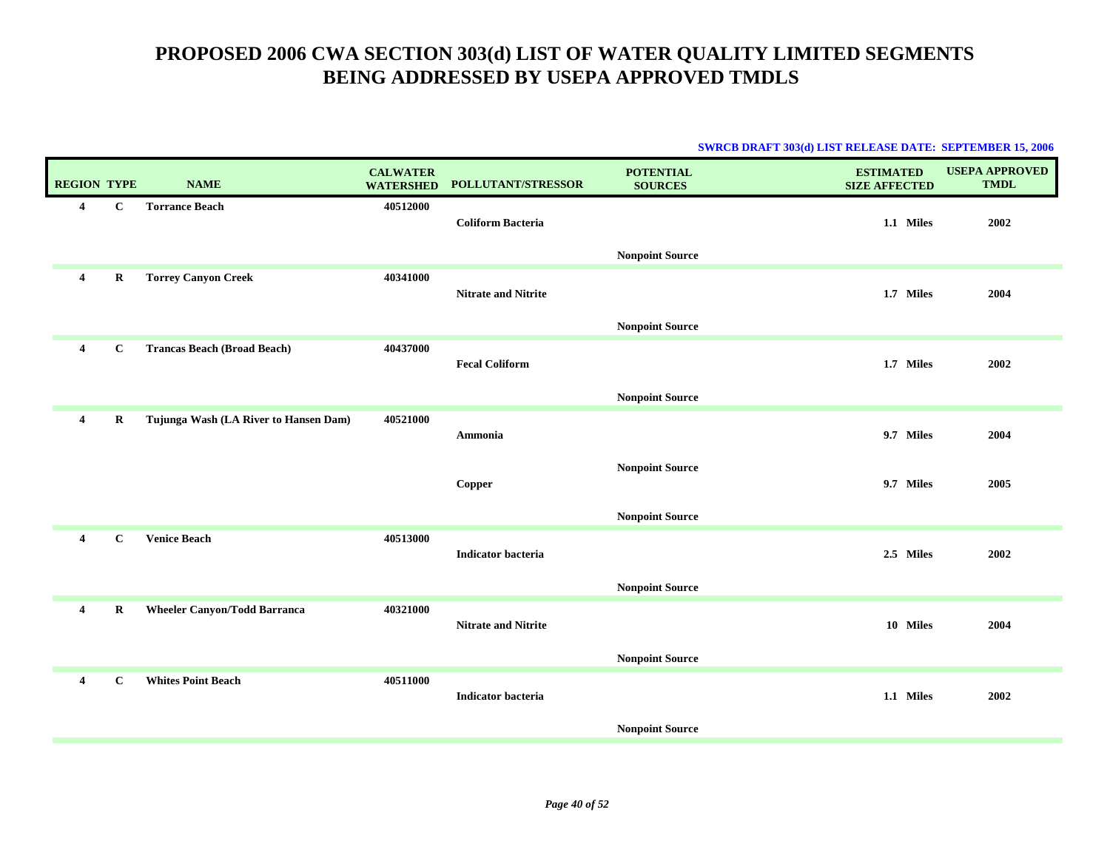|                    |             |                                       |                                     |                            | <b>SWRCB DRAFT 303(d) LIST RELEASE DATE: SEPTEMBER 15, 2006</b> |                                          |                                      |
|--------------------|-------------|---------------------------------------|-------------------------------------|----------------------------|-----------------------------------------------------------------|------------------------------------------|--------------------------------------|
| <b>REGION TYPE</b> |             | <b>NAME</b>                           | <b>CALWATER</b><br><b>WATERSHED</b> | POLLUTANT/STRESSOR         | <b>POTENTIAL</b><br><b>SOURCES</b>                              | <b>ESTIMATED</b><br><b>SIZE AFFECTED</b> | <b>USEPA APPROVED</b><br><b>TMDL</b> |
| 4                  | $\mathbf C$ | <b>Torrance Beach</b>                 | 40512000                            |                            |                                                                 |                                          |                                      |
|                    |             |                                       |                                     | <b>Coliform Bacteria</b>   |                                                                 | 1.1 Miles                                | 2002                                 |
|                    |             |                                       |                                     |                            | <b>Nonpoint Source</b>                                          |                                          |                                      |
| $\overline{4}$     | $\mathbf R$ | <b>Torrey Canyon Creek</b>            | 40341000                            |                            |                                                                 |                                          |                                      |
|                    |             |                                       |                                     | <b>Nitrate and Nitrite</b> |                                                                 | 1.7 Miles                                | 2004                                 |
|                    |             |                                       |                                     |                            | <b>Nonpoint Source</b>                                          |                                          |                                      |
| $\overline{4}$     | С           | <b>Trancas Beach (Broad Beach)</b>    | 40437000                            | <b>Fecal Coliform</b>      |                                                                 | 1.7 Miles                                | 2002                                 |
|                    |             |                                       |                                     |                            |                                                                 |                                          |                                      |
|                    |             |                                       |                                     |                            | <b>Nonpoint Source</b>                                          |                                          |                                      |
| 4                  | $\bf R$     | Tujunga Wash (LA River to Hansen Dam) | 40521000                            | <b>Ammonia</b>             |                                                                 | 9.7 Miles                                | 2004                                 |
|                    |             |                                       |                                     |                            |                                                                 |                                          |                                      |
|                    |             |                                       |                                     |                            | <b>Nonpoint Source</b>                                          |                                          |                                      |
|                    |             |                                       |                                     | Copper                     |                                                                 | 9.7 Miles                                | 2005                                 |
|                    |             |                                       |                                     |                            | <b>Nonpoint Source</b>                                          |                                          |                                      |
| 4                  | $\mathbf C$ | <b>Venice Beach</b>                   | 40513000                            |                            |                                                                 | 2.5 Miles                                |                                      |
|                    |             |                                       |                                     | <b>Indicator bacteria</b>  |                                                                 |                                          | 2002                                 |
|                    |             |                                       |                                     |                            | <b>Nonpoint Source</b>                                          |                                          |                                      |
| $\overline{4}$     | R           | <b>Wheeler Canyon/Todd Barranca</b>   | 40321000                            | <b>Nitrate and Nitrite</b> |                                                                 | 10 Miles                                 | 2004                                 |
|                    |             |                                       |                                     |                            |                                                                 |                                          |                                      |
|                    |             |                                       |                                     |                            | <b>Nonpoint Source</b>                                          |                                          |                                      |
| 4                  | C           | <b>Whites Point Beach</b>             | 40511000                            |                            |                                                                 |                                          |                                      |
|                    |             |                                       |                                     | <b>Indicator</b> bacteria  |                                                                 | 1.1 Miles                                | 2002                                 |
|                    |             |                                       |                                     |                            | <b>Nonpoint Source</b>                                          |                                          |                                      |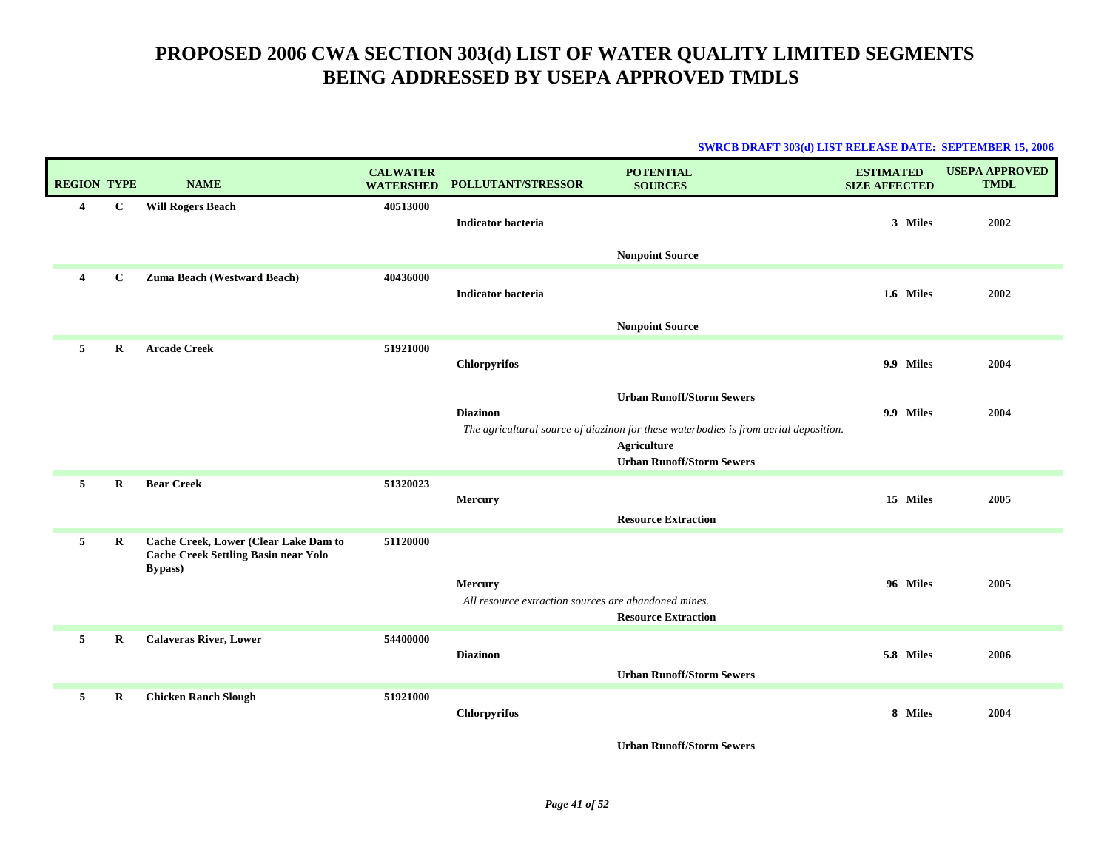| <b>SWRCB DRAFT 303(d) LIST RELEASE DATE: SEPTEMBER 15, 2006</b> |  |
|-----------------------------------------------------------------|--|
|                                                                 |  |

| <b>REGION TYPE</b>      |             | <b>NAME</b>                                                                                             | <b>CALWATER</b><br><b>WATERSHED</b> | POLLUTANT/STRESSOR                                              | <b>POTENTIAL</b><br><b>SOURCES</b>                                                                                                                                          | <b>ESTIMATED</b><br><b>SIZE AFFECTED</b> | <b>USEPA APPROVED</b><br><b>TMDL</b> |
|-------------------------|-------------|---------------------------------------------------------------------------------------------------------|-------------------------------------|-----------------------------------------------------------------|-----------------------------------------------------------------------------------------------------------------------------------------------------------------------------|------------------------------------------|--------------------------------------|
| $\overline{\mathbf{4}}$ | $\mathbf C$ | <b>Will Rogers Beach</b>                                                                                | 40513000                            | <b>Indicator bacteria</b>                                       |                                                                                                                                                                             | 3 Miles                                  | 2002                                 |
|                         |             |                                                                                                         |                                     |                                                                 | <b>Nonpoint Source</b>                                                                                                                                                      |                                          |                                      |
| 4                       | $\mathbf C$ | Zuma Beach (Westward Beach)                                                                             | 40436000                            | <b>Indicator bacteria</b>                                       |                                                                                                                                                                             | 1.6 Miles                                | 2002                                 |
|                         |             |                                                                                                         |                                     |                                                                 | <b>Nonpoint Source</b>                                                                                                                                                      |                                          |                                      |
| 5                       | R           | <b>Arcade Creek</b>                                                                                     | 51921000                            | <b>Chlorpyrifos</b>                                             |                                                                                                                                                                             | 9.9 Miles                                | 2004                                 |
|                         |             |                                                                                                         |                                     | <b>Diazinon</b>                                                 | <b>Urban Runoff/Storm Sewers</b><br>The agricultural source of diazinon for these waterbodies is from aerial deposition.<br>Agriculture<br><b>Urban Runoff/Storm Sewers</b> | 9.9 Miles                                | 2004                                 |
| 5                       | $\bf{R}$    | <b>Bear Creek</b>                                                                                       | 51320023                            | Mercury                                                         | <b>Resource Extraction</b>                                                                                                                                                  | 15 Miles                                 | 2005                                 |
| 5                       | R           | Cache Creek, Lower (Clear Lake Dam to<br><b>Cache Creek Settling Basin near Yolo</b><br><b>Bypass</b> ) | 51120000                            | Mercury<br>All resource extraction sources are abandoned mines. | <b>Resource Extraction</b>                                                                                                                                                  | 96 Miles                                 | 2005                                 |
| 5                       | R           | <b>Calaveras River, Lower</b>                                                                           | 54400000                            | <b>Diazinon</b>                                                 | <b>Urban Runoff/Storm Sewers</b>                                                                                                                                            | 5.8 Miles                                | 2006                                 |
| 5                       | R           | <b>Chicken Ranch Slough</b>                                                                             | 51921000                            | <b>Chlorpyrifos</b>                                             | $\sim$<br>0.0000                                                                                                                                                            | 8 Miles                                  | 2004                                 |

**Urban Runoff/Storm Sewers**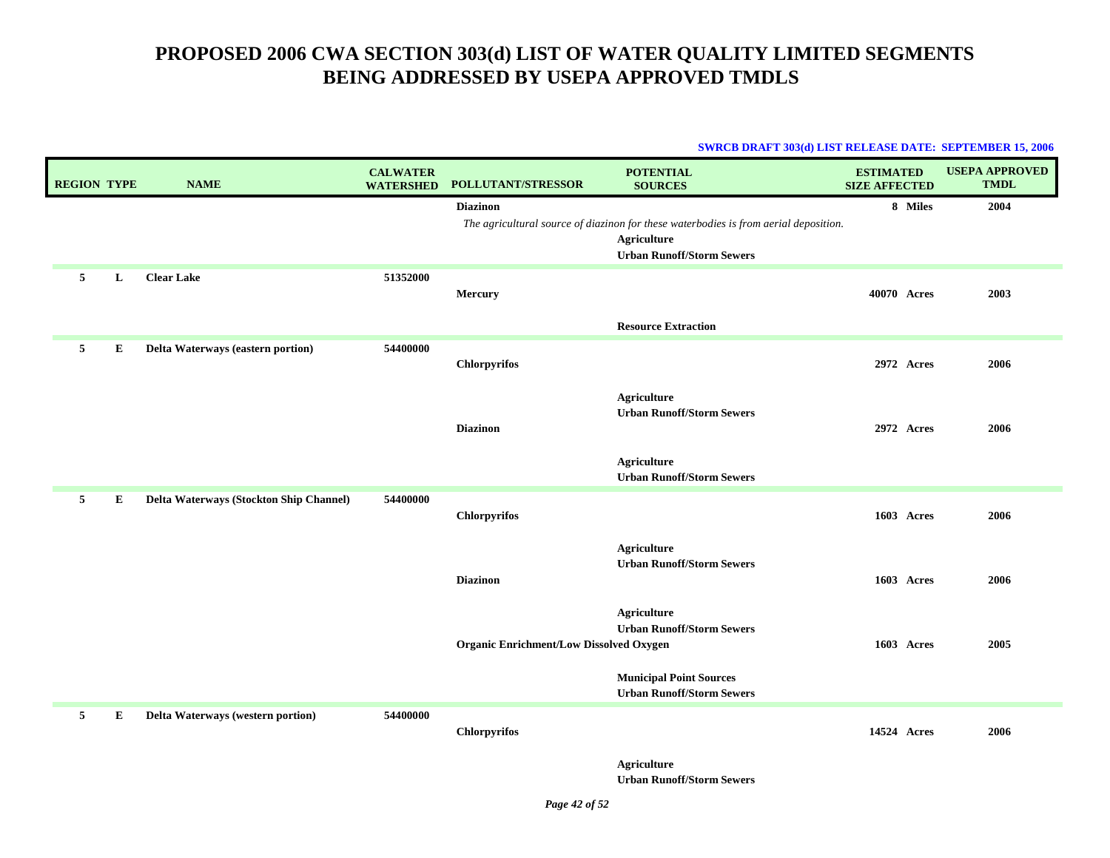#### **SWRCB DRAFT 303(d) LIST RELEASE DATE: SEPTEMBER 15, 2006**

| <b>REGION TYPE</b> |   | <b>NAME</b>                             | <b>CALWATER</b><br><b>WATERSHED</b> | <b>POLLUTANT/STRESSOR</b>                      | <b>POTENTIAL</b><br><b>SOURCES</b>                                                                                                      | <b>ESTIMATED</b><br><b>SIZE AFFECTED</b> | <b>USEPA APPROVED</b><br><b>TMDL</b> |
|--------------------|---|-----------------------------------------|-------------------------------------|------------------------------------------------|-----------------------------------------------------------------------------------------------------------------------------------------|------------------------------------------|--------------------------------------|
|                    |   |                                         |                                     | <b>Diazinon</b>                                | The agricultural source of diazinon for these waterbodies is from aerial deposition.<br>Agriculture<br><b>Urban Runoff/Storm Sewers</b> | 8 Miles                                  | 2004                                 |
| $5^{\circ}$        | L | <b>Clear Lake</b>                       | 51352000                            | Mercury                                        | <b>Resource Extraction</b>                                                                                                              | 40070 Acres                              | 2003                                 |
| 5                  | E | Delta Waterways (eastern portion)       | 54400000                            | <b>Chlorpyrifos</b>                            | <b>Agriculture</b>                                                                                                                      | 2972 Acres                               | 2006                                 |
|                    |   |                                         |                                     | <b>Diazinon</b>                                | <b>Urban Runoff/Storm Sewers</b><br>Agriculture                                                                                         | <b>2972 Acres</b>                        | 2006                                 |
| 5                  | E | Delta Waterways (Stockton Ship Channel) | 54400000                            | Chlorpyrifos                                   | <b>Urban Runoff/Storm Sewers</b>                                                                                                        | 1603 Acres                               | 2006                                 |
|                    |   |                                         |                                     | <b>Diazinon</b>                                | Agriculture<br><b>Urban Runoff/Storm Sewers</b>                                                                                         | 1603 Acres                               | 2006                                 |
|                    |   |                                         |                                     | <b>Organic Enrichment/Low Dissolved Oxygen</b> | <b>Agriculture</b><br><b>Urban Runoff/Storm Sewers</b>                                                                                  | 1603 Acres                               | 2005                                 |
|                    |   |                                         |                                     |                                                | <b>Municipal Point Sources</b><br><b>Urban Runoff/Storm Sewers</b>                                                                      |                                          |                                      |
| 5                  | Е | Delta Waterways (western portion)       | 54400000                            | <b>Chlorpyrifos</b>                            |                                                                                                                                         | 14524 Acres                              | 2006                                 |
|                    |   |                                         |                                     |                                                | <b>Agriculture</b>                                                                                                                      |                                          |                                      |

**Urban Runoff/Storm Sewers**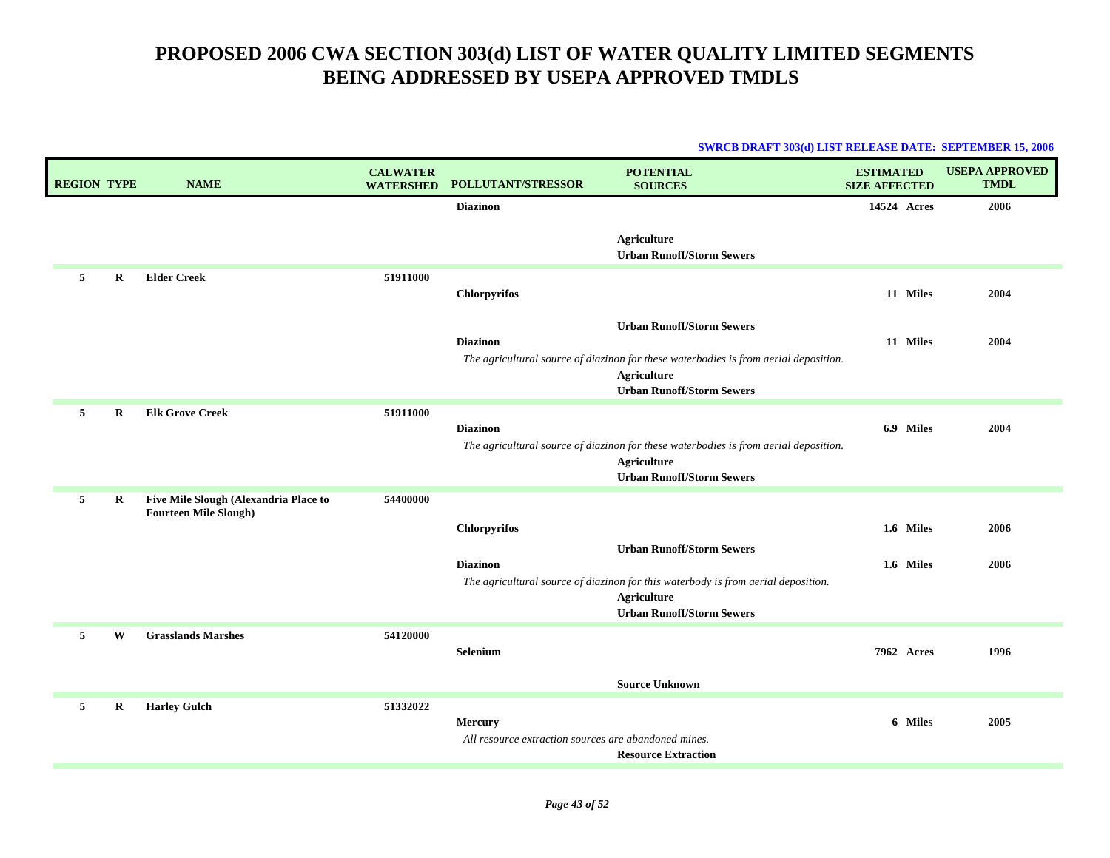| <b>REGION TYPE</b> |         | <b>NAME</b>                                                           | <b>CALWATER</b><br><b>WATERSHED</b> | POLLUTANT/STRESSOR                                                     | <b>POTENTIAL</b><br><b>SOURCES</b>                                                                                                                                          | <b>ESTIMATED</b><br><b>SIZE AFFECTED</b> | <b>USEPA APPROVED</b><br><b>TMDL</b> |
|--------------------|---------|-----------------------------------------------------------------------|-------------------------------------|------------------------------------------------------------------------|-----------------------------------------------------------------------------------------------------------------------------------------------------------------------------|------------------------------------------|--------------------------------------|
|                    |         |                                                                       |                                     | <b>Diazinon</b>                                                        |                                                                                                                                                                             | 14524 Acres                              | 2006                                 |
|                    |         |                                                                       |                                     |                                                                        | Agriculture<br><b>Urban Runoff/Storm Sewers</b>                                                                                                                             |                                          |                                      |
| 5                  | R       | <b>Elder Creek</b>                                                    | 51911000                            | <b>Chlorpyrifos</b>                                                    |                                                                                                                                                                             | 11 Miles                                 | 2004                                 |
|                    |         |                                                                       |                                     | <b>Diazinon</b>                                                        | <b>Urban Runoff/Storm Sewers</b><br>The agricultural source of diazinon for these waterbodies is from aerial deposition.<br>Agriculture<br><b>Urban Runoff/Storm Sewers</b> | 11 Miles                                 | 2004                                 |
| 5                  | R       | <b>Elk Grove Creek</b>                                                | 51911000                            | <b>Diazinon</b>                                                        | The agricultural source of diazinon for these waterbodies is from aerial deposition.<br>Agriculture<br><b>Urban Runoff/Storm Sewers</b>                                     | 6.9 Miles                                | 2004                                 |
| 5                  | $\bf R$ | Five Mile Slough (Alexandria Place to<br><b>Fourteen Mile Slough)</b> | 54400000                            | <b>Chlorpyrifos</b><br><b>Diazinon</b>                                 | <b>Urban Runoff/Storm Sewers</b><br>The agricultural source of diazinon for this waterbody is from aerial deposition.                                                       | 1.6 Miles<br>1.6 Miles                   | 2006<br>2006                         |
|                    |         |                                                                       |                                     |                                                                        | Agriculture<br><b>Urban Runoff/Storm Sewers</b>                                                                                                                             |                                          |                                      |
| 5                  | W       | <b>Grasslands Marshes</b>                                             | 54120000                            | <b>Selenium</b>                                                        |                                                                                                                                                                             | <b>7962 Acres</b>                        | 1996                                 |
|                    |         |                                                                       |                                     |                                                                        | <b>Source Unknown</b>                                                                                                                                                       |                                          |                                      |
| 5                  | $\bf R$ | <b>Harley Gulch</b>                                                   | 51332022                            | <b>Mercury</b><br>All resource extraction sources are abandoned mines. | <b>Resource Extraction</b>                                                                                                                                                  | 6 Miles                                  | 2005                                 |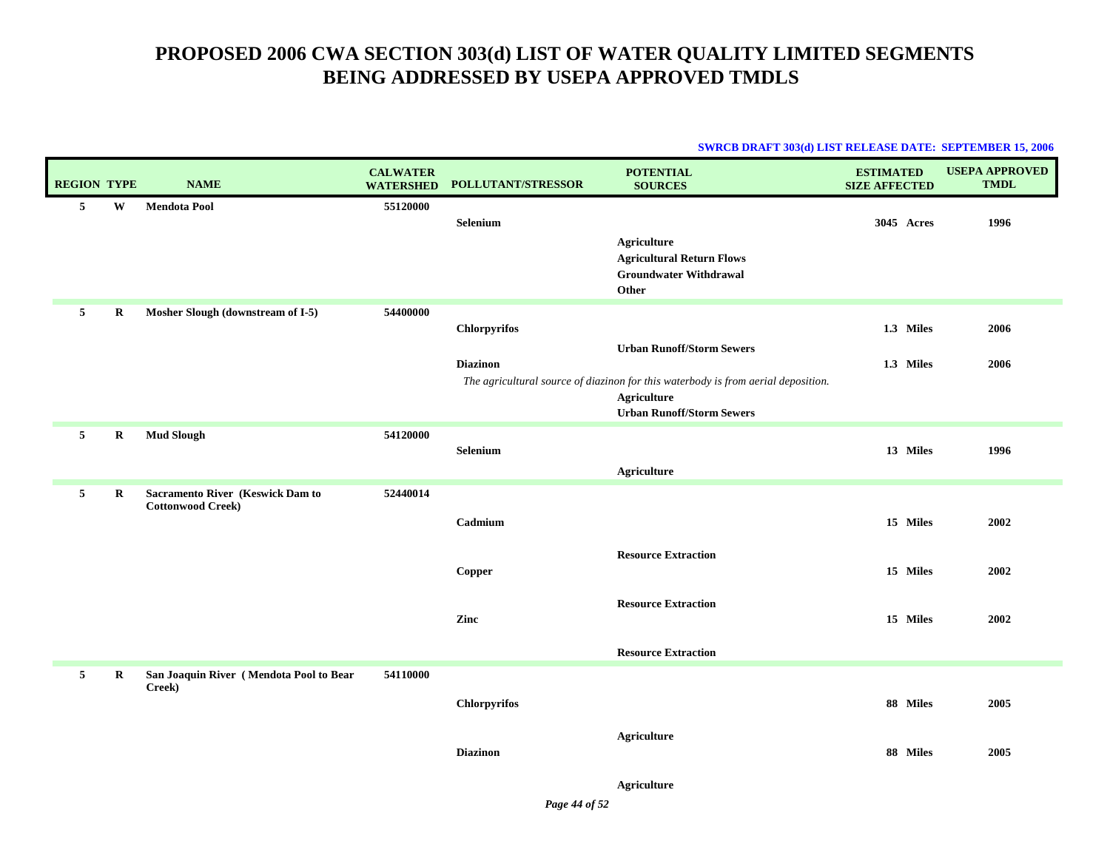#### **SWRCB DRAFT 303(d) LIST RELEASE DATE: SEPTEMBER 15, 2006**

|             | <b>REGION TYPE</b> | <b>NAME</b>                                                  | <b>CALWATER</b><br><b>WATERSHED</b> | POLLUTANT/STRESSOR                     | <b>POTENTIAL</b><br><b>SOURCES</b>                                                                                                                                       | <b>ESTIMATED</b><br><b>SIZE AFFECTED</b> | <b>USEPA APPROVED</b><br><b>TMDL</b> |
|-------------|--------------------|--------------------------------------------------------------|-------------------------------------|----------------------------------------|--------------------------------------------------------------------------------------------------------------------------------------------------------------------------|------------------------------------------|--------------------------------------|
| 5           | W                  | <b>Mendota Pool</b>                                          | 55120000                            | Selenium                               | <b>Agriculture</b><br><b>Agricultural Return Flows</b><br><b>Groundwater Withdrawal</b><br>Other                                                                         | 3045 Acres                               | 1996                                 |
| 5           | $\bf R$            | Mosher Slough (downstream of I-5)                            | 54400000                            | <b>Chlorpyrifos</b><br><b>Diazinon</b> | <b>Urban Runoff/Storm Sewers</b><br>The agricultural source of diazinon for this waterbody is from aerial deposition.<br>Agriculture<br><b>Urban Runoff/Storm Sewers</b> | 1.3 Miles<br>1.3 Miles                   | 2006<br>2006                         |
| 5           | R                  | <b>Mud Slough</b>                                            | 54120000                            | Selenium                               | <b>Agriculture</b>                                                                                                                                                       | 13 Miles                                 | 1996                                 |
| 5           | R                  | Sacramento River (Keswick Dam to<br><b>Cottonwood Creek)</b> | 52440014                            | Cadmium<br>Copper                      | <b>Resource Extraction</b>                                                                                                                                               | 15 Miles<br>15 Miles                     | 2002<br>2002                         |
|             |                    |                                                              |                                     | Zinc                                   | <b>Resource Extraction</b><br><b>Resource Extraction</b>                                                                                                                 | 15 Miles                                 | 2002                                 |
| $5^{\circ}$ | $\bf R$            | San Joaquin River (Mendota Pool to Bear<br>Creek)            | 54110000                            | <b>Chlorpyrifos</b>                    |                                                                                                                                                                          | 88 Miles                                 | 2005                                 |
|             |                    |                                                              |                                     | <b>Diazinon</b>                        | Agriculture                                                                                                                                                              | 88 Miles                                 | 2005                                 |

**Agriculture**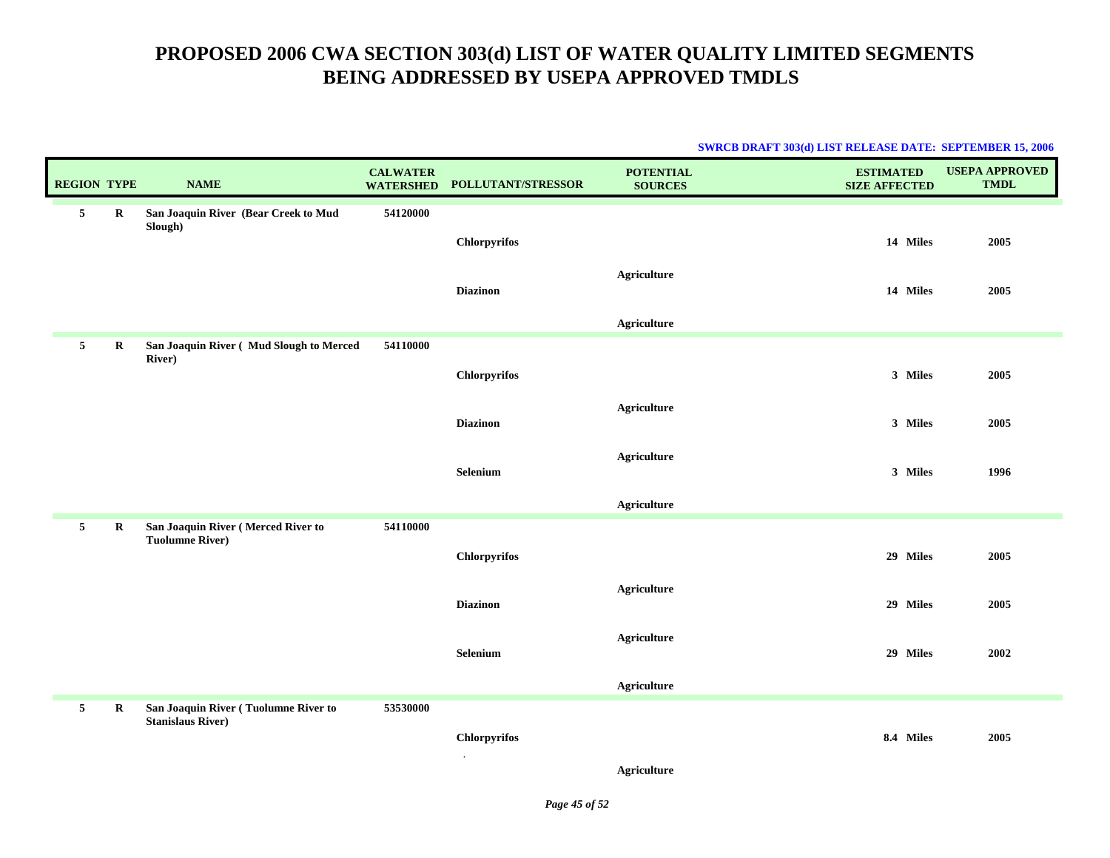| <b>REGION TYPE</b> |             | <b>NAME</b>                                                      | <b>CALWATER</b><br><b>WATERSHED</b> | POLLUTANT/STRESSOR  | <b>POTENTIAL</b><br><b>SOURCES</b> | <b>ESTIMATED</b><br><b>SIZE AFFECTED</b> | <b>USEPA APPROVED</b><br><b>TMDL</b> |
|--------------------|-------------|------------------------------------------------------------------|-------------------------------------|---------------------|------------------------------------|------------------------------------------|--------------------------------------|
| 5                  | $\bf R$     | San Joaquin River (Bear Creek to Mud                             | 54120000                            |                     |                                    |                                          |                                      |
|                    |             | Slough)                                                          |                                     |                     |                                    |                                          |                                      |
|                    |             |                                                                  |                                     | <b>Chlorpyrifos</b> |                                    | 14 Miles                                 | 2005                                 |
|                    |             |                                                                  |                                     |                     | <b>Agriculture</b>                 |                                          |                                      |
|                    |             |                                                                  |                                     | <b>Diazinon</b>     |                                    | 14 Miles                                 | 2005                                 |
|                    |             |                                                                  |                                     |                     | <b>Agriculture</b>                 |                                          |                                      |
| 5                  | $\bf R$     | San Joaquin River (Mud Slough to Merced                          | 54110000                            |                     |                                    |                                          |                                      |
|                    |             | <b>River</b> )                                                   |                                     | Chlorpyrifos        |                                    | 3 Miles                                  | 2005                                 |
|                    |             |                                                                  |                                     |                     |                                    |                                          |                                      |
|                    |             |                                                                  |                                     | <b>Diazinon</b>     | <b>Agriculture</b>                 | 3 Miles                                  | 2005                                 |
|                    |             |                                                                  |                                     |                     |                                    |                                          |                                      |
|                    |             |                                                                  |                                     | Selenium            | Agriculture                        | 3 Miles                                  | 1996                                 |
|                    |             |                                                                  |                                     |                     |                                    |                                          |                                      |
|                    |             |                                                                  |                                     |                     | <b>Agriculture</b>                 |                                          |                                      |
| $5\phantom{.0}$    | $\bf R$     | San Joaquin River (Merced River to<br><b>Tuolumne River)</b>     | 54110000                            |                     |                                    |                                          |                                      |
|                    |             |                                                                  |                                     | <b>Chlorpyrifos</b> |                                    | 29 Miles                                 | 2005                                 |
|                    |             |                                                                  |                                     |                     |                                    |                                          |                                      |
|                    |             |                                                                  |                                     | <b>Diazinon</b>     | <b>Agriculture</b>                 | 29 Miles                                 | 2005                                 |
|                    |             |                                                                  |                                     |                     |                                    |                                          |                                      |
|                    |             |                                                                  |                                     | Selenium            | <b>Agriculture</b>                 | 29 Miles                                 | 2002                                 |
|                    |             |                                                                  |                                     |                     |                                    |                                          |                                      |
|                    |             |                                                                  |                                     |                     | Agriculture                        |                                          |                                      |
| 5                  | $\mathbf R$ | San Joaquin River (Tuolumne River to<br><b>Stanislaus River)</b> | 53530000                            |                     |                                    |                                          |                                      |
|                    |             |                                                                  |                                     | Chlorpyrifos        |                                    | 8.4 Miles                                | 2005                                 |
|                    |             |                                                                  |                                     | $\bullet$           |                                    |                                          |                                      |
|                    |             |                                                                  |                                     |                     | <b>Agriculture</b>                 |                                          |                                      |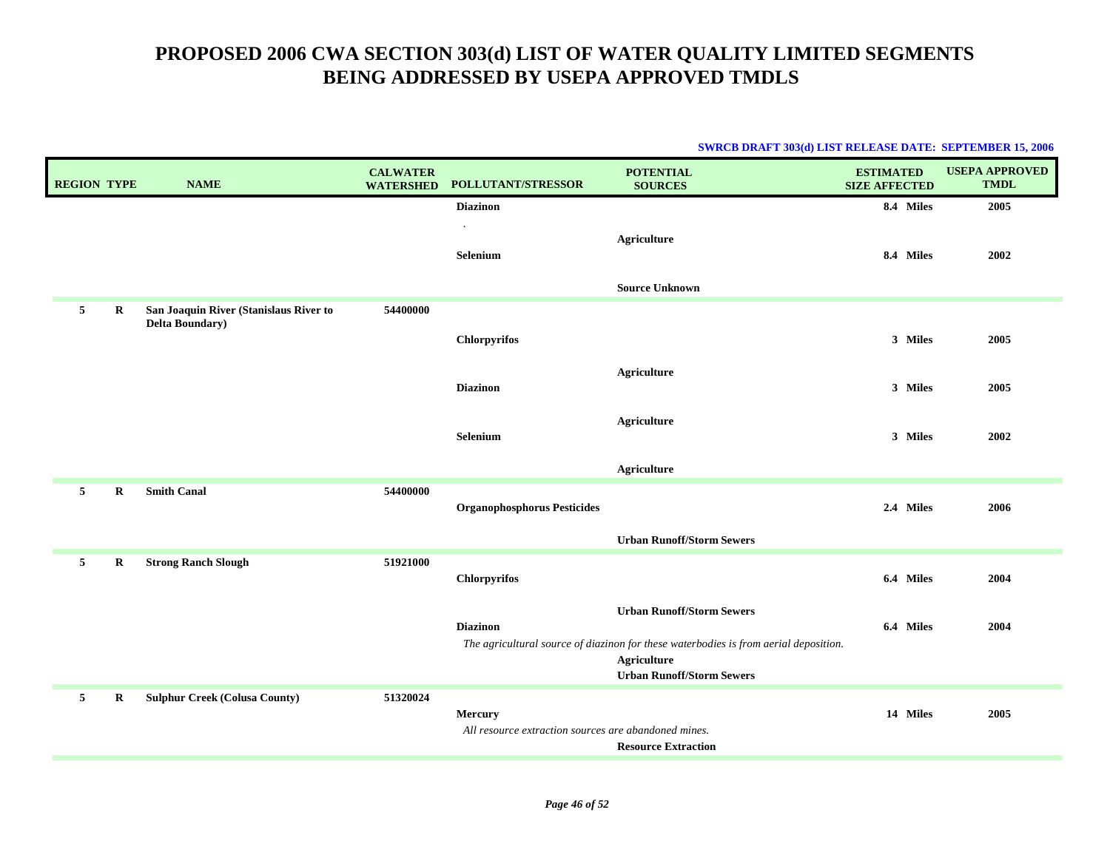| <b>REGION TYPE</b> |         | <b>NAME</b>                            | <b>CALWATER</b><br><b>WATERSHED</b> | POLLUTANT/STRESSOR                                                     | <b>POTENTIAL</b><br><b>SOURCES</b>                                                                                                      | <b>ESTIMATED</b><br><b>SIZE AFFECTED</b> | <b>USEPA APPROVED</b><br><b>TMDL</b> |
|--------------------|---------|----------------------------------------|-------------------------------------|------------------------------------------------------------------------|-----------------------------------------------------------------------------------------------------------------------------------------|------------------------------------------|--------------------------------------|
|                    |         |                                        |                                     | <b>Diazinon</b>                                                        |                                                                                                                                         | 8.4 Miles                                | 2005                                 |
|                    |         |                                        |                                     | <b>Selenium</b>                                                        | <b>Agriculture</b>                                                                                                                      | 8.4 Miles                                | 2002                                 |
|                    |         |                                        |                                     |                                                                        | <b>Source Unknown</b>                                                                                                                   |                                          |                                      |
| 5                  | $\bf R$ | San Joaquin River (Stanislaus River to | 54400000                            |                                                                        |                                                                                                                                         |                                          |                                      |
|                    |         | <b>Delta Boundary</b> )                |                                     | <b>Chlorpyrifos</b>                                                    |                                                                                                                                         | 3 Miles                                  | 2005                                 |
|                    |         |                                        |                                     | <b>Diazinon</b>                                                        | <b>Agriculture</b>                                                                                                                      | 3 Miles                                  | 2005                                 |
|                    |         |                                        |                                     |                                                                        |                                                                                                                                         |                                          |                                      |
|                    |         |                                        |                                     | Selenium                                                               | Agriculture                                                                                                                             | 3 Miles                                  | 2002                                 |
|                    |         |                                        |                                     |                                                                        | Agriculture                                                                                                                             |                                          |                                      |
| 5                  | R       | <b>Smith Canal</b>                     | 54400000                            | <b>Organophosphorus Pesticides</b>                                     |                                                                                                                                         | 2.4 Miles                                | 2006                                 |
|                    |         |                                        |                                     |                                                                        | <b>Urban Runoff/Storm Sewers</b>                                                                                                        |                                          |                                      |
| 5                  | R       | <b>Strong Ranch Slough</b>             | 51921000                            | <b>Chlorpyrifos</b>                                                    |                                                                                                                                         | 6.4 Miles                                | 2004                                 |
|                    |         |                                        |                                     | <b>Diazinon</b>                                                        | <b>Urban Runoff/Storm Sewers</b><br>The agricultural source of diazinon for these waterbodies is from aerial deposition.<br>Agriculture | 6.4 Miles                                | 2004                                 |
|                    |         |                                        |                                     |                                                                        | <b>Urban Runoff/Storm Sewers</b>                                                                                                        |                                          |                                      |
| 5                  | $\bf R$ | <b>Sulphur Creek (Colusa County)</b>   | 51320024                            | <b>Mercury</b><br>All resource extraction sources are abandoned mines. | <b>Resource Extraction</b>                                                                                                              | 14 Miles                                 | 2005                                 |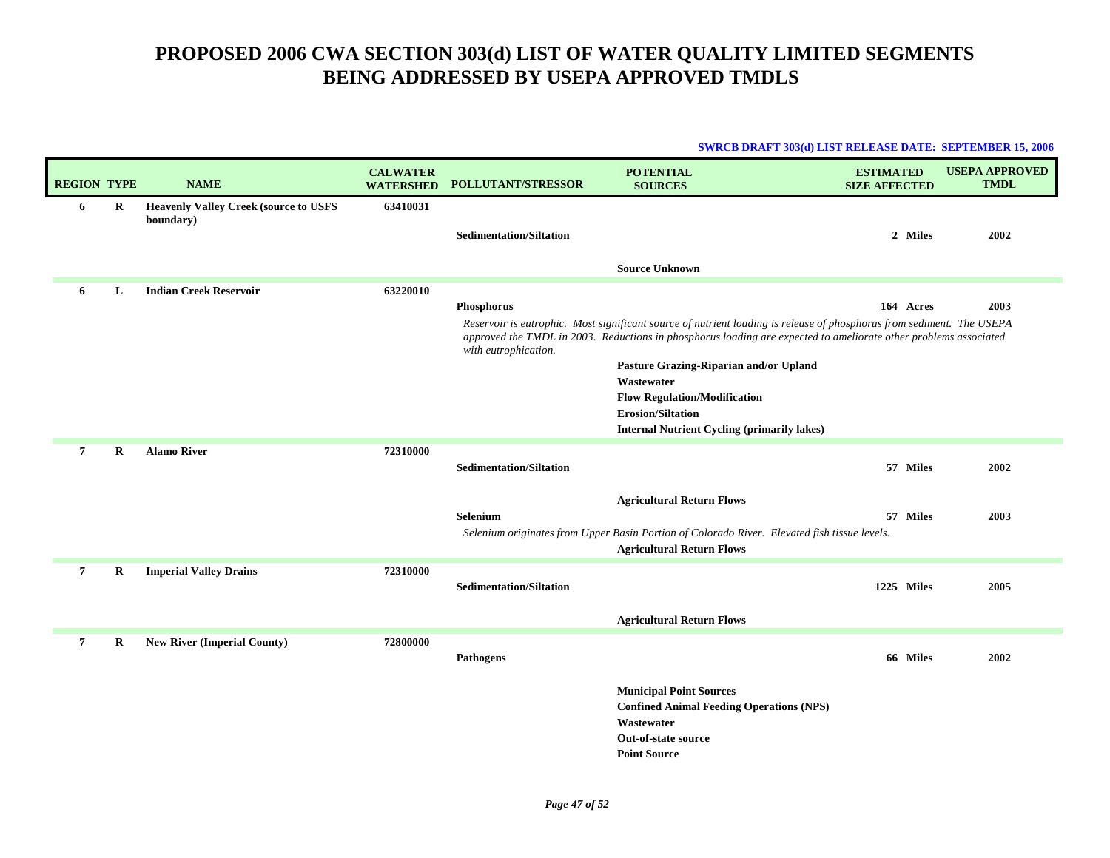| <b>SWRCB DRAFT 303(d) LIST RELEASE DATE: SEPTEMBER 15, 2006</b> |  |
|-----------------------------------------------------------------|--|
|                                                                 |  |

| <b>REGION TYPE</b> |   | <b>NAME</b>                                               | <b>CALWATER</b><br><b>WATERSHED</b> | <b>POLLUTANT/STRESSOR</b>      | <b>POTENTIAL</b><br><b>SOURCES</b>                                                                                                                                       | <b>ESTIMATED</b><br><b>SIZE AFFECTED</b> | <b>USEPA APPROVED</b><br><b>TMDL</b> |
|--------------------|---|-----------------------------------------------------------|-------------------------------------|--------------------------------|--------------------------------------------------------------------------------------------------------------------------------------------------------------------------|------------------------------------------|--------------------------------------|
| 6                  | R | <b>Heavenly Valley Creek (source to USFS</b><br>boundary) | 63410031                            | <b>Sedimentation/Siltation</b> |                                                                                                                                                                          | 2 Miles                                  | 2002                                 |
|                    |   |                                                           |                                     |                                | <b>Source Unknown</b>                                                                                                                                                    |                                          |                                      |
| 6                  | L | <b>Indian Creek Reservoir</b>                             | 63220010                            | Phosphorus                     | Reservoir is eutrophic. Most significant source of nutrient loading is release of phosphorus from sediment. The USEPA                                                    | 164 Acres                                | 2003                                 |
|                    |   |                                                           |                                     | with eutrophication.           | approved the TMDL in 2003. Reductions in phosphorus loading are expected to ameliorate other problems associated<br>Pasture Grazing-Riparian and/or Upland<br>Wastewater |                                          |                                      |
|                    |   |                                                           |                                     |                                | <b>Flow Regulation/Modification</b><br><b>Erosion/Siltation</b><br><b>Internal Nutrient Cycling (primarily lakes)</b>                                                    |                                          |                                      |
| $\overline{7}$     | R | <b>Alamo River</b>                                        | 72310000                            | <b>Sedimentation/Siltation</b> |                                                                                                                                                                          | 57 Miles                                 | 2002                                 |
|                    |   |                                                           |                                     | Selenium                       | <b>Agricultural Return Flows</b><br>Selenium originates from Upper Basin Portion of Colorado River. Elevated fish tissue levels.<br><b>Agricultural Return Flows</b>     | 57 Miles                                 | 2003                                 |
| 7                  | R | <b>Imperial Valley Drains</b>                             | 72310000                            | <b>Sedimentation/Siltation</b> |                                                                                                                                                                          | 1225 Miles                               | 2005                                 |
|                    |   |                                                           |                                     |                                | <b>Agricultural Return Flows</b>                                                                                                                                         |                                          |                                      |
| $\overline{7}$     | R | <b>New River (Imperial County)</b>                        | 72800000                            | Pathogens                      |                                                                                                                                                                          | 66 Miles                                 | 2002                                 |
|                    |   |                                                           |                                     |                                | <b>Municipal Point Sources</b><br><b>Confined Animal Feeding Operations (NPS)</b><br>Wastewater<br>Out-of-state source                                                   |                                          |                                      |
|                    |   |                                                           |                                     |                                | <b>Point Source</b>                                                                                                                                                      |                                          |                                      |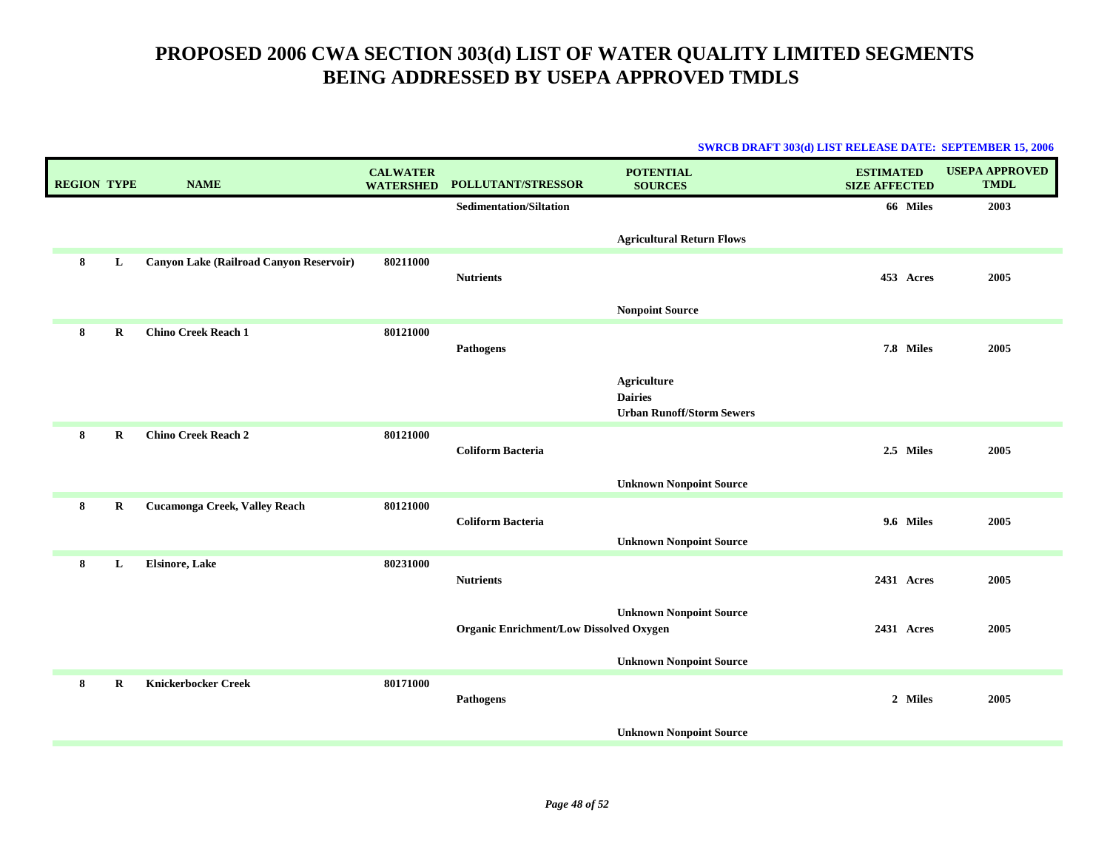| <b>REGION TYPE</b> |             | <b>NAME</b>                             | <b>CALWATER</b><br><b>WATERSHED</b> | POLLUTANT/STRESSOR                             | <b>POTENTIAL</b><br><b>SOURCES</b>                                       | <b>ESTIMATED</b><br><b>SIZE AFFECTED</b> | <b>USEPA APPROVED</b><br><b>TMDL</b> |
|--------------------|-------------|-----------------------------------------|-------------------------------------|------------------------------------------------|--------------------------------------------------------------------------|------------------------------------------|--------------------------------------|
|                    |             |                                         |                                     | <b>Sedimentation/Siltation</b>                 |                                                                          | 66 Miles                                 | 2003                                 |
|                    |             |                                         |                                     |                                                | <b>Agricultural Return Flows</b>                                         |                                          |                                      |
| 8                  | L           | Canyon Lake (Railroad Canyon Reservoir) | 80211000                            | <b>Nutrients</b>                               |                                                                          | 453 Acres                                | 2005                                 |
|                    |             |                                         |                                     |                                                | <b>Nonpoint Source</b>                                                   |                                          |                                      |
| 8                  | $\bf R$     | <b>Chino Creek Reach 1</b>              | 80121000                            | <b>Pathogens</b>                               |                                                                          | 7.8 Miles                                | 2005                                 |
|                    |             |                                         |                                     |                                                | <b>Agriculture</b><br><b>Dairies</b><br><b>Urban Runoff/Storm Sewers</b> |                                          |                                      |
| 8                  | $\bf R$     | <b>Chino Creek Reach 2</b>              | 80121000                            | <b>Coliform Bacteria</b>                       |                                                                          | 2.5 Miles                                | 2005                                 |
|                    |             |                                         |                                     |                                                | <b>Unknown Nonpoint Source</b>                                           |                                          |                                      |
| 8                  | $\mathbf R$ | Cucamonga Creek, Valley Reach           | 80121000                            | <b>Coliform Bacteria</b>                       | <b>Unknown Nonpoint Source</b>                                           | 9.6 Miles                                | 2005                                 |
| 8                  | L           | <b>Elsinore, Lake</b>                   | 80231000                            | <b>Nutrients</b>                               |                                                                          | 2431 Acres                               | 2005                                 |
|                    |             |                                         |                                     | <b>Organic Enrichment/Low Dissolved Oxygen</b> | <b>Unknown Nonpoint Source</b>                                           | 2431 Acres                               | 2005                                 |
|                    |             |                                         |                                     |                                                | <b>Unknown Nonpoint Source</b>                                           |                                          |                                      |
| 8                  | R           | <b>Knickerbocker Creek</b>              | 80171000                            | <b>Pathogens</b>                               |                                                                          | 2 Miles                                  | 2005                                 |
|                    |             |                                         |                                     |                                                | <b>Unknown Nonpoint Source</b>                                           |                                          |                                      |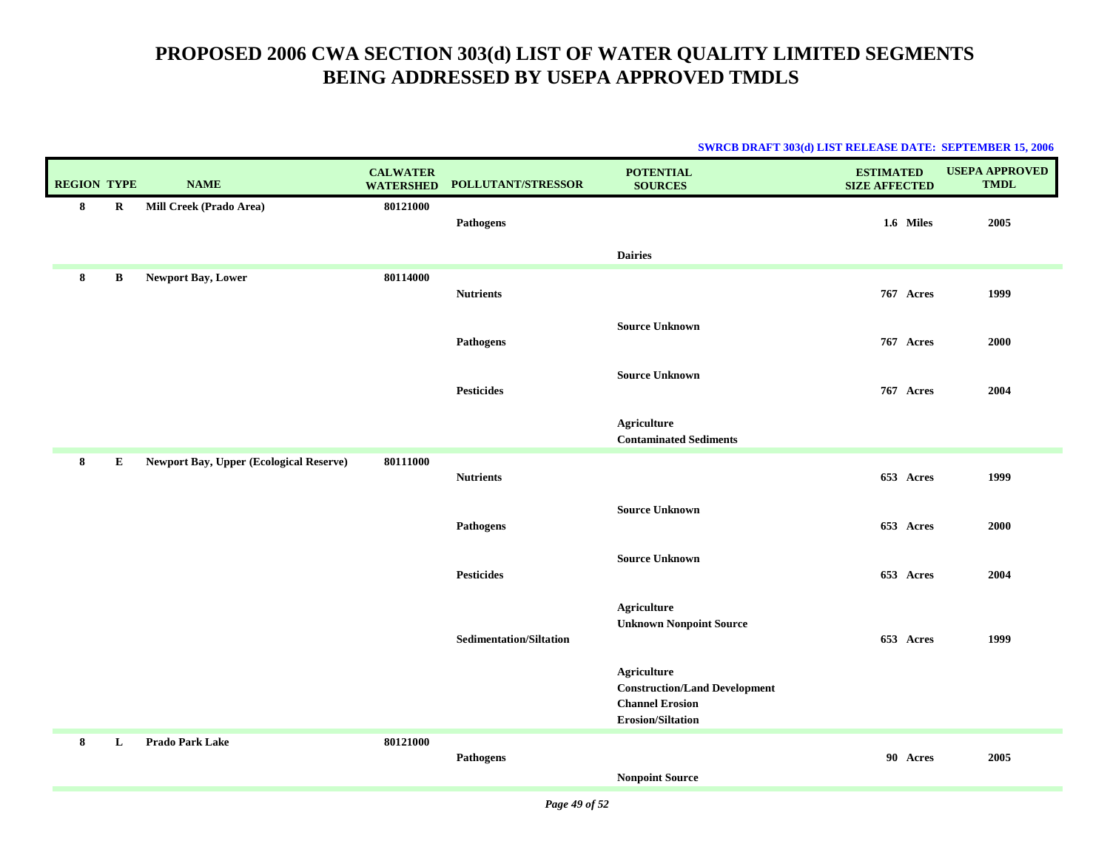|                    |         |                                                |                                     |                                | SWKUB DKAF I 303(0) LIST KELEASE DATE: SEPTEMBER 15, 2000                                                 |                                          |                                      |
|--------------------|---------|------------------------------------------------|-------------------------------------|--------------------------------|-----------------------------------------------------------------------------------------------------------|------------------------------------------|--------------------------------------|
| <b>REGION TYPE</b> |         | <b>NAME</b>                                    | <b>CALWATER</b><br><b>WATERSHED</b> | POLLUTANT/STRESSOR             | <b>POTENTIAL</b><br><b>SOURCES</b>                                                                        | <b>ESTIMATED</b><br><b>SIZE AFFECTED</b> | <b>USEPA APPROVED</b><br><b>TMDL</b> |
| 8                  | $\bf R$ | Mill Creek (Prado Area)                        | 80121000                            | <b>Pathogens</b>               |                                                                                                           | 1.6 Miles                                | 2005                                 |
|                    |         |                                                |                                     |                                | <b>Dairies</b>                                                                                            |                                          |                                      |
| 8                  | B       | Newport Bay, Lower                             | 80114000                            | <b>Nutrients</b>               |                                                                                                           | 767 Acres                                | 1999                                 |
|                    |         |                                                |                                     | <b>Pathogens</b>               | <b>Source Unknown</b>                                                                                     | 767 Acres                                | 2000                                 |
|                    |         |                                                |                                     | <b>Pesticides</b>              | <b>Source Unknown</b>                                                                                     | 767 Acres                                | 2004                                 |
|                    |         |                                                |                                     |                                | <b>Agriculture</b><br><b>Contaminated Sediments</b>                                                       |                                          |                                      |
| 8                  | E       | <b>Newport Bay, Upper (Ecological Reserve)</b> | 80111000                            | <b>Nutrients</b>               |                                                                                                           | 653 Acres                                | 1999                                 |
|                    |         |                                                |                                     | <b>Pathogens</b>               | <b>Source Unknown</b>                                                                                     | 653 Acres                                | 2000                                 |
|                    |         |                                                |                                     | <b>Pesticides</b>              | <b>Source Unknown</b>                                                                                     | 653 Acres                                | 2004                                 |
|                    |         |                                                |                                     | <b>Sedimentation/Siltation</b> | <b>Agriculture</b><br><b>Unknown Nonpoint Source</b>                                                      | 653 Acres                                | 1999                                 |
|                    |         |                                                |                                     |                                | <b>Agriculture</b><br><b>Construction/Land Development</b><br><b>Channel Erosion</b><br>Erosion/Siltation |                                          |                                      |
| 8                  | L       | <b>Prado Park Lake</b>                         | 80121000                            | <b>Pathogens</b>               | <b>Nonpoint Source</b>                                                                                    | 90 Acres                                 | 2005                                 |
|                    |         |                                                |                                     |                                |                                                                                                           |                                          |                                      |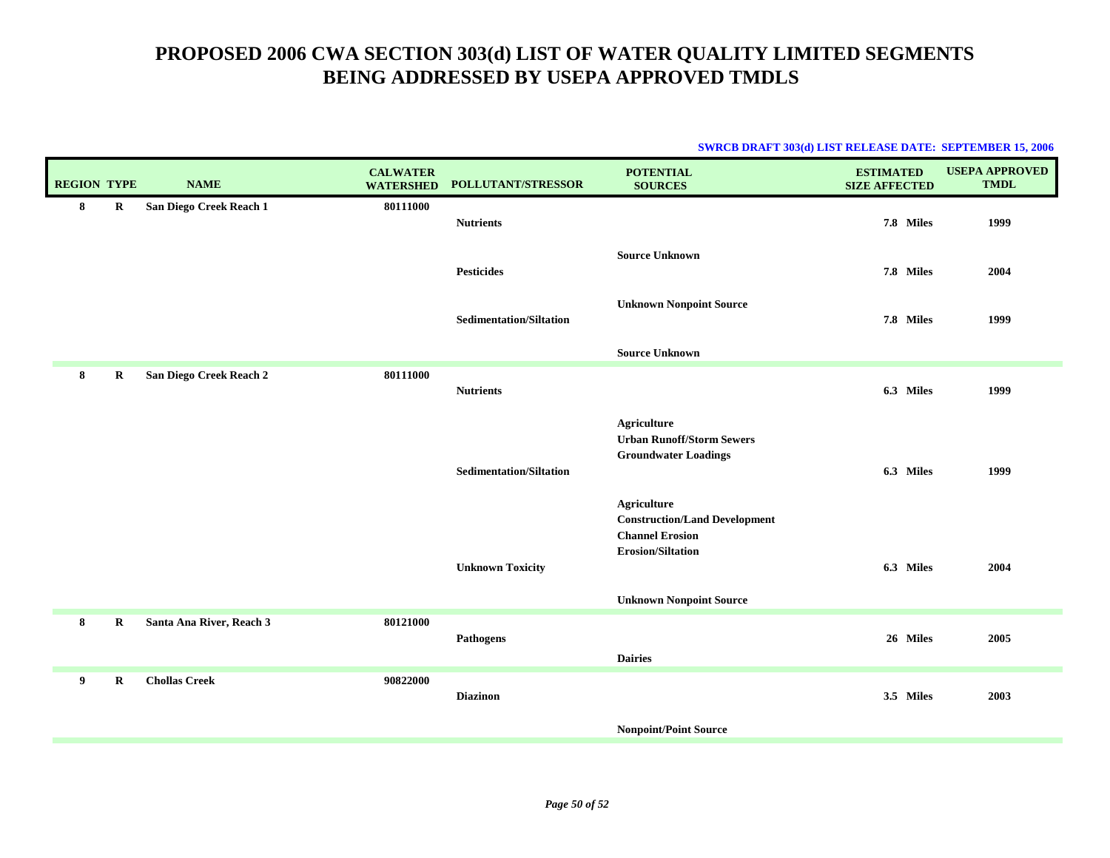| <b>SWRCB DRAFT 303(d) LIST RELEASE DATE: SEPTEMBER 15, 2006</b> |  |
|-----------------------------------------------------------------|--|
|                                                                 |  |

| <b>REGION TYPE</b> |             | <b>NAME</b>              | <b>CALWATER</b><br><b>WATERSHED</b> | POLLUTANT/STRESSOR             | <b>POTENTIAL</b><br><b>SOURCES</b>                                                                                           | <b>ESTIMATED</b><br><b>SIZE AFFECTED</b> | <b>USEPA APPROVED</b><br><b>TMDL</b> |
|--------------------|-------------|--------------------------|-------------------------------------|--------------------------------|------------------------------------------------------------------------------------------------------------------------------|------------------------------------------|--------------------------------------|
| 8                  | $\mathbf R$ | San Diego Creek Reach 1  | 80111000                            | <b>Nutrients</b>               |                                                                                                                              | 7.8 Miles                                | 1999                                 |
|                    |             |                          |                                     | <b>Pesticides</b>              | <b>Source Unknown</b>                                                                                                        | 7.8 Miles                                | 2004                                 |
|                    |             |                          |                                     | <b>Sedimentation/Siltation</b> | <b>Unknown Nonpoint Source</b>                                                                                               | 7.8 Miles                                | 1999                                 |
|                    |             |                          |                                     |                                | <b>Source Unknown</b>                                                                                                        |                                          |                                      |
| 8                  | $\bf R$     | San Diego Creek Reach 2  | 80111000                            | <b>Nutrients</b>               |                                                                                                                              | 6.3 Miles                                | 1999                                 |
|                    |             |                          |                                     | <b>Sedimentation/Siltation</b> | <b>Agriculture</b><br><b>Urban Runoff/Storm Sewers</b><br><b>Groundwater Loadings</b><br><b>Agriculture</b>                  | 6.3 Miles                                | 1999                                 |
|                    |             |                          |                                     | <b>Unknown Toxicity</b>        | <b>Construction/Land Development</b><br><b>Channel Erosion</b><br><b>Erosion/Siltation</b><br><b>Unknown Nonpoint Source</b> | 6.3 Miles                                | 2004                                 |
| 8                  | $\bf R$     | Santa Ana River, Reach 3 | 80121000                            | Pathogens                      | <b>Dairies</b>                                                                                                               | 26 Miles                                 | 2005                                 |
| 9                  | R           | <b>Chollas Creek</b>     | 90822000                            | <b>Diazinon</b>                |                                                                                                                              | 3.5 Miles                                | 2003                                 |
|                    |             |                          |                                     |                                | <b>Nonpoint/Point Source</b>                                                                                                 |                                          |                                      |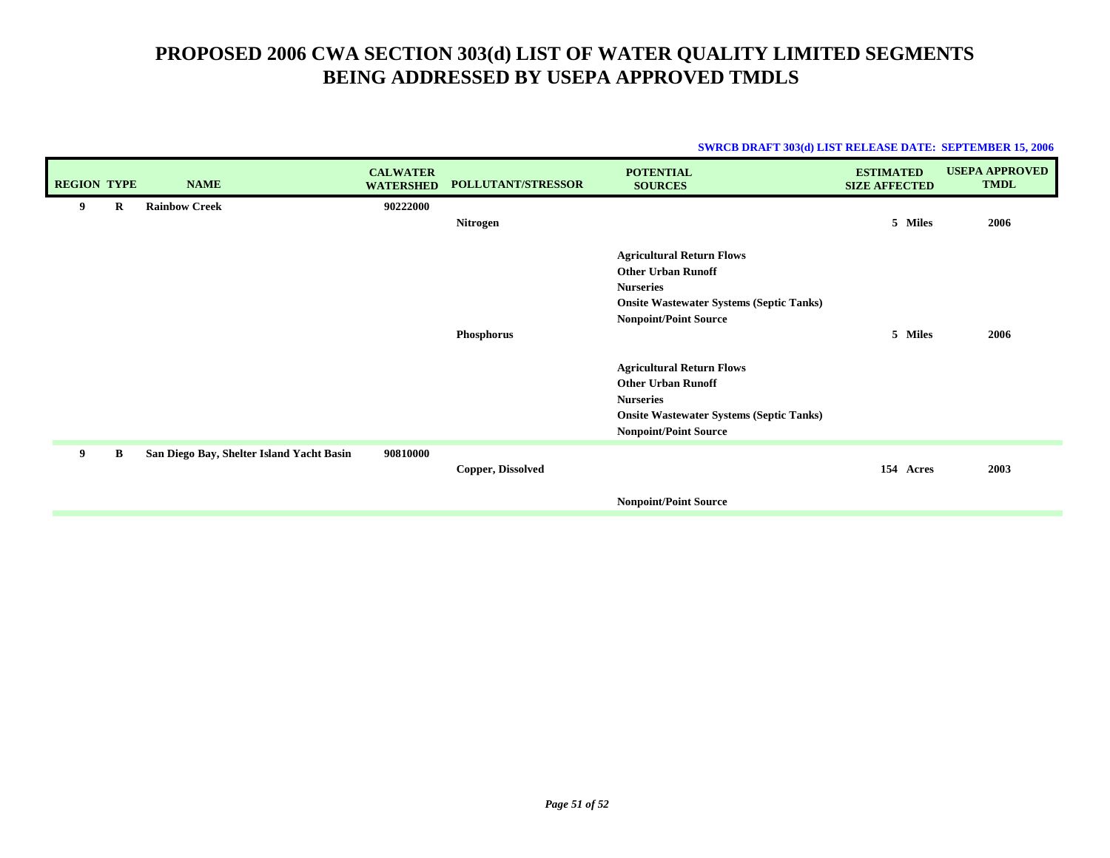| <b>SWRCB DRAFT 303(d) LIST RELEASE DATE: SEPTEMBER 15, 2006</b> |  |  |
|-----------------------------------------------------------------|--|--|
|                                                                 |  |  |

| <b>REGION TYPE</b> |   | <b>NAME</b>                               | <b>CALWATER</b><br><b>WATERSHED</b> | POLLUTANT/STRESSOR | <b>POTENTIAL</b><br><b>SOURCES</b>                                                                                                                                   | <b>ESTIMATED</b><br><b>SIZE AFFECTED</b> | <b>USEPA APPROVED</b><br><b>TMDL</b> |
|--------------------|---|-------------------------------------------|-------------------------------------|--------------------|----------------------------------------------------------------------------------------------------------------------------------------------------------------------|------------------------------------------|--------------------------------------|
| 9                  | R | <b>Rainbow Creek</b>                      | 90222000                            | Nitrogen           |                                                                                                                                                                      | 5 Miles                                  | 2006                                 |
|                    |   |                                           |                                     | Phosphorus         | <b>Agricultural Return Flows</b><br><b>Other Urban Runoff</b><br><b>Nurseries</b><br><b>Onsite Wastewater Systems (Septic Tanks)</b><br><b>Nonpoint/Point Source</b> | 5 Miles                                  | 2006                                 |
|                    |   |                                           |                                     |                    | <b>Agricultural Return Flows</b><br><b>Other Urban Runoff</b><br><b>Nurseries</b><br><b>Onsite Wastewater Systems (Septic Tanks)</b><br><b>Nonpoint/Point Source</b> |                                          |                                      |
| 9                  | B | San Diego Bay, Shelter Island Yacht Basin | 90810000                            | Copper, Dissolved  |                                                                                                                                                                      | 154 Acres                                | 2003                                 |
|                    |   |                                           |                                     |                    | <b>Nonpoint/Point Source</b>                                                                                                                                         |                                          |                                      |